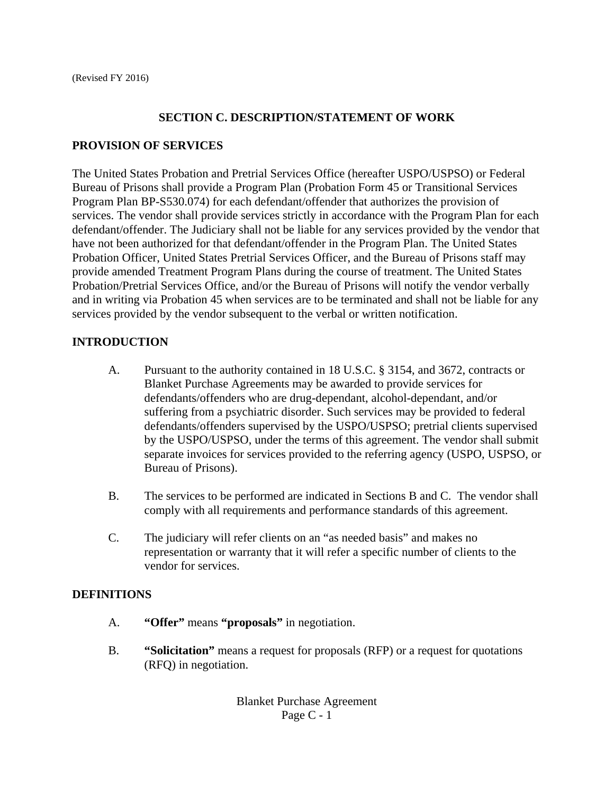#### **SECTION C. DESCRIPTION/STATEMENT OF WORK**

#### **PROVISION OF SERVICES**

The United States Probation and Pretrial Services Office (hereafter USPO/USPSO) or Federal Bureau of Prisons shall provide a Program Plan (Probation Form 45 or Transitional Services Program Plan BP-S530.074) for each defendant/offender that authorizes the provision of services. The vendor shall provide services strictly in accordance with the Program Plan for each defendant/offender. The Judiciary shall not be liable for any services provided by the vendor that have not been authorized for that defendant/offender in the Program Plan. The United States Probation Officer, United States Pretrial Services Officer, and the Bureau of Prisons staff may provide amended Treatment Program Plans during the course of treatment. The United States Probation/Pretrial Services Office, and/or the Bureau of Prisons will notify the vendor verbally and in writing via Probation 45 when services are to be terminated and shall not be liable for any services provided by the vendor subsequent to the verbal or written notification.

### **INTRODUCTION**

- A. Pursuant to the authority contained in 18 U.S.C. § 3154, and 3672, contracts or Blanket Purchase Agreements may be awarded to provide services for defendants/offenders who are drug-dependant, alcohol-dependant, and/or suffering from a psychiatric disorder. Such services may be provided to federal defendants/offenders supervised by the USPO/USPSO; pretrial clients supervised by the USPO/USPSO, under the terms of this agreement. The vendor shall submit separate invoices for services provided to the referring agency (USPO, USPSO, or Bureau of Prisons).
- B. The services to be performed are indicated in Sections B and C. The vendor shall comply with all requirements and performance standards of this agreement.
- C. The judiciary will refer clients on an "as needed basis" and makes no representation or warranty that it will refer a specific number of clients to the vendor for services.

#### **DEFINITIONS**

- A. **"Offer"** means **"proposals"** in negotiation.
- B. **"Solicitation"** means a request for proposals (RFP) or a request for quotations (RFQ) in negotiation.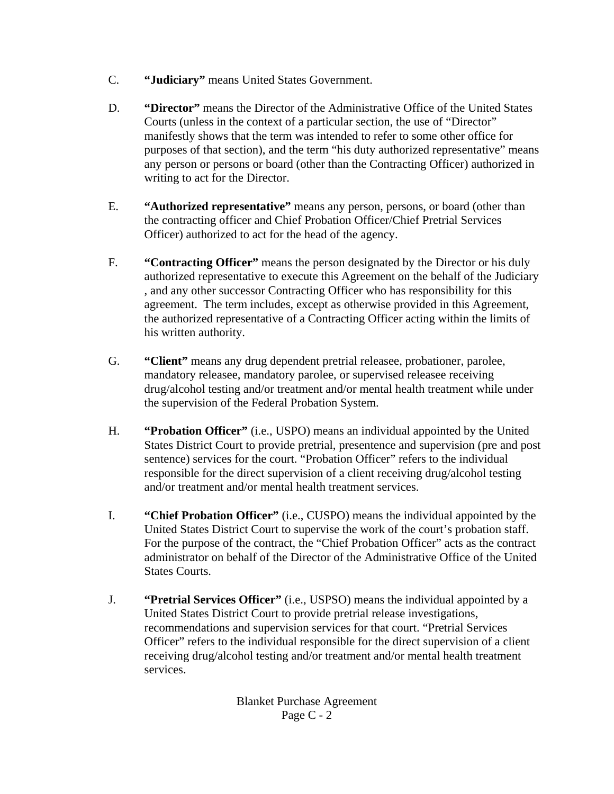- C. **"Judiciary"** means United States Government.
- D. **"Director"** means the Director of the Administrative Office of the United States Courts (unless in the context of a particular section, the use of "Director" manifestly shows that the term was intended to refer to some other office for purposes of that section), and the term "his duty authorized representative" means any person or persons or board (other than the Contracting Officer) authorized in writing to act for the Director.
- E. **"Authorized representative"** means any person, persons, or board (other than the contracting officer and Chief Probation Officer/Chief Pretrial Services Officer) authorized to act for the head of the agency.
- F. **"Contracting Officer"** means the person designated by the Director or his duly authorized representative to execute this Agreement on the behalf of the Judiciary , and any other successor Contracting Officer who has responsibility for this agreement. The term includes, except as otherwise provided in this Agreement, the authorized representative of a Contracting Officer acting within the limits of his written authority.
- G. **"Client"** means any drug dependent pretrial releasee, probationer, parolee, mandatory releasee, mandatory parolee, or supervised releasee receiving drug/alcohol testing and/or treatment and/or mental health treatment while under the supervision of the Federal Probation System.
- H. **"Probation Officer"** (i.e., USPO) means an individual appointed by the United States District Court to provide pretrial, presentence and supervision (pre and post sentence) services for the court. "Probation Officer" refers to the individual responsible for the direct supervision of a client receiving drug/alcohol testing and/or treatment and/or mental health treatment services.
- I. **"Chief Probation Officer"** (i.e., CUSPO) means the individual appointed by the United States District Court to supervise the work of the court's probation staff. For the purpose of the contract, the "Chief Probation Officer" acts as the contract administrator on behalf of the Director of the Administrative Office of the United States Courts.
- J. **"Pretrial Services Officer"** (i.e., USPSO) means the individual appointed by a United States District Court to provide pretrial release investigations, recommendations and supervision services for that court. "Pretrial Services Officer" refers to the individual responsible for the direct supervision of a client receiving drug/alcohol testing and/or treatment and/or mental health treatment services.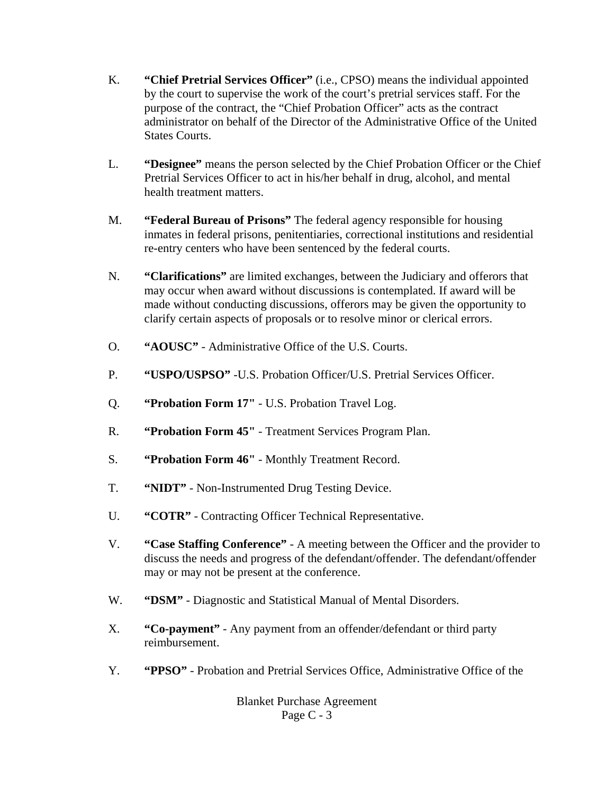- K. **"Chief Pretrial Services Officer"** (i.e., CPSO) means the individual appointed by the court to supervise the work of the court's pretrial services staff. For the purpose of the contract, the "Chief Probation Officer" acts as the contract administrator on behalf of the Director of the Administrative Office of the United States Courts.
- L. **"Designee"** means the person selected by the Chief Probation Officer or the Chief Pretrial Services Officer to act in his/her behalf in drug, alcohol, and mental health treatment matters.
- M. **"Federal Bureau of Prisons"** The federal agency responsible for housing inmates in federal prisons, penitentiaries, correctional institutions and residential re-entry centers who have been sentenced by the federal courts.
- N. **"Clarifications"** are limited exchanges, between the Judiciary and offerors that may occur when award without discussions is contemplated. If award will be made without conducting discussions, offerors may be given the opportunity to clarify certain aspects of proposals or to resolve minor or clerical errors.
- O. **"AOUSC"** Administrative Office of the U.S. Courts.
- P. **"USPO/USPSO"** -U.S. Probation Officer/U.S. Pretrial Services Officer.
- Q. **"Probation Form 17"**  U.S. Probation Travel Log.
- R. **"Probation Form 45"**  Treatment Services Program Plan.
- S. **"Probation Form 46"**  Monthly Treatment Record.
- T. **"NIDT"** Non-Instrumented Drug Testing Device.
- U. **"COTR"** Contracting Officer Technical Representative.
- V. **"Case Staffing Conference"** A meeting between the Officer and the provider to discuss the needs and progress of the defendant/offender. The defendant/offender may or may not be present at the conference.
- W. **"DSM"** Diagnostic and Statistical Manual of Mental Disorders.
- X. **"Co-payment"**  Any payment from an offender/defendant or third party reimbursement.
- Y. **"PPSO"**  Probation and Pretrial Services Office, Administrative Office of the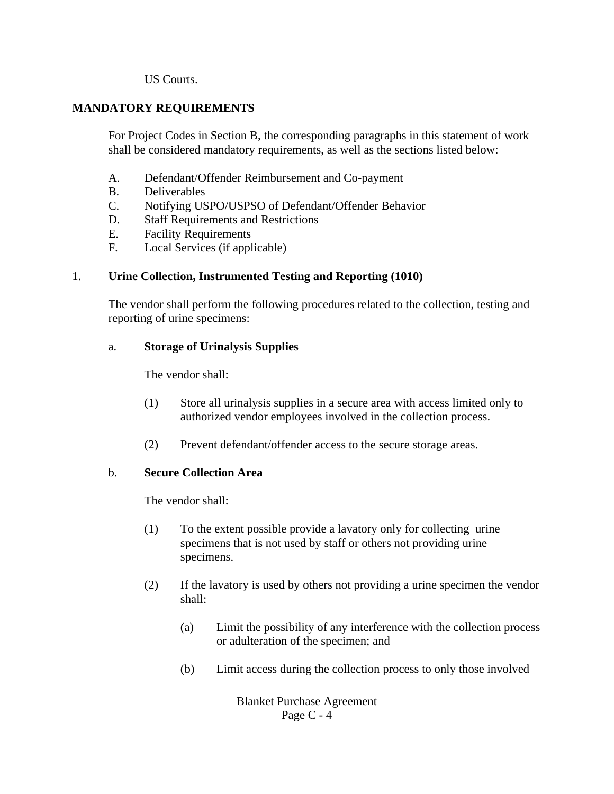US Courts.

## **MANDATORY REQUIREMENTS**

For Project Codes in Section B, the corresponding paragraphs in this statement of work shall be considered mandatory requirements, as well as the sections listed below:

- A. Defendant/Offender Reimbursement and Co-payment
- B. Deliverables
- C. Notifying USPO/USPSO of Defendant/Offender Behavior
- D. Staff Requirements and Restrictions
- E. Facility Requirements
- F. Local Services (if applicable)

#### 1. **Urine Collection, Instrumented Testing and Reporting (1010)**

The vendor shall perform the following procedures related to the collection, testing and reporting of urine specimens:

#### a. **Storage of Urinalysis Supplies**

The vendor shall:

- (1) Store all urinalysis supplies in a secure area with access limited only to authorized vendor employees involved in the collection process.
- (2) Prevent defendant/offender access to the secure storage areas.

#### b. **Secure Collection Area**

The vendor shall:

- (1) To the extent possible provide a lavatory only for collecting urine specimens that is not used by staff or others not providing urine specimens.
- (2) If the lavatory is used by others not providing a urine specimen the vendor shall:
	- (a) Limit the possibility of any interference with the collection process or adulteration of the specimen; and
	- (b) Limit access during the collection process to only those involved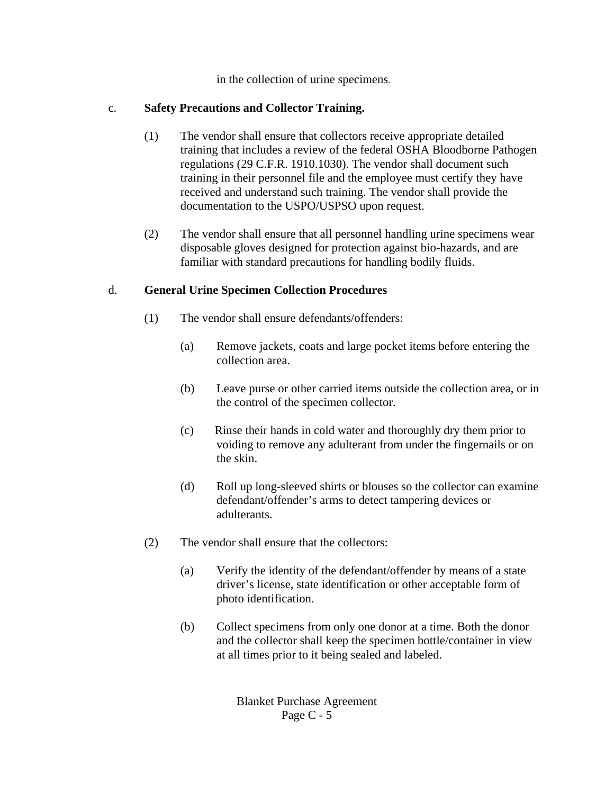in the collection of urine specimens.

# c. **Safety Precautions and Collector Training.**

- (1) The vendor shall ensure that collectors receive appropriate detailed training that includes a review of the federal OSHA Bloodborne Pathogen regulations (29 C.F.R. 1910.1030). The vendor shall document such training in their personnel file and the employee must certify they have received and understand such training. The vendor shall provide the documentation to the USPO/USPSO upon request.
- (2) The vendor shall ensure that all personnel handling urine specimens wear disposable gloves designed for protection against bio-hazards, and are familiar with standard precautions for handling bodily fluids.

# d. **General Urine Specimen Collection Procedures**

- (1) The vendor shall ensure defendants/offenders:
	- (a) Remove jackets, coats and large pocket items before entering the collection area.
	- (b) Leave purse or other carried items outside the collection area, or in the control of the specimen collector.
	- (c) Rinse their hands in cold water and thoroughly dry them prior to voiding to remove any adulterant from under the fingernails or on the skin.
	- (d) Roll up long-sleeved shirts or blouses so the collector can examine defendant/offender's arms to detect tampering devices or adulterants.
- (2) The vendor shall ensure that the collectors:
	- (a) Verify the identity of the defendant/offender by means of a state driver's license, state identification or other acceptable form of photo identification.
	- (b) Collect specimens from only one donor at a time. Both the donor and the collector shall keep the specimen bottle/container in view at all times prior to it being sealed and labeled.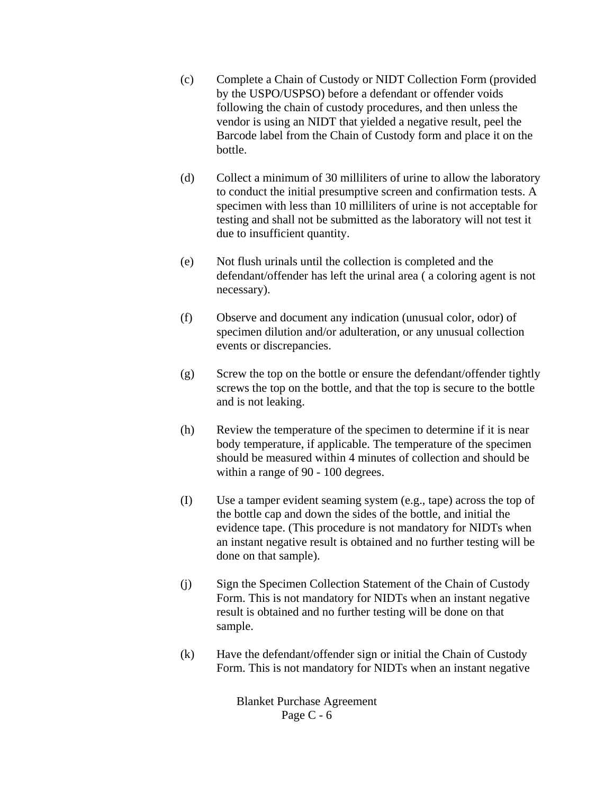- (c) Complete a Chain of Custody or NIDT Collection Form (provided by the USPO/USPSO) before a defendant or offender voids following the chain of custody procedures, and then unless the vendor is using an NIDT that yielded a negative result, peel the Barcode label from the Chain of Custody form and place it on the bottle.
- (d) Collect a minimum of 30 milliliters of urine to allow the laboratory to conduct the initial presumptive screen and confirmation tests. A specimen with less than 10 milliliters of urine is not acceptable for testing and shall not be submitted as the laboratory will not test it due to insufficient quantity.
- (e) Not flush urinals until the collection is completed and the defendant/offender has left the urinal area ( a coloring agent is not necessary).
- (f) Observe and document any indication (unusual color, odor) of specimen dilution and/or adulteration, or any unusual collection events or discrepancies.
- $(g)$  Screw the top on the bottle or ensure the defendant/offender tightly screws the top on the bottle, and that the top is secure to the bottle and is not leaking.
- (h) Review the temperature of the specimen to determine if it is near body temperature, if applicable. The temperature of the specimen should be measured within 4 minutes of collection and should be within a range of 90 - 100 degrees.
- (I) Use a tamper evident seaming system (e.g., tape) across the top of the bottle cap and down the sides of the bottle, and initial the evidence tape. (This procedure is not mandatory for NIDTs when an instant negative result is obtained and no further testing will be done on that sample).
- (j) Sign the Specimen Collection Statement of the Chain of Custody Form. This is not mandatory for NIDTs when an instant negative result is obtained and no further testing will be done on that sample.
- (k) Have the defendant/offender sign or initial the Chain of Custody Form. This is not mandatory for NIDTs when an instant negative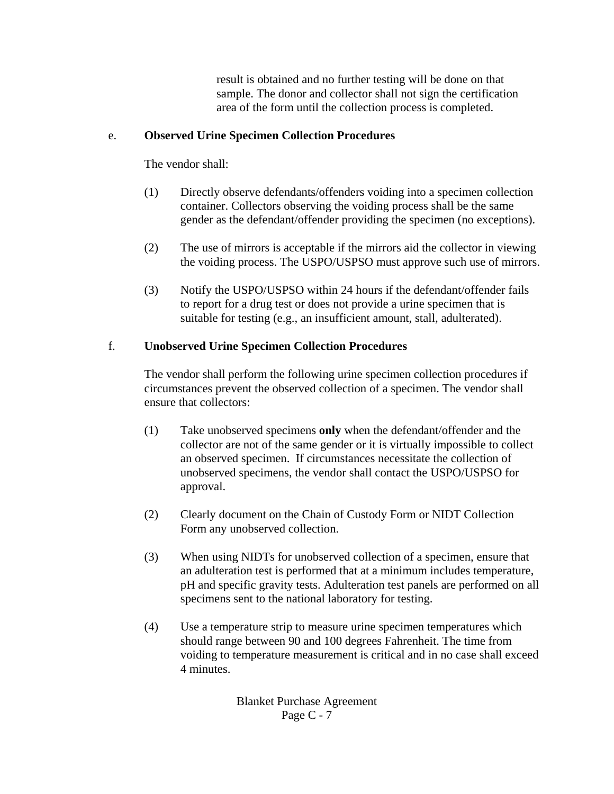result is obtained and no further testing will be done on that sample. The donor and collector shall not sign the certification area of the form until the collection process is completed.

#### e. **Observed Urine Specimen Collection Procedures**

The vendor shall:

- (1) Directly observe defendants/offenders voiding into a specimen collection container. Collectors observing the voiding process shall be the same gender as the defendant/offender providing the specimen (no exceptions).
- (2) The use of mirrors is acceptable if the mirrors aid the collector in viewing the voiding process. The USPO/USPSO must approve such use of mirrors.
- (3) Notify the USPO/USPSO within 24 hours if the defendant/offender fails to report for a drug test or does not provide a urine specimen that is suitable for testing (e.g., an insufficient amount, stall, adulterated).

### f. **Unobserved Urine Specimen Collection Procedures**

The vendor shall perform the following urine specimen collection procedures if circumstances prevent the observed collection of a specimen. The vendor shall ensure that collectors:

- (1) Take unobserved specimens **only** when the defendant/offender and the collector are not of the same gender or it is virtually impossible to collect an observed specimen. If circumstances necessitate the collection of unobserved specimens, the vendor shall contact the USPO/USPSO for approval.
- (2) Clearly document on the Chain of Custody Form or NIDT Collection Form any unobserved collection.
- (3) When using NIDTs for unobserved collection of a specimen, ensure that an adulteration test is performed that at a minimum includes temperature, pH and specific gravity tests. Adulteration test panels are performed on all specimens sent to the national laboratory for testing.
- (4) Use a temperature strip to measure urine specimen temperatures which should range between 90 and 100 degrees Fahrenheit. The time from voiding to temperature measurement is critical and in no case shall exceed 4 minutes.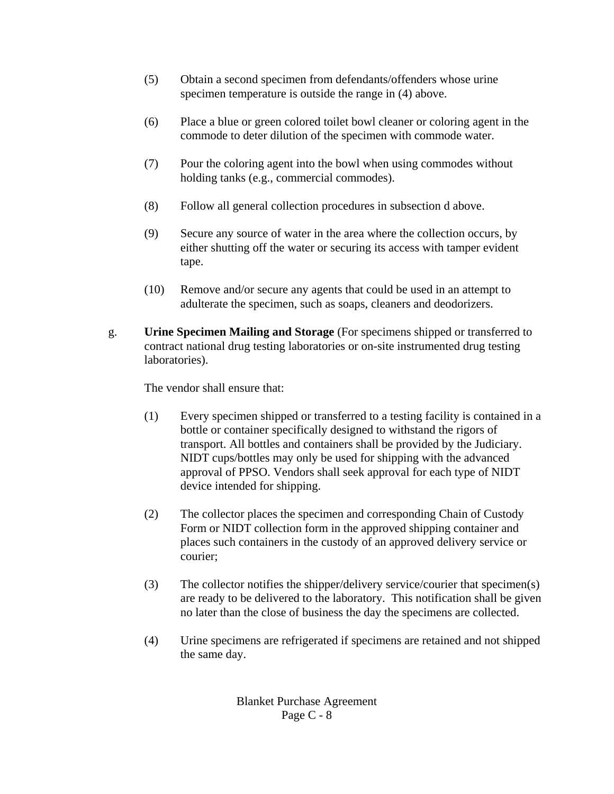- (5) Obtain a second specimen from defendants/offenders whose urine specimen temperature is outside the range in (4) above.
- (6) Place a blue or green colored toilet bowl cleaner or coloring agent in the commode to deter dilution of the specimen with commode water.
- (7) Pour the coloring agent into the bowl when using commodes without holding tanks (e.g., commercial commodes).
- (8) Follow all general collection procedures in subsection d above.
- (9) Secure any source of water in the area where the collection occurs, by either shutting off the water or securing its access with tamper evident tape.
- (10) Remove and/or secure any agents that could be used in an attempt to adulterate the specimen, such as soaps, cleaners and deodorizers.
- g. **Urine Specimen Mailing and Storage** (For specimens shipped or transferred to contract national drug testing laboratories or on-site instrumented drug testing laboratories).

The vendor shall ensure that:

- (1) Every specimen shipped or transferred to a testing facility is contained in a bottle or container specifically designed to withstand the rigors of transport. All bottles and containers shall be provided by the Judiciary. NIDT cups/bottles may only be used for shipping with the advanced approval of PPSO. Vendors shall seek approval for each type of NIDT device intended for shipping.
- (2) The collector places the specimen and corresponding Chain of Custody Form or NIDT collection form in the approved shipping container and places such containers in the custody of an approved delivery service or courier;
- (3) The collector notifies the shipper/delivery service/courier that specimen(s) are ready to be delivered to the laboratory. This notification shall be given no later than the close of business the day the specimens are collected.
- (4) Urine specimens are refrigerated if specimens are retained and not shipped the same day.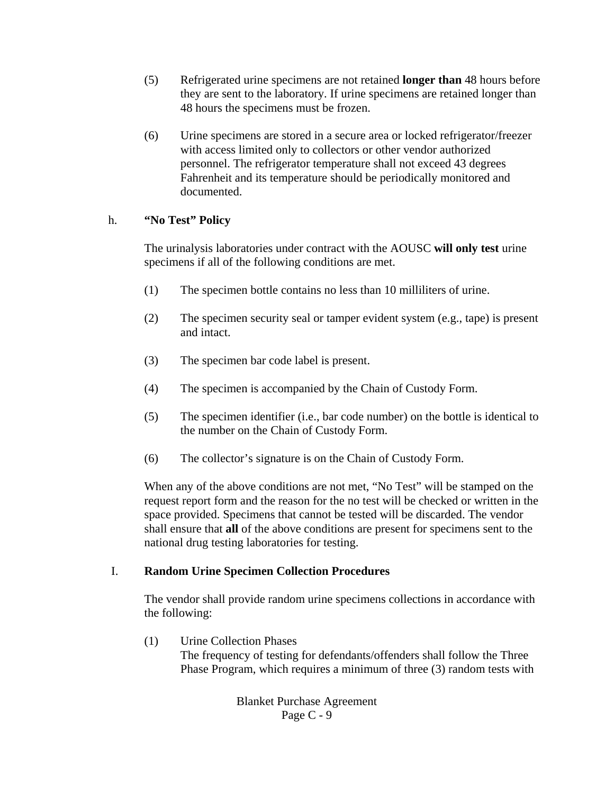- (5) Refrigerated urine specimens are not retained **longer than** 48 hours before they are sent to the laboratory. If urine specimens are retained longer than 48 hours the specimens must be frozen.
- (6) Urine specimens are stored in a secure area or locked refrigerator/freezer with access limited only to collectors or other vendor authorized personnel. The refrigerator temperature shall not exceed 43 degrees Fahrenheit and its temperature should be periodically monitored and documented.

# h. **"No Test" Policy**

The urinalysis laboratories under contract with the AOUSC **will only test** urine specimens if all of the following conditions are met.

- (1) The specimen bottle contains no less than 10 milliliters of urine.
- (2) The specimen security seal or tamper evident system (e.g., tape) is present and intact.
- (3) The specimen bar code label is present.
- (4) The specimen is accompanied by the Chain of Custody Form.
- (5) The specimen identifier (i.e., bar code number) on the bottle is identical to the number on the Chain of Custody Form.
- (6) The collector's signature is on the Chain of Custody Form.

When any of the above conditions are not met, "No Test" will be stamped on the request report form and the reason for the no test will be checked or written in the space provided. Specimens that cannot be tested will be discarded. The vendor shall ensure that **all** of the above conditions are present for specimens sent to the national drug testing laboratories for testing.

### I. **Random Urine Specimen Collection Procedures**

The vendor shall provide random urine specimens collections in accordance with the following:

(1) Urine Collection Phases

The frequency of testing for defendants/offenders shall follow the Three Phase Program, which requires a minimum of three (3) random tests with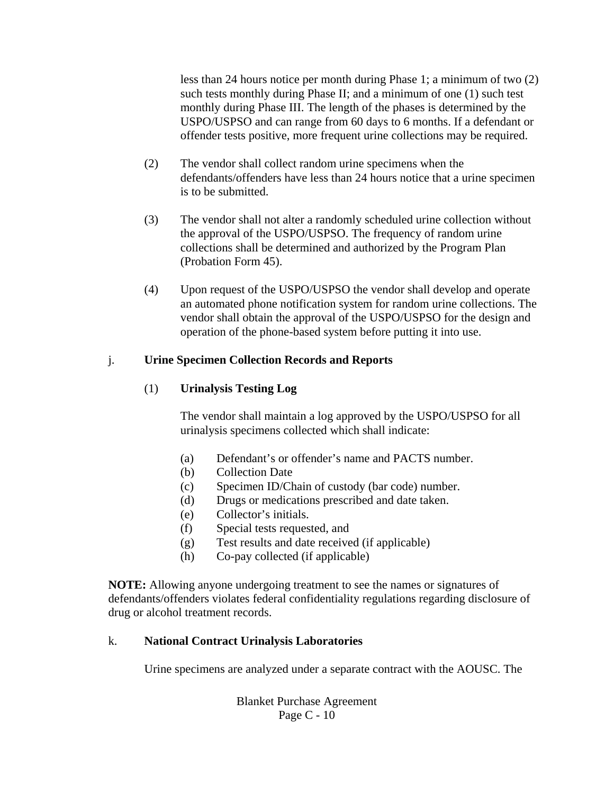less than 24 hours notice per month during Phase 1; a minimum of two (2) such tests monthly during Phase II; and a minimum of one (1) such test monthly during Phase III. The length of the phases is determined by the USPO/USPSO and can range from 60 days to 6 months. If a defendant or offender tests positive, more frequent urine collections may be required.

- (2) The vendor shall collect random urine specimens when the defendants/offenders have less than 24 hours notice that a urine specimen is to be submitted.
- (3) The vendor shall not alter a randomly scheduled urine collection without the approval of the USPO/USPSO. The frequency of random urine collections shall be determined and authorized by the Program Plan (Probation Form 45).
- (4) Upon request of the USPO/USPSO the vendor shall develop and operate an automated phone notification system for random urine collections. The vendor shall obtain the approval of the USPO/USPSO for the design and operation of the phone-based system before putting it into use.

### j. **Urine Specimen Collection Records and Reports**

### (1) **Urinalysis Testing Log**

The vendor shall maintain a log approved by the USPO/USPSO for all urinalysis specimens collected which shall indicate:

- (a) Defendant's or offender's name and PACTS number.
- (b) Collection Date
- (c) Specimen ID/Chain of custody (bar code) number.
- (d) Drugs or medications prescribed and date taken.
- (e) Collector's initials.
- (f) Special tests requested, and
- (g) Test results and date received (if applicable)
- (h) Co-pay collected (if applicable)

 **NOTE:** Allowing anyone undergoing treatment to see the names or signatures of defendants/offenders violates federal confidentiality regulations regarding disclosure of drug or alcohol treatment records.

### k. **National Contract Urinalysis Laboratories**

Urine specimens are analyzed under a separate contract with the AOUSC. The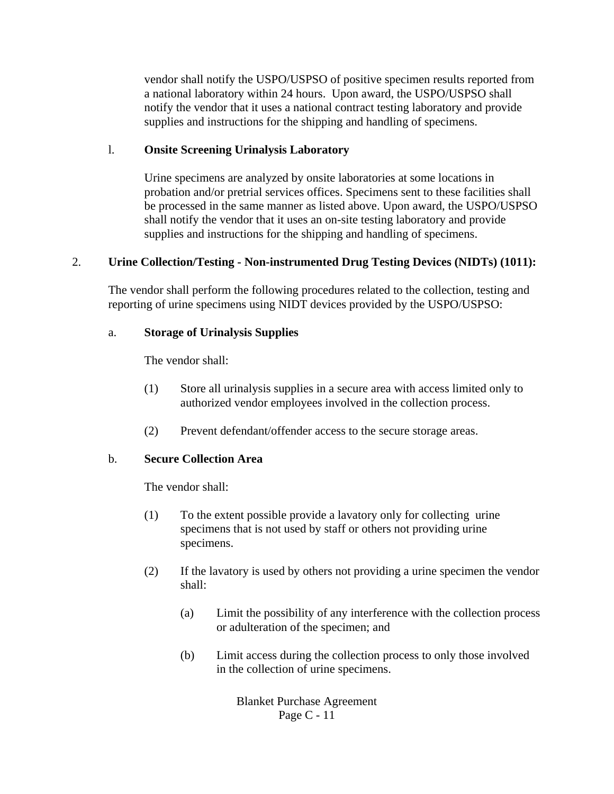vendor shall notify the USPO/USPSO of positive specimen results reported from a national laboratory within 24 hours. Upon award, the USPO/USPSO shall notify the vendor that it uses a national contract testing laboratory and provide supplies and instructions for the shipping and handling of specimens.

#### l. **Onsite Screening Urinalysis Laboratory**

Urine specimens are analyzed by onsite laboratories at some locations in probation and/or pretrial services offices. Specimens sent to these facilities shall be processed in the same manner as listed above. Upon award, the USPO/USPSO shall notify the vendor that it uses an on-site testing laboratory and provide supplies and instructions for the shipping and handling of specimens.

### 2. **Urine Collection/Testing - Non-instrumented Drug Testing Devices (NIDTs) (1011):**

The vendor shall perform the following procedures related to the collection, testing and reporting of urine specimens using NIDT devices provided by the USPO/USPSO:

#### a. **Storage of Urinalysis Supplies**

The vendor shall:

- (1) Store all urinalysis supplies in a secure area with access limited only to authorized vendor employees involved in the collection process.
- (2) Prevent defendant/offender access to the secure storage areas.

### b. **Secure Collection Area**

The vendor shall:

- (1) To the extent possible provide a lavatory only for collecting urine specimens that is not used by staff or others not providing urine specimens.
- (2) If the lavatory is used by others not providing a urine specimen the vendor shall:
	- (a) Limit the possibility of any interference with the collection process or adulteration of the specimen; and
	- (b) Limit access during the collection process to only those involved in the collection of urine specimens.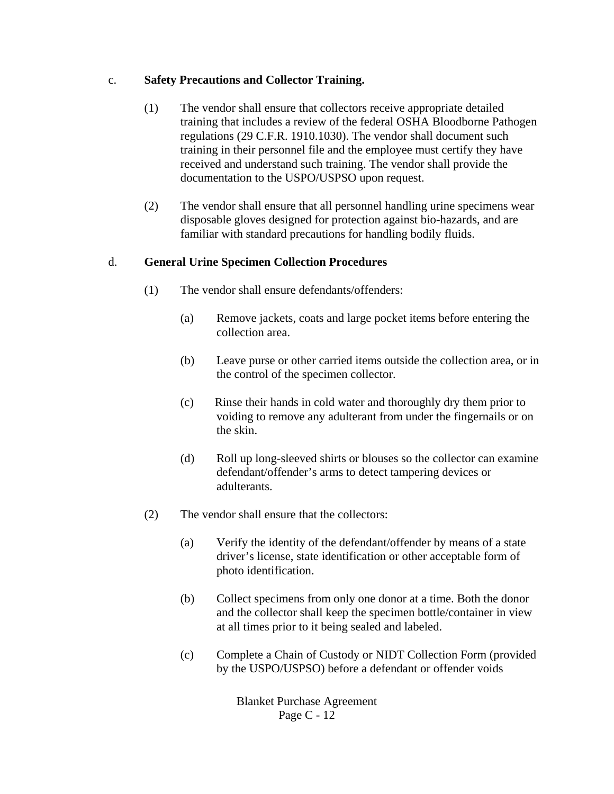## c. **Safety Precautions and Collector Training.**

- (1) The vendor shall ensure that collectors receive appropriate detailed training that includes a review of the federal OSHA Bloodborne Pathogen regulations (29 C.F.R. 1910.1030). The vendor shall document such training in their personnel file and the employee must certify they have received and understand such training. The vendor shall provide the documentation to the USPO/USPSO upon request.
- (2) The vendor shall ensure that all personnel handling urine specimens wear disposable gloves designed for protection against bio-hazards, and are familiar with standard precautions for handling bodily fluids.

# d. **General Urine Specimen Collection Procedures**

- (1) The vendor shall ensure defendants/offenders:
	- (a) Remove jackets, coats and large pocket items before entering the collection area.
	- (b) Leave purse or other carried items outside the collection area, or in the control of the specimen collector.
	- (c) Rinse their hands in cold water and thoroughly dry them prior to voiding to remove any adulterant from under the fingernails or on the skin.
	- (d) Roll up long-sleeved shirts or blouses so the collector can examine defendant/offender's arms to detect tampering devices or adulterants.
- (2) The vendor shall ensure that the collectors:
	- (a) Verify the identity of the defendant/offender by means of a state driver's license, state identification or other acceptable form of photo identification.
	- (b) Collect specimens from only one donor at a time. Both the donor and the collector shall keep the specimen bottle/container in view at all times prior to it being sealed and labeled.
	- (c) Complete a Chain of Custody or NIDT Collection Form (provided by the USPO/USPSO) before a defendant or offender voids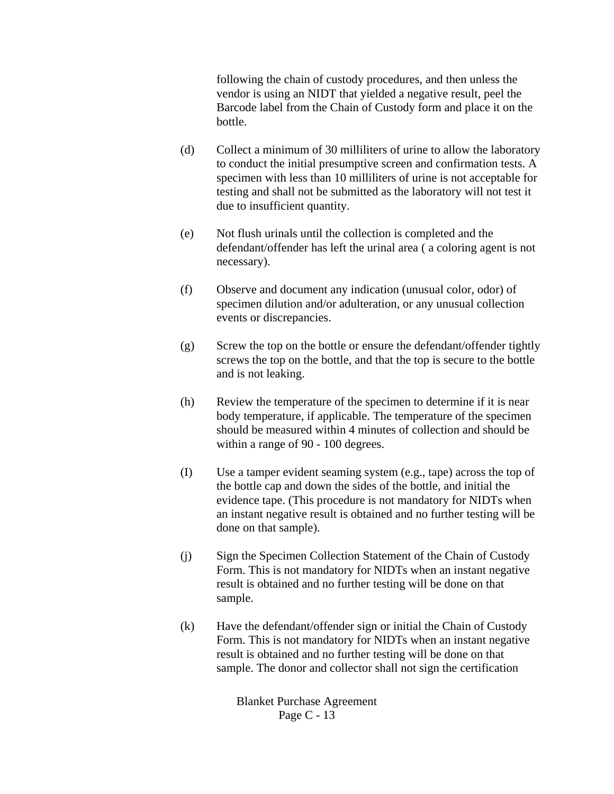following the chain of custody procedures, and then unless the vendor is using an NIDT that yielded a negative result, peel the Barcode label from the Chain of Custody form and place it on the bottle.

- (d) Collect a minimum of 30 milliliters of urine to allow the laboratory to conduct the initial presumptive screen and confirmation tests. A specimen with less than 10 milliliters of urine is not acceptable for testing and shall not be submitted as the laboratory will not test it due to insufficient quantity.
- (e) Not flush urinals until the collection is completed and the defendant/offender has left the urinal area ( a coloring agent is not necessary).
- (f) Observe and document any indication (unusual color, odor) of specimen dilution and/or adulteration, or any unusual collection events or discrepancies.
- (g) Screw the top on the bottle or ensure the defendant/offender tightly screws the top on the bottle, and that the top is secure to the bottle and is not leaking.
- (h) Review the temperature of the specimen to determine if it is near body temperature, if applicable. The temperature of the specimen should be measured within 4 minutes of collection and should be within a range of 90 - 100 degrees.
- (I) Use a tamper evident seaming system (e.g., tape) across the top of the bottle cap and down the sides of the bottle, and initial the evidence tape. (This procedure is not mandatory for NIDTs when an instant negative result is obtained and no further testing will be done on that sample).
- (j) Sign the Specimen Collection Statement of the Chain of Custody Form. This is not mandatory for NIDTs when an instant negative result is obtained and no further testing will be done on that sample.
- (k) Have the defendant/offender sign or initial the Chain of Custody Form. This is not mandatory for NIDTs when an instant negative result is obtained and no further testing will be done on that sample. The donor and collector shall not sign the certification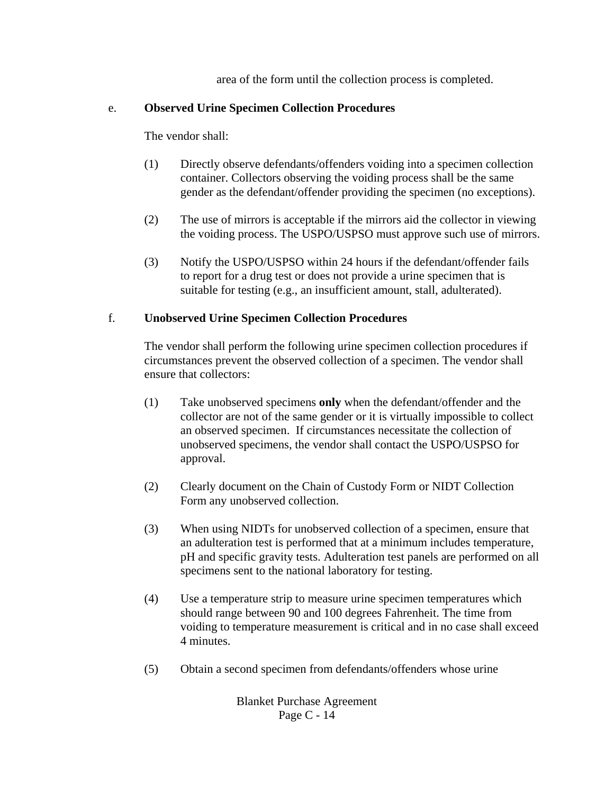area of the form until the collection process is completed.

### e. **Observed Urine Specimen Collection Procedures**

The vendor shall:

- (1) Directly observe defendants/offenders voiding into a specimen collection container. Collectors observing the voiding process shall be the same gender as the defendant/offender providing the specimen (no exceptions).
- (2) The use of mirrors is acceptable if the mirrors aid the collector in viewing the voiding process. The USPO/USPSO must approve such use of mirrors.
- (3) Notify the USPO/USPSO within 24 hours if the defendant/offender fails to report for a drug test or does not provide a urine specimen that is suitable for testing (e.g., an insufficient amount, stall, adulterated).

### f. **Unobserved Urine Specimen Collection Procedures**

The vendor shall perform the following urine specimen collection procedures if circumstances prevent the observed collection of a specimen. The vendor shall ensure that collectors:

- (1) Take unobserved specimens **only** when the defendant/offender and the collector are not of the same gender or it is virtually impossible to collect an observed specimen. If circumstances necessitate the collection of unobserved specimens, the vendor shall contact the USPO/USPSO for approval.
- (2) Clearly document on the Chain of Custody Form or NIDT Collection Form any unobserved collection.
- (3) When using NIDTs for unobserved collection of a specimen, ensure that an adulteration test is performed that at a minimum includes temperature, pH and specific gravity tests. Adulteration test panels are performed on all specimens sent to the national laboratory for testing.
- (4) Use a temperature strip to measure urine specimen temperatures which should range between 90 and 100 degrees Fahrenheit. The time from voiding to temperature measurement is critical and in no case shall exceed 4 minutes.
- (5) Obtain a second specimen from defendants/offenders whose urine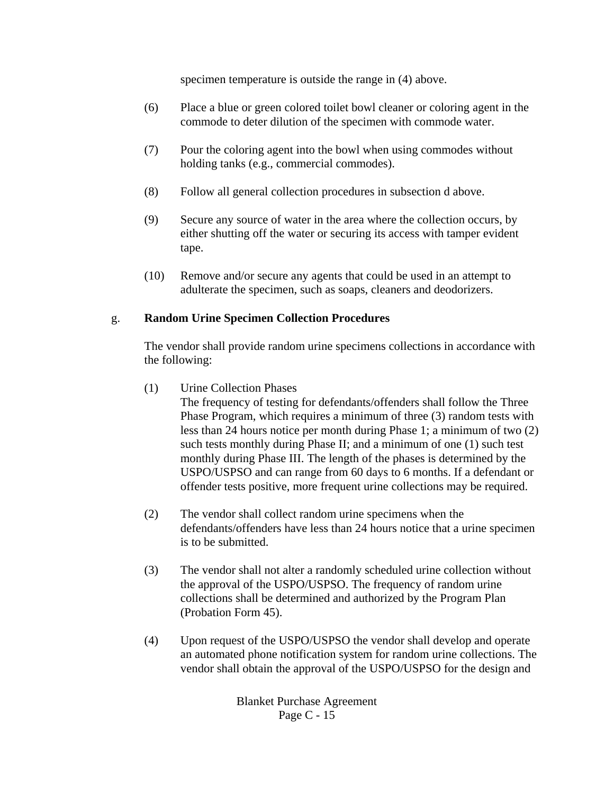specimen temperature is outside the range in (4) above.

- (6) Place a blue or green colored toilet bowl cleaner or coloring agent in the commode to deter dilution of the specimen with commode water.
- (7) Pour the coloring agent into the bowl when using commodes without holding tanks (e.g., commercial commodes).
- (8) Follow all general collection procedures in subsection d above.
- (9) Secure any source of water in the area where the collection occurs, by either shutting off the water or securing its access with tamper evident tape.
- (10) Remove and/or secure any agents that could be used in an attempt to adulterate the specimen, such as soaps, cleaners and deodorizers.

#### g. **Random Urine Specimen Collection Procedures**

The vendor shall provide random urine specimens collections in accordance with the following:

(1) Urine Collection Phases

The frequency of testing for defendants/offenders shall follow the Three Phase Program, which requires a minimum of three (3) random tests with less than 24 hours notice per month during Phase 1; a minimum of two (2) such tests monthly during Phase II; and a minimum of one (1) such test monthly during Phase III. The length of the phases is determined by the USPO/USPSO and can range from 60 days to 6 months. If a defendant or offender tests positive, more frequent urine collections may be required.

- (2) The vendor shall collect random urine specimens when the defendants/offenders have less than 24 hours notice that a urine specimen is to be submitted.
- (3) The vendor shall not alter a randomly scheduled urine collection without the approval of the USPO/USPSO. The frequency of random urine collections shall be determined and authorized by the Program Plan (Probation Form 45).
- (4) Upon request of the USPO/USPSO the vendor shall develop and operate an automated phone notification system for random urine collections. The vendor shall obtain the approval of the USPO/USPSO for the design and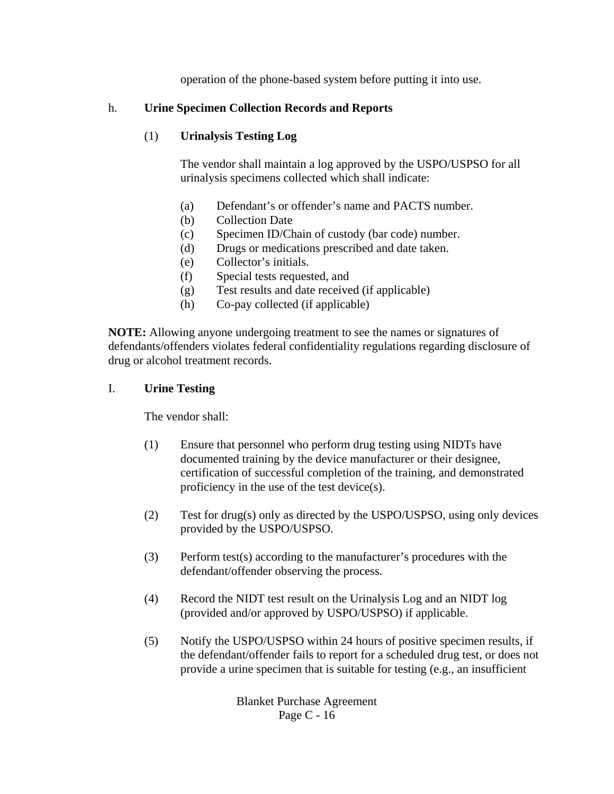operation of the phone-based system before putting it into use.

## h. **Urine Specimen Collection Records and Reports**

# (1) **Urinalysis Testing Log**

The vendor shall maintain a log approved by the USPO/USPSO for all urinalysis specimens collected which shall indicate:

- (a) Defendant's or offender's name and PACTS number.
- (b) Collection Date
- (c) Specimen ID/Chain of custody (bar code) number.
- (d) Drugs or medications prescribed and date taken.
- (e) Collector's initials.
- (f) Special tests requested, and
- (g) Test results and date received (if applicable)
- (h) Co-pay collected (if applicable)

 **NOTE:** Allowing anyone undergoing treatment to see the names or signatures of defendants/offenders violates federal confidentiality regulations regarding disclosure of drug or alcohol treatment records.

#### I. **Urine Testing**

The vendor shall:

- (1) Ensure that personnel who perform drug testing using NIDTs have documented training by the device manufacturer or their designee, certification of successful completion of the training, and demonstrated proficiency in the use of the test device(s).
- (2) Test for drug(s) only as directed by the USPO/USPSO, using only devices provided by the USPO/USPSO.
- (3) Perform test(s) according to the manufacturer's procedures with the defendant/offender observing the process.
- (4) Record the NIDT test result on the Urinalysis Log and an NIDT log (provided and/or approved by USPO/USPSO) if applicable.
- (5) Notify the USPO/USPSO within 24 hours of positive specimen results, if the defendant/offender fails to report for a scheduled drug test, or does not provide a urine specimen that is suitable for testing (e.g., an insufficient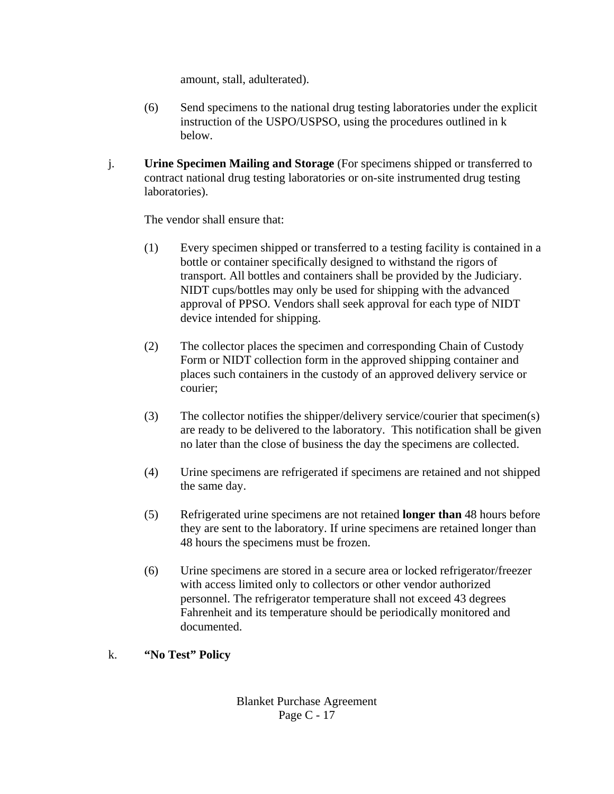amount, stall, adulterated).

- (6) Send specimens to the national drug testing laboratories under the explicit instruction of the USPO/USPSO, using the procedures outlined in k below.
- j. **Urine Specimen Mailing and Storage** (For specimens shipped or transferred to contract national drug testing laboratories or on-site instrumented drug testing laboratories).

The vendor shall ensure that:

- (1) Every specimen shipped or transferred to a testing facility is contained in a bottle or container specifically designed to withstand the rigors of transport. All bottles and containers shall be provided by the Judiciary. NIDT cups/bottles may only be used for shipping with the advanced approval of PPSO. Vendors shall seek approval for each type of NIDT device intended for shipping.
- (2) The collector places the specimen and corresponding Chain of Custody Form or NIDT collection form in the approved shipping container and places such containers in the custody of an approved delivery service or courier;
- (3) The collector notifies the shipper/delivery service/courier that specimen(s) are ready to be delivered to the laboratory. This notification shall be given no later than the close of business the day the specimens are collected.
- (4) Urine specimens are refrigerated if specimens are retained and not shipped the same day.
- (5) Refrigerated urine specimens are not retained **longer than** 48 hours before they are sent to the laboratory. If urine specimens are retained longer than 48 hours the specimens must be frozen.
- (6) Urine specimens are stored in a secure area or locked refrigerator/freezer with access limited only to collectors or other vendor authorized personnel. The refrigerator temperature shall not exceed 43 degrees Fahrenheit and its temperature should be periodically monitored and documented.
- k. **"No Test" Policy**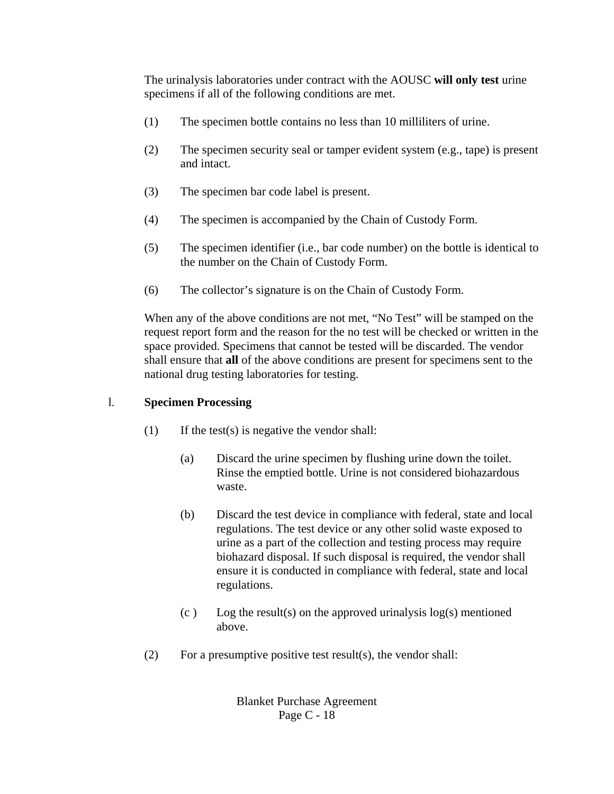The urinalysis laboratories under contract with the AOUSC **will only test** urine specimens if all of the following conditions are met.

- (1) The specimen bottle contains no less than 10 milliliters of urine.
- (2) The specimen security seal or tamper evident system (e.g., tape) is present and intact.
- (3) The specimen bar code label is present.
- (4) The specimen is accompanied by the Chain of Custody Form.
- (5) The specimen identifier (i.e., bar code number) on the bottle is identical to the number on the Chain of Custody Form.
- (6) The collector's signature is on the Chain of Custody Form.

When any of the above conditions are not met, "No Test" will be stamped on the request report form and the reason for the no test will be checked or written in the space provided. Specimens that cannot be tested will be discarded. The vendor shall ensure that **all** of the above conditions are present for specimens sent to the national drug testing laboratories for testing.

## l. **Specimen Processing**

- $(1)$  If the test(s) is negative the vendor shall:
	- (a) Discard the urine specimen by flushing urine down the toilet. Rinse the emptied bottle. Urine is not considered biohazardous waste.
	- (b) Discard the test device in compliance with federal, state and local regulations. The test device or any other solid waste exposed to urine as a part of the collection and testing process may require biohazard disposal. If such disposal is required, the vendor shall ensure it is conducted in compliance with federal, state and local regulations.
	- $(c)$  Log the result(s) on the approved urinalysis log(s) mentioned above.
- (2) For a presumptive positive test result(s), the vendor shall: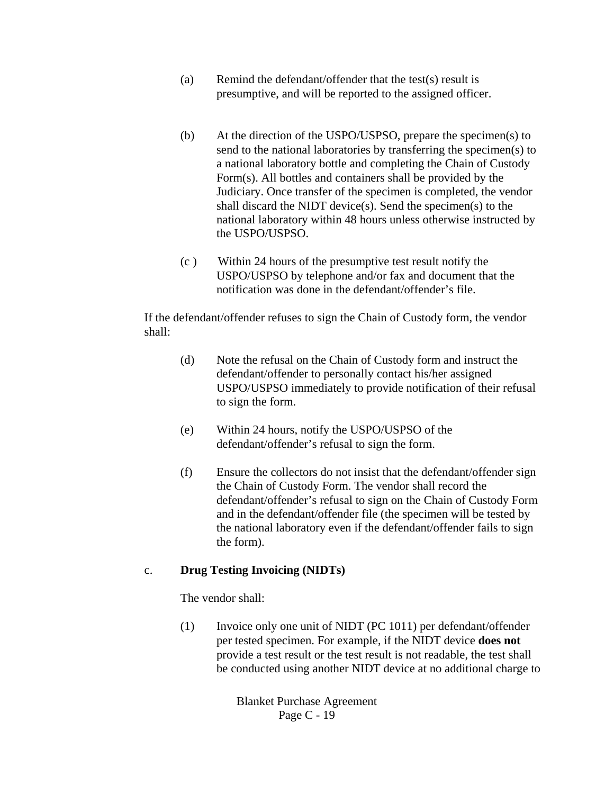- (a) Remind the defendant/offender that the test(s) result is presumptive, and will be reported to the assigned officer.
- (b) At the direction of the USPO/USPSO, prepare the specimen(s) to send to the national laboratories by transferring the specimen(s) to a national laboratory bottle and completing the Chain of Custody Form(s). All bottles and containers shall be provided by the Judiciary. Once transfer of the specimen is completed, the vendor shall discard the NIDT device(s). Send the specimen(s) to the national laboratory within 48 hours unless otherwise instructed by the USPO/USPSO.
- (c ) Within 24 hours of the presumptive test result notify the USPO/USPSO by telephone and/or fax and document that the notification was done in the defendant/offender's file.

If the defendant/offender refuses to sign the Chain of Custody form, the vendor shall:

- (d) Note the refusal on the Chain of Custody form and instruct the defendant/offender to personally contact his/her assigned USPO/USPSO immediately to provide notification of their refusal to sign the form.
- (e) Within 24 hours, notify the USPO/USPSO of the defendant/offender's refusal to sign the form.
- (f) Ensure the collectors do not insist that the defendant/offender sign the Chain of Custody Form. The vendor shall record the defendant/offender's refusal to sign on the Chain of Custody Form and in the defendant/offender file (the specimen will be tested by the national laboratory even if the defendant/offender fails to sign the form).

#### c. **Drug Testing Invoicing (NIDTs)**

The vendor shall:

(1) Invoice only one unit of NIDT (PC 1011) per defendant/offender per tested specimen. For example, if the NIDT device **does not** provide a test result or the test result is not readable, the test shall be conducted using another NIDT device at no additional charge to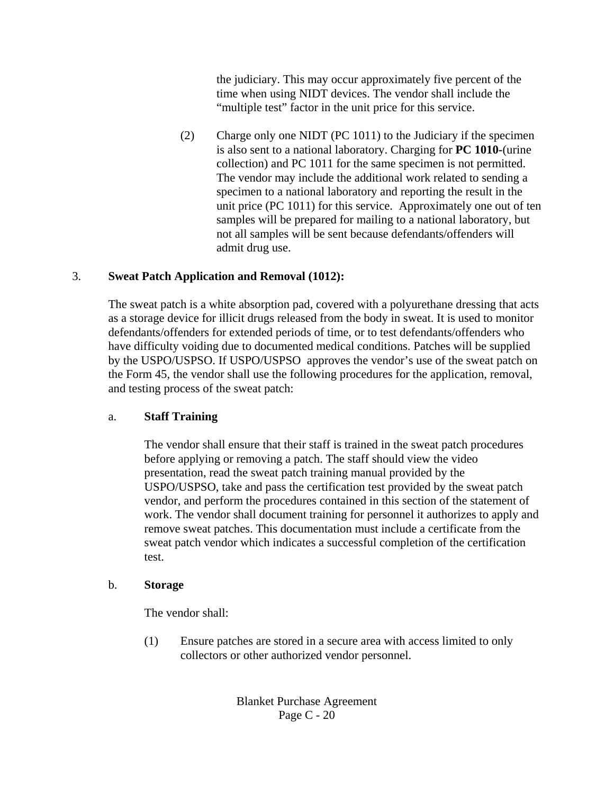the judiciary. This may occur approximately five percent of the time when using NIDT devices. The vendor shall include the "multiple test" factor in the unit price for this service.

(2) Charge only one NIDT (PC 1011) to the Judiciary if the specimen is also sent to a national laboratory. Charging for **PC 1010-**(urine collection) and PC 1011 for the same specimen is not permitted. The vendor may include the additional work related to sending a specimen to a national laboratory and reporting the result in the unit price (PC 1011) for this service. Approximately one out of ten samples will be prepared for mailing to a national laboratory, but not all samples will be sent because defendants/offenders will admit drug use.

### 3. **Sweat Patch Application and Removal (1012):**

The sweat patch is a white absorption pad, covered with a polyurethane dressing that acts as a storage device for illicit drugs released from the body in sweat. It is used to monitor defendants/offenders for extended periods of time, or to test defendants/offenders who have difficulty voiding due to documented medical conditions. Patches will be supplied by the USPO/USPSO. If USPO/USPSO approves the vendor's use of the sweat patch on the Form 45, the vendor shall use the following procedures for the application, removal, and testing process of the sweat patch:

### a. **Staff Training**

The vendor shall ensure that their staff is trained in the sweat patch procedures before applying or removing a patch. The staff should view the video presentation, read the sweat patch training manual provided by the USPO/USPSO, take and pass the certification test provided by the sweat patch vendor, and perform the procedures contained in this section of the statement of work. The vendor shall document training for personnel it authorizes to apply and remove sweat patches. This documentation must include a certificate from the sweat patch vendor which indicates a successful completion of the certification test.

#### b. **Storage**

The vendor shall:

(1) Ensure patches are stored in a secure area with access limited to only collectors or other authorized vendor personnel.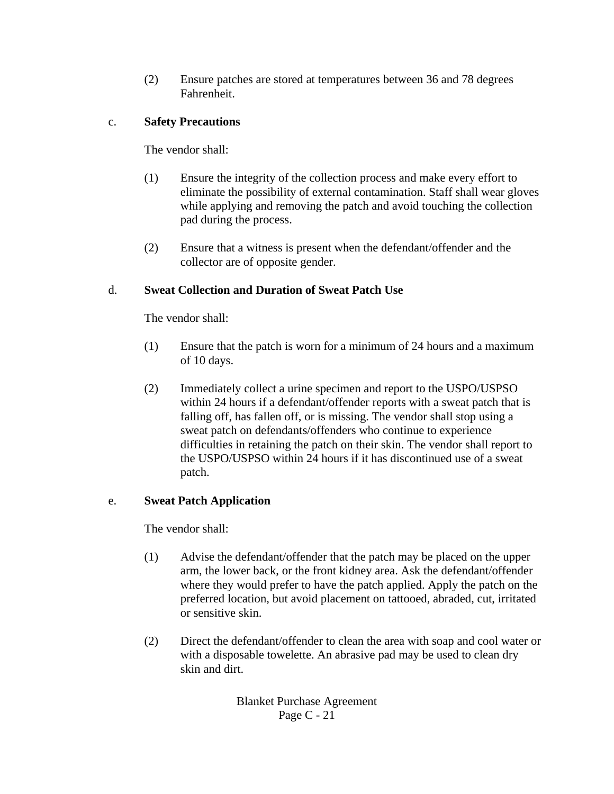(2) Ensure patches are stored at temperatures between 36 and 78 degrees Fahrenheit.

# c. **Safety Precautions**

The vendor shall:

- (1) Ensure the integrity of the collection process and make every effort to eliminate the possibility of external contamination. Staff shall wear gloves while applying and removing the patch and avoid touching the collection pad during the process.
- (2) Ensure that a witness is present when the defendant/offender and the collector are of opposite gender.

# d. **Sweat Collection and Duration of Sweat Patch Use**

The vendor shall:

- (1) Ensure that the patch is worn for a minimum of 24 hours and a maximum of 10 days.
- (2) Immediately collect a urine specimen and report to the USPO/USPSO within 24 hours if a defendant/offender reports with a sweat patch that is falling off, has fallen off, or is missing. The vendor shall stop using a sweat patch on defendants/offenders who continue to experience difficulties in retaining the patch on their skin. The vendor shall report to the USPO/USPSO within 24 hours if it has discontinued use of a sweat patch.

### e. **Sweat Patch Application**

The vendor shall:

- (1) Advise the defendant/offender that the patch may be placed on the upper arm, the lower back, or the front kidney area. Ask the defendant/offender where they would prefer to have the patch applied. Apply the patch on the preferred location, but avoid placement on tattooed, abraded, cut, irritated or sensitive skin.
- (2) Direct the defendant/offender to clean the area with soap and cool water or with a disposable towelette. An abrasive pad may be used to clean dry skin and dirt.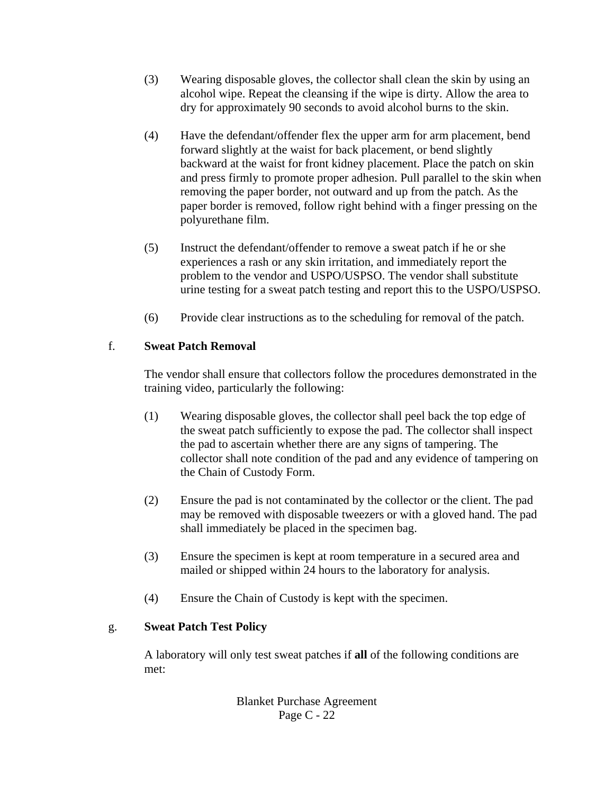- (3) Wearing disposable gloves, the collector shall clean the skin by using an alcohol wipe. Repeat the cleansing if the wipe is dirty. Allow the area to dry for approximately 90 seconds to avoid alcohol burns to the skin.
- (4) Have the defendant/offender flex the upper arm for arm placement, bend forward slightly at the waist for back placement, or bend slightly backward at the waist for front kidney placement. Place the patch on skin and press firmly to promote proper adhesion. Pull parallel to the skin when removing the paper border, not outward and up from the patch. As the paper border is removed, follow right behind with a finger pressing on the polyurethane film.
- (5) Instruct the defendant/offender to remove a sweat patch if he or she experiences a rash or any skin irritation, and immediately report the problem to the vendor and USPO/USPSO. The vendor shall substitute urine testing for a sweat patch testing and report this to the USPO/USPSO.
- (6) Provide clear instructions as to the scheduling for removal of the patch.

# f. **Sweat Patch Removal**

The vendor shall ensure that collectors follow the procedures demonstrated in the training video, particularly the following:

- (1) Wearing disposable gloves, the collector shall peel back the top edge of the sweat patch sufficiently to expose the pad. The collector shall inspect the pad to ascertain whether there are any signs of tampering. The collector shall note condition of the pad and any evidence of tampering on the Chain of Custody Form.
- (2) Ensure the pad is not contaminated by the collector or the client. The pad may be removed with disposable tweezers or with a gloved hand. The pad shall immediately be placed in the specimen bag.
- (3) Ensure the specimen is kept at room temperature in a secured area and mailed or shipped within 24 hours to the laboratory for analysis.
- (4) Ensure the Chain of Custody is kept with the specimen.

### g. **Sweat Patch Test Policy**

A laboratory will only test sweat patches if **all** of the following conditions are met: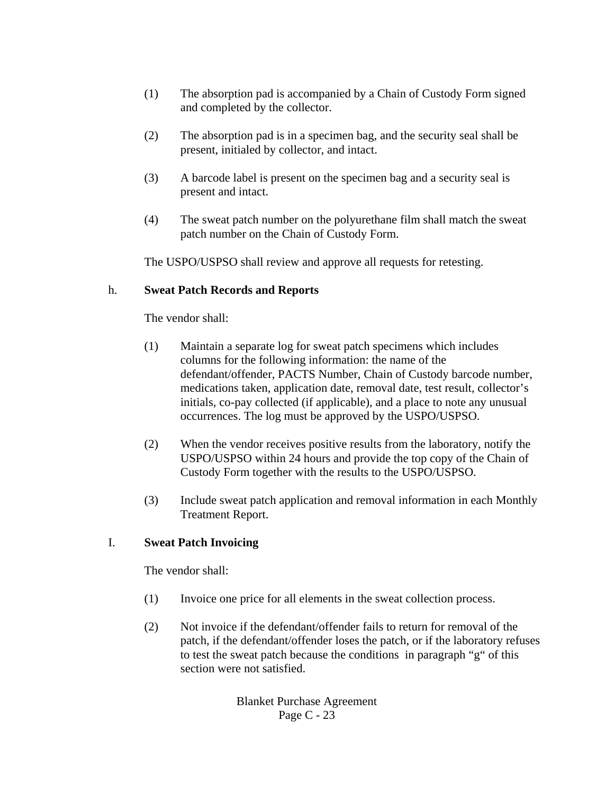- (1) The absorption pad is accompanied by a Chain of Custody Form signed and completed by the collector.
- (2) The absorption pad is in a specimen bag, and the security seal shall be present, initialed by collector, and intact.
- (3) A barcode label is present on the specimen bag and a security seal is present and intact.
- (4) The sweat patch number on the polyurethane film shall match the sweat patch number on the Chain of Custody Form.

The USPO/USPSO shall review and approve all requests for retesting.

#### h. **Sweat Patch Records and Reports**

The vendor shall:

- (1) Maintain a separate log for sweat patch specimens which includes columns for the following information: the name of the defendant/offender, PACTS Number, Chain of Custody barcode number, medications taken, application date, removal date, test result, collector's initials, co-pay collected (if applicable), and a place to note any unusual occurrences. The log must be approved by the USPO/USPSO.
- (2) When the vendor receives positive results from the laboratory, notify the USPO/USPSO within 24 hours and provide the top copy of the Chain of Custody Form together with the results to the USPO/USPSO.
- (3) Include sweat patch application and removal information in each Monthly Treatment Report.

### I. **Sweat Patch Invoicing**

The vendor shall:

- (1) Invoice one price for all elements in the sweat collection process.
- (2) Not invoice if the defendant/offender fails to return for removal of the patch, if the defendant/offender loses the patch, or if the laboratory refuses to test the sweat patch because the conditions in paragraph "g" of this section were not satisfied.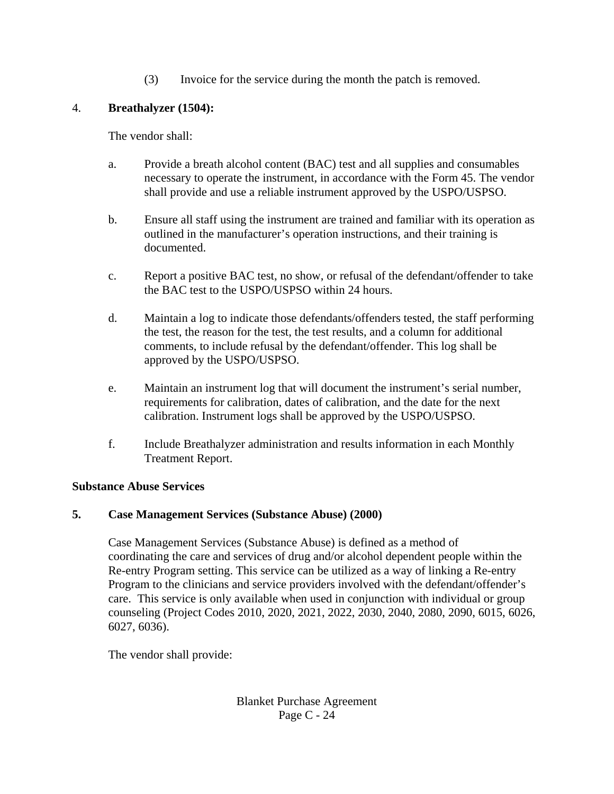(3) Invoice for the service during the month the patch is removed.

# 4. **Breathalyzer (1504):**

The vendor shall:

- a. Provide a breath alcohol content (BAC) test and all supplies and consumables necessary to operate the instrument, in accordance with the Form 45. The vendor shall provide and use a reliable instrument approved by the USPO/USPSO.
- b. Ensure all staff using the instrument are trained and familiar with its operation as outlined in the manufacturer's operation instructions, and their training is documented.
- c. Report a positive BAC test, no show, or refusal of the defendant/offender to take the BAC test to the USPO/USPSO within 24 hours.
- d. Maintain a log to indicate those defendants/offenders tested, the staff performing the test, the reason for the test, the test results, and a column for additional comments, to include refusal by the defendant/offender. This log shall be approved by the USPO/USPSO.
- e. Maintain an instrument log that will document the instrument's serial number, requirements for calibration, dates of calibration, and the date for the next calibration. Instrument logs shall be approved by the USPO/USPSO.
- f. Include Breathalyzer administration and results information in each Monthly Treatment Report.

### **Substance Abuse Services**

# **5. Case Management Services (Substance Abuse) (2000)**

Case Management Services (Substance Abuse) is defined as a method of coordinating the care and services of drug and/or alcohol dependent people within the Re-entry Program setting. This service can be utilized as a way of linking a Re-entry Program to the clinicians and service providers involved with the defendant/offender's care. This service is only available when used in conjunction with individual or group counseling (Project Codes 2010, 2020, 2021, 2022, 2030, 2040, 2080, 2090, 6015, 6026, 6027, 6036).

The vendor shall provide: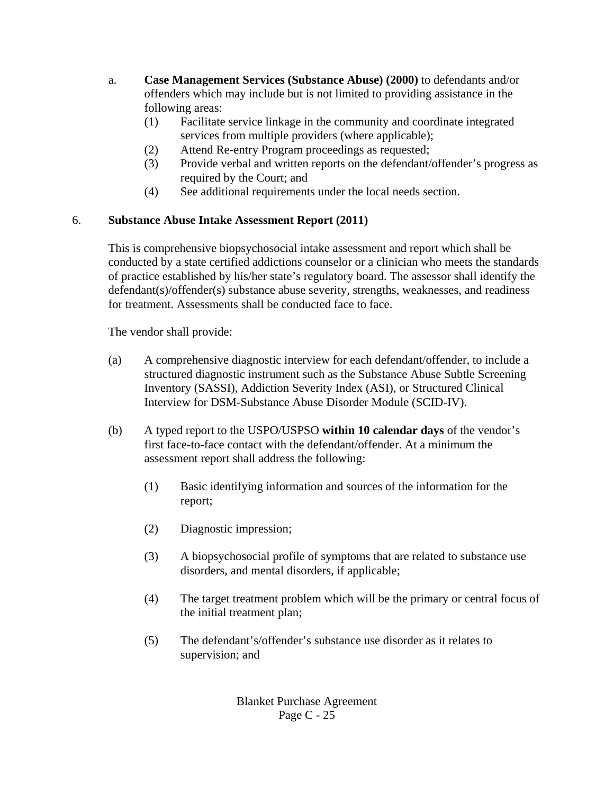- a. **Case Management Services (Substance Abuse) (2000)** to defendants and/or offenders which may include but is not limited to providing assistance in the following areas:
	- (1) Facilitate service linkage in the community and coordinate integrated services from multiple providers (where applicable);
	- (2) Attend Re-entry Program proceedings as requested;
	- (3) Provide verbal and written reports on the defendant/offender's progress as required by the Court; and
	- (4) See additional requirements under the local needs section.

# 6. **Substance Abuse Intake Assessment Report (2011)**

This is comprehensive biopsychosocial intake assessment and report which shall be conducted by a state certified addictions counselor or a clinician who meets the standards of practice established by his/her state's regulatory board. The assessor shall identify the defendant(s)/offender(s) substance abuse severity, strengths, weaknesses, and readiness for treatment. Assessments shall be conducted face to face.

The vendor shall provide:

- (a) A comprehensive diagnostic interview for each defendant/offender, to include a structured diagnostic instrument such as the Substance Abuse Subtle Screening Inventory (SASSI), Addiction Severity Index (ASI), or Structured Clinical Interview for DSM-Substance Abuse Disorder Module (SCID-IV).
- (b) A typed report to the USPO/USPSO **within 10 calendar days** of the vendor's first face-to-face contact with the defendant/offender. At a minimum the assessment report shall address the following:
	- (1) Basic identifying information and sources of the information for the report;
	- (2) Diagnostic impression;
	- (3) A biopsychosocial profile of symptoms that are related to substance use disorders, and mental disorders, if applicable;
	- (4) The target treatment problem which will be the primary or central focus of the initial treatment plan;
	- (5) The defendant's/offender's substance use disorder as it relates to supervision; and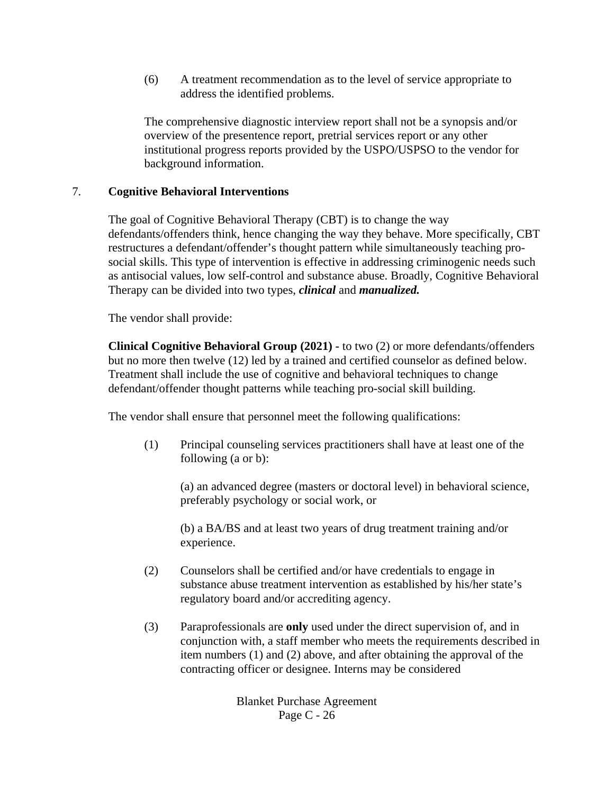(6) A treatment recommendation as to the level of service appropriate to address the identified problems.

The comprehensive diagnostic interview report shall not be a synopsis and/or overview of the presentence report, pretrial services report or any other institutional progress reports provided by the USPO/USPSO to the vendor for background information.

#### 7. **Cognitive Behavioral Interventions**

The goal of Cognitive Behavioral Therapy (CBT) is to change the way defendants/offenders think, hence changing the way they behave. More specifically, CBT restructures a defendant/offender's thought pattern while simultaneously teaching prosocial skills. This type of intervention is effective in addressing criminogenic needs such as antisocial values, low self-control and substance abuse. Broadly, Cognitive Behavioral Therapy can be divided into two types, *clinical* and *manualized.* 

The vendor shall provide:

**Clinical Cognitive Behavioral Group (2021) -** to two (2) or more defendants/offenders but no more then twelve (12) led by a trained and certified counselor as defined below. Treatment shall include the use of cognitive and behavioral techniques to change defendant/offender thought patterns while teaching pro-social skill building.

The vendor shall ensure that personnel meet the following qualifications:

(1) Principal counseling services practitioners shall have at least one of the following (a or b):

(a) an advanced degree (masters or doctoral level) in behavioral science, preferably psychology or social work, or

(b) a BA/BS and at least two years of drug treatment training and/or experience.

- (2) Counselors shall be certified and/or have credentials to engage in substance abuse treatment intervention as established by his/her state's regulatory board and/or accrediting agency.
- (3) Paraprofessionals are **only** used under the direct supervision of, and in conjunction with, a staff member who meets the requirements described in item numbers (1) and (2) above, and after obtaining the approval of the contracting officer or designee. Interns may be considered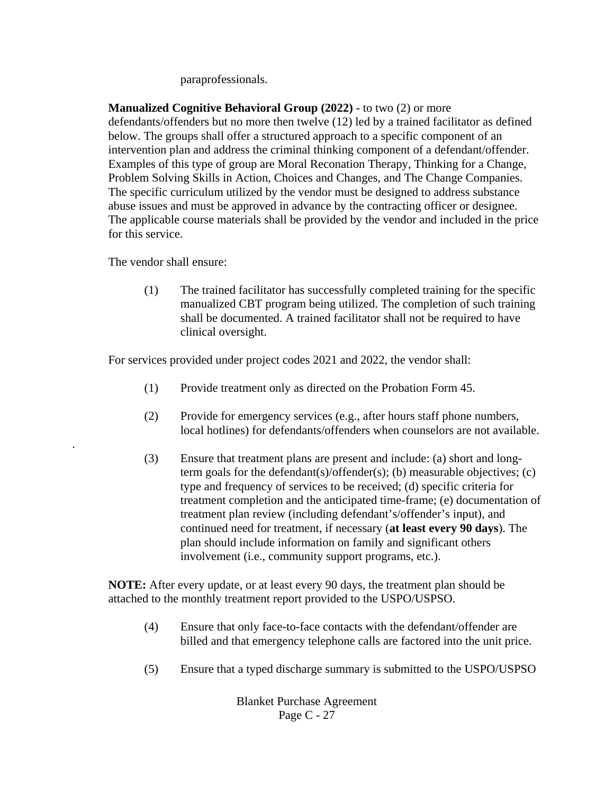#### paraprofessionals.

**Manualized Cognitive Behavioral Group (2022) -** to two (2) or more defendants/offenders but no more then twelve (12) led by a trained facilitator as defined below. The groups shall offer a structured approach to a specific component of an intervention plan and address the criminal thinking component of a defendant/offender. Examples of this type of group are Moral Reconation Therapy, Thinking for a Change, Problem Solving Skills in Action, Choices and Changes, and The Change Companies. The specific curriculum utilized by the vendor must be designed to address substance abuse issues and must be approved in advance by the contracting officer or designee. The applicable course materials shall be provided by the vendor and included in the price for this service.

The vendor shall ensure:

.

(1) The trained facilitator has successfully completed training for the specific manualized CBT program being utilized. The completion of such training shall be documented. A trained facilitator shall not be required to have clinical oversight.

For services provided under project codes 2021 and 2022, the vendor shall:

- (1) Provide treatment only as directed on the Probation Form 45.
- (2) Provide for emergency services (e.g., after hours staff phone numbers, local hotlines) for defendants/offenders when counselors are not available.
- (3) Ensure that treatment plans are present and include: (a) short and longterm goals for the defendant(s)/offender(s); (b) measurable objectives; (c) type and frequency of services to be received; (d) specific criteria for treatment completion and the anticipated time-frame; (e) documentation of treatment plan review (including defendant's/offender's input), and continued need for treatment, if necessary (**at least every 90 days**). The plan should include information on family and significant others involvement (i.e., community support programs, etc.).

**NOTE:** After every update, or at least every 90 days, the treatment plan should be attached to the monthly treatment report provided to the USPO/USPSO.

- (4) Ensure that only face-to-face contacts with the defendant/offender are billed and that emergency telephone calls are factored into the unit price.
- (5) Ensure that a typed discharge summary is submitted to the USPO/USPSO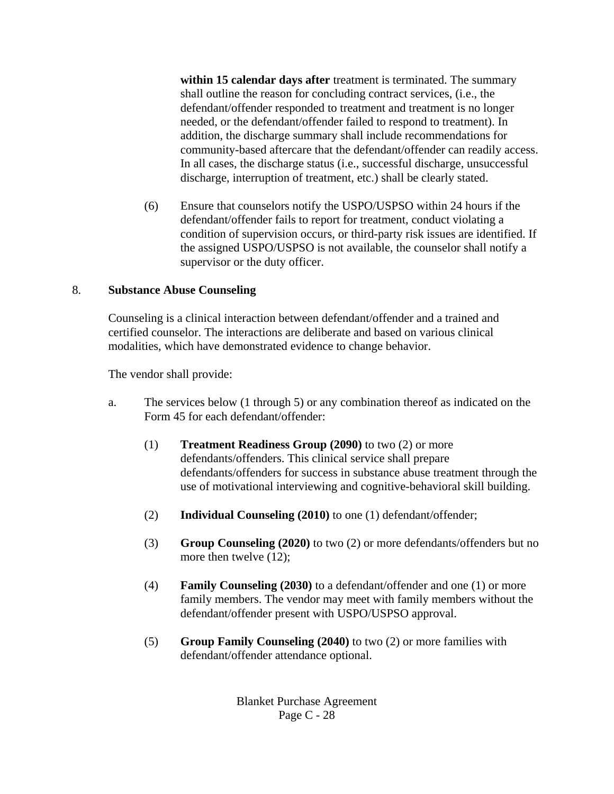**within 15 calendar days after** treatment is terminated. The summary shall outline the reason for concluding contract services, (i.e., the defendant/offender responded to treatment and treatment is no longer needed, or the defendant/offender failed to respond to treatment). In addition, the discharge summary shall include recommendations for community-based aftercare that the defendant/offender can readily access. In all cases, the discharge status (i.e., successful discharge, unsuccessful discharge, interruption of treatment, etc.) shall be clearly stated.

(6) Ensure that counselors notify the USPO/USPSO within 24 hours if the defendant/offender fails to report for treatment, conduct violating a condition of supervision occurs, or third-party risk issues are identified. If the assigned USPO/USPSO is not available, the counselor shall notify a supervisor or the duty officer.

### 8. **Substance Abuse Counseling**

Counseling is a clinical interaction between defendant/offender and a trained and certified counselor. The interactions are deliberate and based on various clinical modalities, which have demonstrated evidence to change behavior.

The vendor shall provide:

- a. The services below (1 through 5) or any combination thereof as indicated on the Form 45 for each defendant/offender:
	- (1) **Treatment Readiness Group (2090)** to two (2) or more defendants/offenders. This clinical service shall prepare defendants/offenders for success in substance abuse treatment through the use of motivational interviewing and cognitive-behavioral skill building.
	- (2) **Individual Counseling (2010)** to one (1) defendant/offender;
	- (3) **Group Counseling (2020)** to two (2) or more defendants/offenders but no more then twelve (12);
	- (4) **Family Counseling (2030)** to a defendant/offender and one (1) or more family members. The vendor may meet with family members without the defendant/offender present with USPO/USPSO approval.
	- (5) **Group Family Counseling (2040)** to two (2) or more families with defendant/offender attendance optional.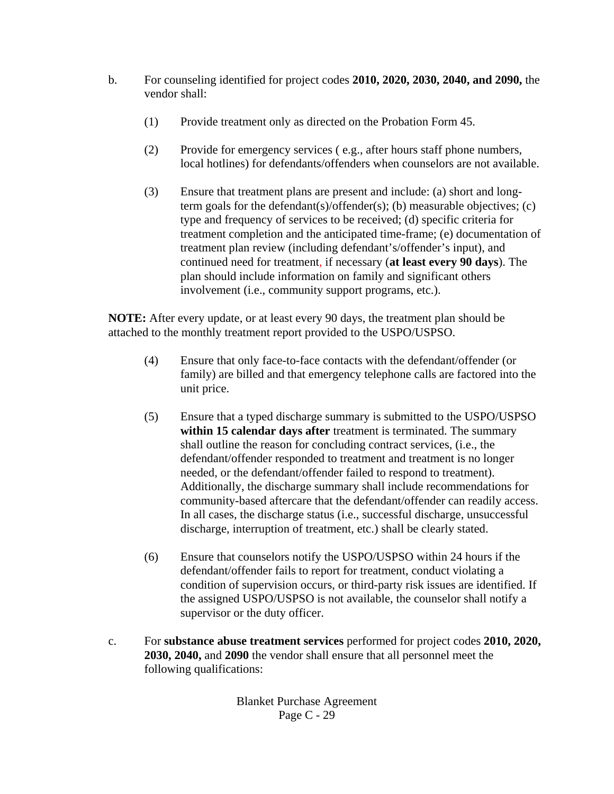- b. For counseling identified for project codes **2010, 2020, 2030, 2040, and 2090,** the vendor shall:
	- (1) Provide treatment only as directed on the Probation Form 45.
	- (2) Provide for emergency services ( e.g., after hours staff phone numbers, local hotlines) for defendants/offenders when counselors are not available.
	- (3) Ensure that treatment plans are present and include: (a) short and longterm goals for the defendant(s)/offender(s); (b) measurable objectives; (c) type and frequency of services to be received; (d) specific criteria for treatment completion and the anticipated time-frame; (e) documentation of treatment plan review (including defendant's/offender's input), and continued need for treatment, if necessary (**at least every 90 days**). The plan should include information on family and significant others involvement (i.e., community support programs, etc.).

**NOTE:** After every update, or at least every 90 days, the treatment plan should be attached to the monthly treatment report provided to the USPO/USPSO.

- (4) Ensure that only face-to-face contacts with the defendant/offender (or family) are billed and that emergency telephone calls are factored into the unit price.
- (5) Ensure that a typed discharge summary is submitted to the USPO/USPSO **within 15 calendar days after** treatment is terminated. The summary shall outline the reason for concluding contract services, (i.e., the defendant/offender responded to treatment and treatment is no longer needed, or the defendant/offender failed to respond to treatment). Additionally, the discharge summary shall include recommendations for community-based aftercare that the defendant/offender can readily access. In all cases, the discharge status (i.e., successful discharge, unsuccessful discharge, interruption of treatment, etc.) shall be clearly stated.
- (6) Ensure that counselors notify the USPO/USPSO within 24 hours if the defendant/offender fails to report for treatment, conduct violating a condition of supervision occurs, or third-party risk issues are identified. If the assigned USPO/USPSO is not available, the counselor shall notify a supervisor or the duty officer.
- c. For **substance abuse treatment services** performed for project codes **2010, 2020, 2030, 2040,** and **2090** the vendor shall ensure that all personnel meet the following qualifications: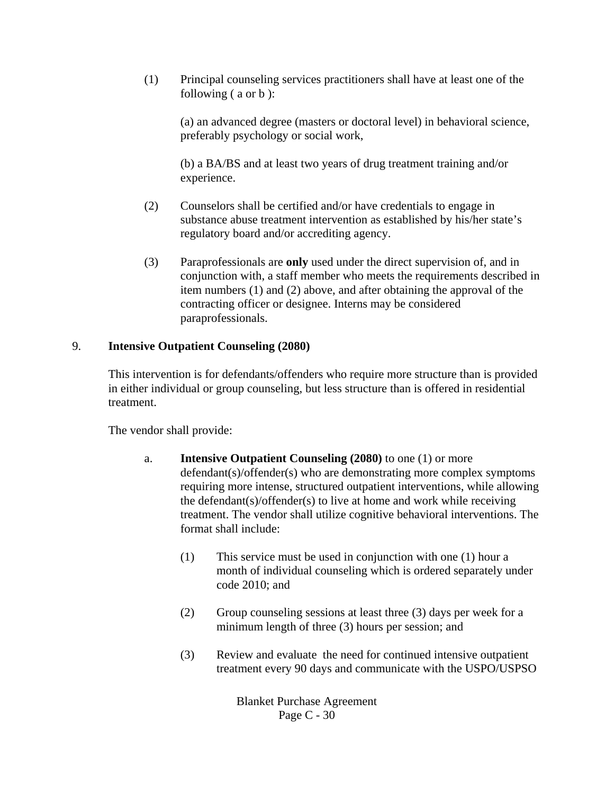(1) Principal counseling services practitioners shall have at least one of the following ( a or b ):

(a) an advanced degree (masters or doctoral level) in behavioral science, preferably psychology or social work,

(b) a BA/BS and at least two years of drug treatment training and/or experience.

- (2) Counselors shall be certified and/or have credentials to engage in substance abuse treatment intervention as established by his/her state's regulatory board and/or accrediting agency.
- (3) Paraprofessionals are **only** used under the direct supervision of, and in conjunction with, a staff member who meets the requirements described in item numbers (1) and (2) above, and after obtaining the approval of the contracting officer or designee. Interns may be considered paraprofessionals.

# 9. **Intensive Outpatient Counseling (2080)**

This intervention is for defendants/offenders who require more structure than is provided in either individual or group counseling, but less structure than is offered in residential treatment.

The vendor shall provide:

- a. **Intensive Outpatient Counseling (2080)** to one (1) or more defendant(s)/offender(s) who are demonstrating more complex symptoms requiring more intense, structured outpatient interventions, while allowing the defendant(s)/offender(s) to live at home and work while receiving treatment. The vendor shall utilize cognitive behavioral interventions. The format shall include:
	- (1) This service must be used in conjunction with one (1) hour a month of individual counseling which is ordered separately under code 2010; and
	- (2) Group counseling sessions at least three (3) days per week for a minimum length of three (3) hours per session; and
	- (3) Review and evaluate the need for continued intensive outpatient treatment every 90 days and communicate with the USPO/USPSO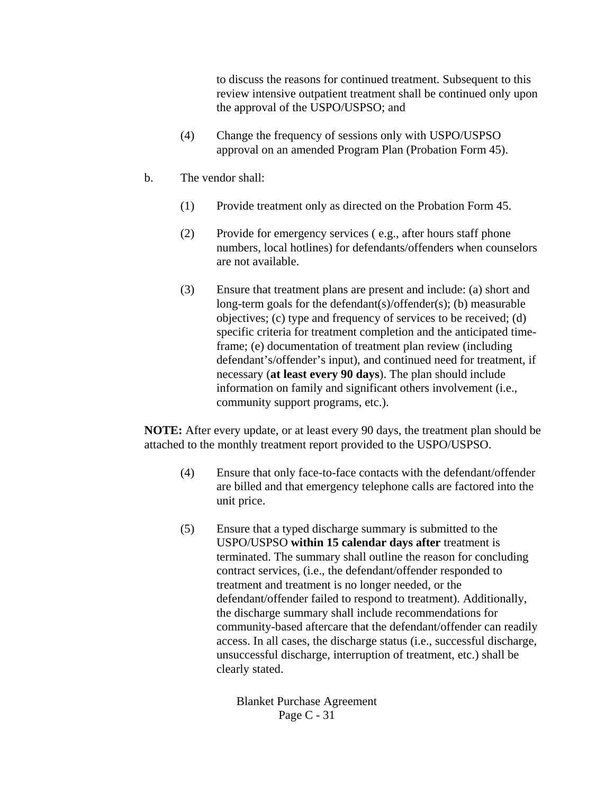to discuss the reasons for continued treatment. Subsequent to this review intensive outpatient treatment shall be continued only upon the approval of the USPO/USPSO; and

- (4) Change the frequency of sessions only with USPO/USPSO approval on an amended Program Plan (Probation Form 45).
- b. The vendor shall:
	- (1) Provide treatment only as directed on the Probation Form 45.
	- (2) Provide for emergency services ( e.g., after hours staff phone numbers, local hotlines) for defendants/offenders when counselors are not available.
	- (3) Ensure that treatment plans are present and include: (a) short and long-term goals for the defendant(s)/offender(s); (b) measurable objectives; (c) type and frequency of services to be received; (d) specific criteria for treatment completion and the anticipated timeframe; (e) documentation of treatment plan review (including defendant's/offender's input), and continued need for treatment, if necessary (**at least every 90 days**). The plan should include information on family and significant others involvement (i.e., community support programs, etc.).

**NOTE:** After every update, or at least every 90 days, the treatment plan should be attached to the monthly treatment report provided to the USPO/USPSO.

- (4) Ensure that only face-to-face contacts with the defendant/offender are billed and that emergency telephone calls are factored into the unit price.
- (5) Ensure that a typed discharge summary is submitted to the USPO/USPSO **within 15 calendar days after** treatment is terminated. The summary shall outline the reason for concluding contract services, (i.e., the defendant/offender responded to treatment and treatment is no longer needed, or the defendant/offender failed to respond to treatment). Additionally, the discharge summary shall include recommendations for community-based aftercare that the defendant/offender can readily access. In all cases, the discharge status (i.e., successful discharge, unsuccessful discharge, interruption of treatment, etc.) shall be clearly stated.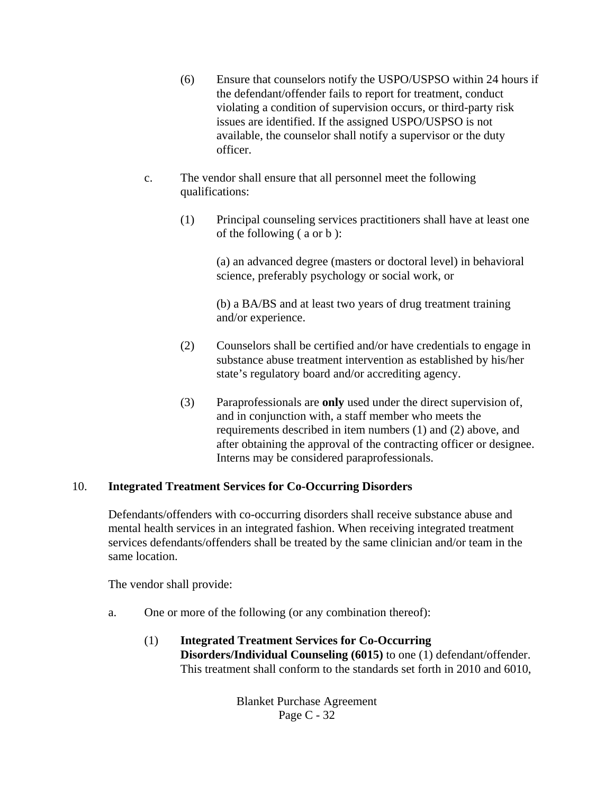- (6) Ensure that counselors notify the USPO/USPSO within 24 hours if the defendant/offender fails to report for treatment, conduct violating a condition of supervision occurs, or third-party risk issues are identified. If the assigned USPO/USPSO is not available, the counselor shall notify a supervisor or the duty officer.
- c. The vendor shall ensure that all personnel meet the following qualifications:
	- (1) Principal counseling services practitioners shall have at least one of the following ( a or b ):

(a) an advanced degree (masters or doctoral level) in behavioral science, preferably psychology or social work, or

(b) a BA/BS and at least two years of drug treatment training and/or experience.

- (2) Counselors shall be certified and/or have credentials to engage in substance abuse treatment intervention as established by his/her state's regulatory board and/or accrediting agency.
- (3) Paraprofessionals are **only** used under the direct supervision of, and in conjunction with, a staff member who meets the requirements described in item numbers (1) and (2) above, and after obtaining the approval of the contracting officer or designee. Interns may be considered paraprofessionals.

### 10. **Integrated Treatment Services for Co-Occurring Disorders**

Defendants/offenders with co-occurring disorders shall receive substance abuse and mental health services in an integrated fashion. When receiving integrated treatment services defendants/offenders shall be treated by the same clinician and/or team in the same location.

The vendor shall provide:

- a. One or more of the following (or any combination thereof):
	- (1) **Integrated Treatment Services for Co-Occurring Disorders/Individual Counseling (6015)** to one (1) defendant/offender. This treatment shall conform to the standards set forth in 2010 and 6010,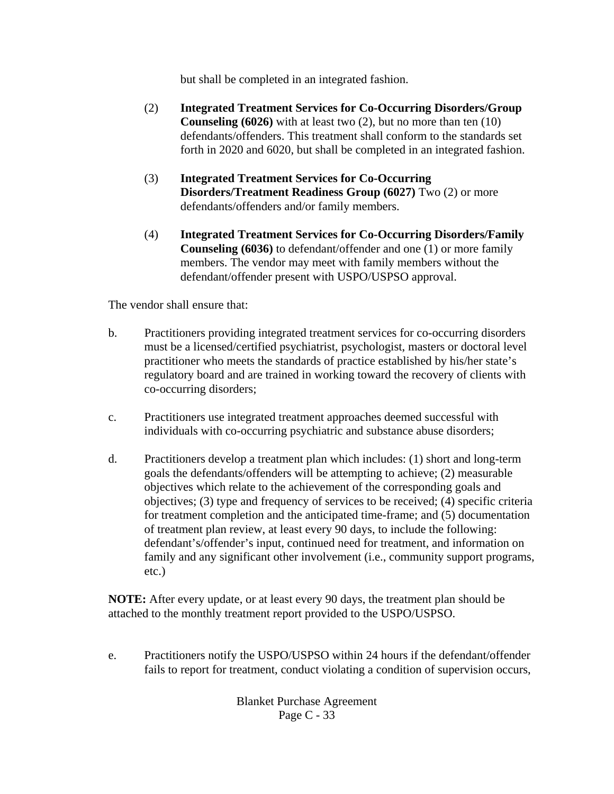but shall be completed in an integrated fashion.

- (2) **Integrated Treatment Services for Co-Occurring Disorders/Group Counseling (6026)** with at least two (2), but no more than ten (10) defendants/offenders. This treatment shall conform to the standards set forth in 2020 and 6020, but shall be completed in an integrated fashion.
- (3) **Integrated Treatment Services for Co-Occurring Disorders/Treatment Readiness Group (6027)** Two (2) or more defendants/offenders and/or family members.
- (4) **Integrated Treatment Services for Co-Occurring Disorders/Family Counseling (6036)** to defendant/offender and one (1) or more family members. The vendor may meet with family members without the defendant/offender present with USPO/USPSO approval.

The vendor shall ensure that:

- b. Practitioners providing integrated treatment services for co-occurring disorders must be a licensed/certified psychiatrist, psychologist, masters or doctoral level practitioner who meets the standards of practice established by his/her state's regulatory board and are trained in working toward the recovery of clients with co-occurring disorders;
- c. Practitioners use integrated treatment approaches deemed successful with individuals with co-occurring psychiatric and substance abuse disorders;
- d. Practitioners develop a treatment plan which includes: (1) short and long-term goals the defendants/offenders will be attempting to achieve; (2) measurable objectives which relate to the achievement of the corresponding goals and objectives; (3) type and frequency of services to be received; (4) specific criteria for treatment completion and the anticipated time-frame; and (5) documentation of treatment plan review, at least every 90 days, to include the following: defendant's/offender's input, continued need for treatment, and information on family and any significant other involvement (i.e., community support programs, etc.)

**NOTE:** After every update, or at least every 90 days, the treatment plan should be attached to the monthly treatment report provided to the USPO/USPSO.

e. Practitioners notify the USPO/USPSO within 24 hours if the defendant/offender fails to report for treatment, conduct violating a condition of supervision occurs,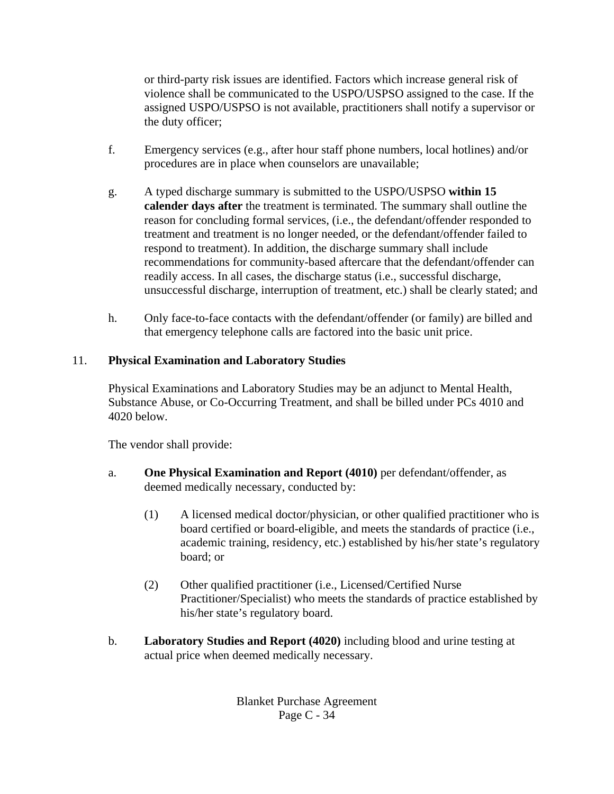or third-party risk issues are identified. Factors which increase general risk of violence shall be communicated to the USPO/USPSO assigned to the case. If the assigned USPO/USPSO is not available, practitioners shall notify a supervisor or the duty officer;

- f. Emergency services (e.g., after hour staff phone numbers, local hotlines) and/or procedures are in place when counselors are unavailable;
- g. A typed discharge summary is submitted to the USPO/USPSO **within 15 calender days after** the treatment is terminated. The summary shall outline the reason for concluding formal services, (i.e., the defendant/offender responded to treatment and treatment is no longer needed, or the defendant/offender failed to respond to treatment). In addition, the discharge summary shall include recommendations for community-based aftercare that the defendant/offender can readily access. In all cases, the discharge status (i.e., successful discharge, unsuccessful discharge, interruption of treatment, etc.) shall be clearly stated; and
- h. Only face-to-face contacts with the defendant/offender (or family) are billed and that emergency telephone calls are factored into the basic unit price.

# 11. **Physical Examination and Laboratory Studies**

Physical Examinations and Laboratory Studies may be an adjunct to Mental Health, Substance Abuse, or Co-Occurring Treatment, and shall be billed under PCs 4010 and 4020 below.

The vendor shall provide:

- a. **One Physical Examination and Report (4010)** per defendant/offender, as deemed medically necessary, conducted by:
	- (1) A licensed medical doctor/physician, or other qualified practitioner who is board certified or board-eligible, and meets the standards of practice (i.e., academic training, residency, etc.) established by his/her state's regulatory board; or
	- (2) Other qualified practitioner (i.e., Licensed/Certified Nurse Practitioner/Specialist) who meets the standards of practice established by his/her state's regulatory board.
- b. **Laboratory Studies and Report (4020)** including blood and urine testing at actual price when deemed medically necessary.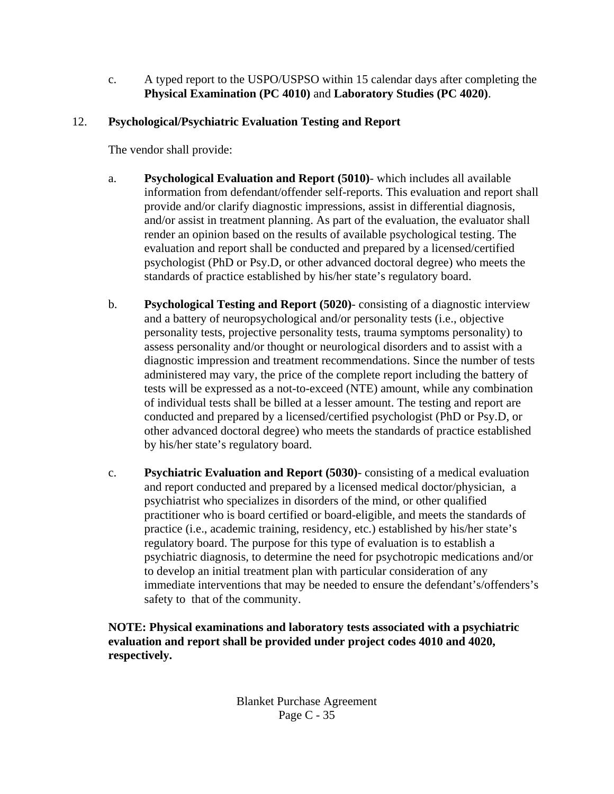c. A typed report to the USPO/USPSO within 15 calendar days after completing the **Physical Examination (PC 4010)** and **Laboratory Studies (PC 4020)**.

# 12. **Psychological/Psychiatric Evaluation Testing and Report**

The vendor shall provide:

- a. **Psychological Evaluation and Report (5010)** which includes all available information from defendant/offender self-reports. This evaluation and report shall provide and/or clarify diagnostic impressions, assist in differential diagnosis, and/or assist in treatment planning. As part of the evaluation, the evaluator shall render an opinion based on the results of available psychological testing. The evaluation and report shall be conducted and prepared by a licensed/certified psychologist (PhD or Psy.D, or other advanced doctoral degree) who meets the standards of practice established by his/her state's regulatory board.
- b. **Psychological Testing and Report (5020)** consisting of a diagnostic interview and a battery of neuropsychological and/or personality tests (i.e., objective personality tests, projective personality tests, trauma symptoms personality) to assess personality and/or thought or neurological disorders and to assist with a diagnostic impression and treatment recommendations. Since the number of tests administered may vary, the price of the complete report including the battery of tests will be expressed as a not-to-exceed (NTE) amount, while any combination of individual tests shall be billed at a lesser amount. The testing and report are conducted and prepared by a licensed/certified psychologist (PhD or Psy.D, or other advanced doctoral degree) who meets the standards of practice established by his/her state's regulatory board.
- c. **Psychiatric Evaluation and Report (5030)** consisting of a medical evaluation and report conducted and prepared by a licensed medical doctor/physician, a psychiatrist who specializes in disorders of the mind, or other qualified practitioner who is board certified or board-eligible, and meets the standards of practice (i.e., academic training, residency, etc.) established by his/her state's regulatory board. The purpose for this type of evaluation is to establish a psychiatric diagnosis, to determine the need for psychotropic medications and/or to develop an initial treatment plan with particular consideration of any immediate interventions that may be needed to ensure the defendant's/offenders's safety to that of the community.

**NOTE: Physical examinations and laboratory tests associated with a psychiatric evaluation and report shall be provided under project codes 4010 and 4020, respectively.**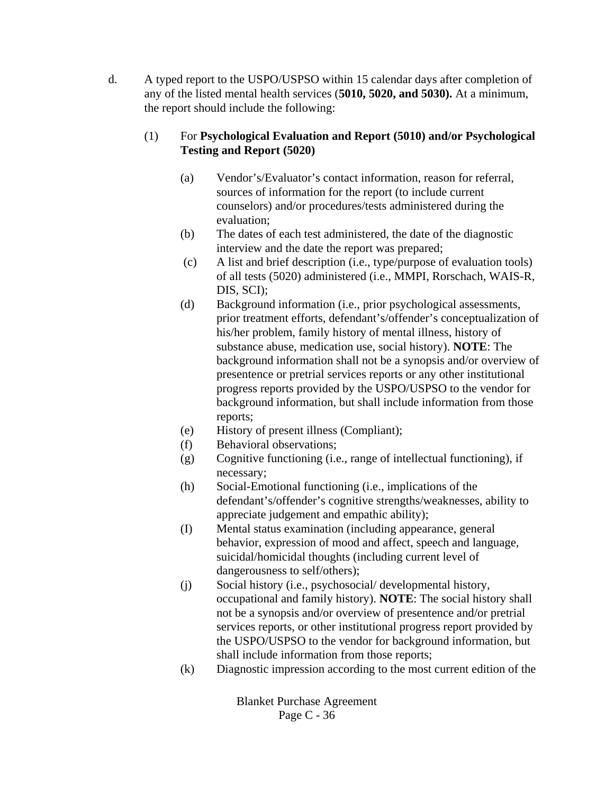d. A typed report to the USPO/USPSO within 15 calendar days after completion of any of the listed mental health services (**5010, 5020, and 5030).** At a minimum, the report should include the following:

# (1) For **Psychological Evaluation and Report (5010) and/or Psychological Testing and Report (5020)**

- (a) Vendor's/Evaluator's contact information, reason for referral, sources of information for the report (to include current counselors) and/or procedures/tests administered during the evaluation;
- (b) The dates of each test administered, the date of the diagnostic interview and the date the report was prepared;
- (c) A list and brief description (i.e., type/purpose of evaluation tools) of all tests (5020) administered (i.e., MMPI, Rorschach, WAIS-R, DIS, SCI);
- (d) Background information (i.e., prior psychological assessments, prior treatment efforts, defendant's/offender's conceptualization of his/her problem, family history of mental illness, history of substance abuse, medication use, social history). **NOTE**: The background information shall not be a synopsis and/or overview of presentence or pretrial services reports or any other institutional progress reports provided by the USPO/USPSO to the vendor for background information, but shall include information from those reports;
- (e) History of present illness (Compliant);
- (f) Behavioral observations;
- (g) Cognitive functioning (i.e., range of intellectual functioning), if necessary;
- (h) Social-Emotional functioning (i.e., implications of the defendant's/offender's cognitive strengths/weaknesses, ability to appreciate judgement and empathic ability);
- (I) Mental status examination (including appearance, general behavior, expression of mood and affect, speech and language, suicidal/homicidal thoughts (including current level of dangerousness to self/others);
- (j) Social history (i.e., psychosocial/ developmental history, occupational and family history). **NOTE**: The social history shall not be a synopsis and/or overview of presentence and/or pretrial services reports, or other institutional progress report provided by the USPO/USPSO to the vendor for background information, but shall include information from those reports;
- (k) Diagnostic impression according to the most current edition of the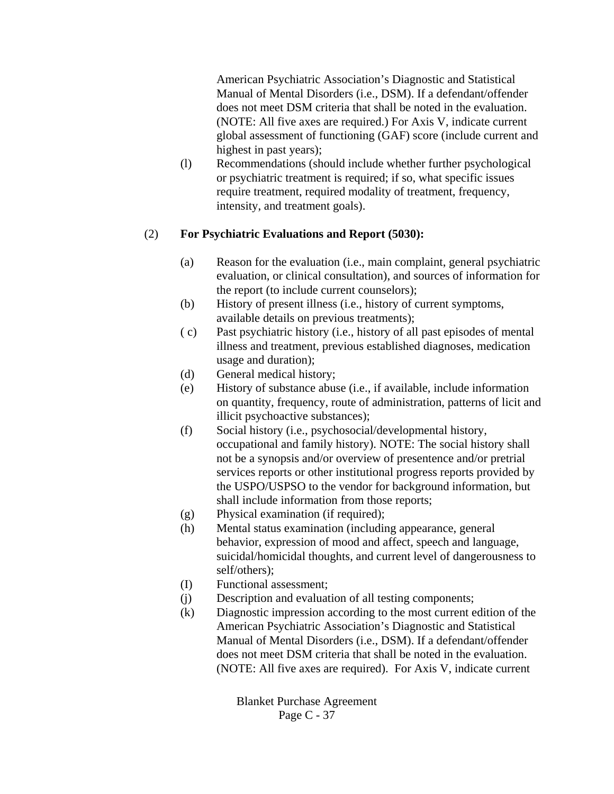American Psychiatric Association's Diagnostic and Statistical Manual of Mental Disorders (i.e., DSM). If a defendant/offender does not meet DSM criteria that shall be noted in the evaluation. (NOTE: All five axes are required.) For Axis V, indicate current global assessment of functioning (GAF) score (include current and highest in past years);

(l) Recommendations (should include whether further psychological or psychiatric treatment is required; if so, what specific issues require treatment, required modality of treatment, frequency, intensity, and treatment goals).

### (2) **For Psychiatric Evaluations and Report (5030):**

- (a) Reason for the evaluation (i.e., main complaint, general psychiatric evaluation, or clinical consultation), and sources of information for the report (to include current counselors);
- (b) History of present illness (i.e., history of current symptoms, available details on previous treatments);
- ( c) Past psychiatric history (i.e., history of all past episodes of mental illness and treatment, previous established diagnoses, medication usage and duration);
- (d) General medical history;
- (e) History of substance abuse (i.e., if available, include information on quantity, frequency, route of administration, patterns of licit and illicit psychoactive substances);
- (f) Social history (i.e., psychosocial/developmental history, occupational and family history). NOTE: The social history shall not be a synopsis and/or overview of presentence and/or pretrial services reports or other institutional progress reports provided by the USPO/USPSO to the vendor for background information, but shall include information from those reports;
- (g) Physical examination (if required);
- (h) Mental status examination (including appearance, general behavior, expression of mood and affect, speech and language, suicidal/homicidal thoughts, and current level of dangerousness to self/others);
- (I) Functional assessment;
- (j) Description and evaluation of all testing components;
- (k) Diagnostic impression according to the most current edition of the American Psychiatric Association's Diagnostic and Statistical Manual of Mental Disorders (i.e., DSM). If a defendant/offender does not meet DSM criteria that shall be noted in the evaluation. (NOTE: All five axes are required). For Axis V, indicate current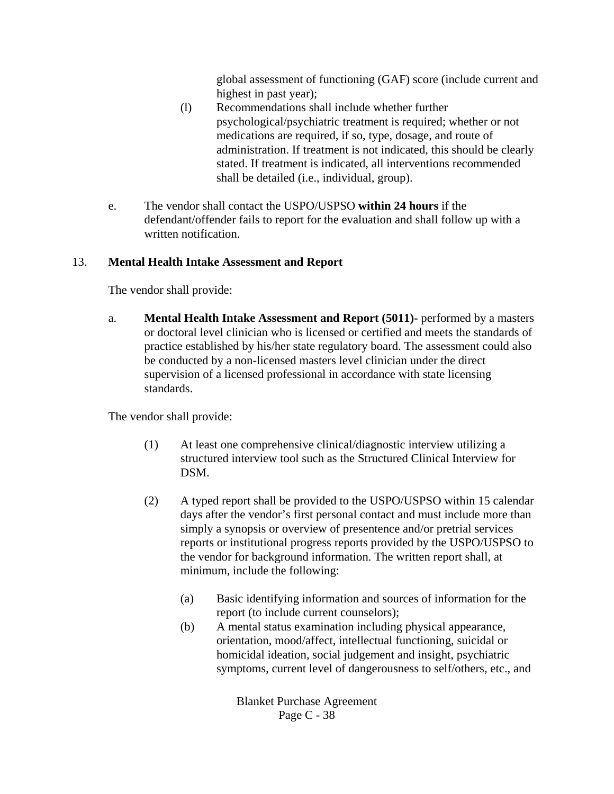global assessment of functioning (GAF) score (include current and highest in past year);

- (l) Recommendations shall include whether further psychological/psychiatric treatment is required; whether or not medications are required, if so, type, dosage, and route of administration. If treatment is not indicated, this should be clearly stated. If treatment is indicated, all interventions recommended shall be detailed (i.e., individual, group).
- e. The vendor shall contact the USPO/USPSO **within 24 hours** if the defendant/offender fails to report for the evaluation and shall follow up with a written notification.

## 13. **Mental Health Intake Assessment and Report**

The vendor shall provide:

a. **Mental Health Intake Assessment and Report (5011)-** performed by a masters or doctoral level clinician who is licensed or certified and meets the standards of practice established by his/her state regulatory board. The assessment could also be conducted by a non-licensed masters level clinician under the direct supervision of a licensed professional in accordance with state licensing standards.

The vendor shall provide:

- (1) At least one comprehensive clinical/diagnostic interview utilizing a structured interview tool such as the Structured Clinical Interview for DSM.
- (2) A typed report shall be provided to the USPO/USPSO within 15 calendar days after the vendor's first personal contact and must include more than simply a synopsis or overview of presentence and/or pretrial services reports or institutional progress reports provided by the USPO/USPSO to the vendor for background information. The written report shall, at minimum, include the following:
	- (a) Basic identifying information and sources of information for the report (to include current counselors);
	- (b) A mental status examination including physical appearance, orientation, mood/affect, intellectual functioning, suicidal or homicidal ideation, social judgement and insight, psychiatric symptoms, current level of dangerousness to self/others, etc., and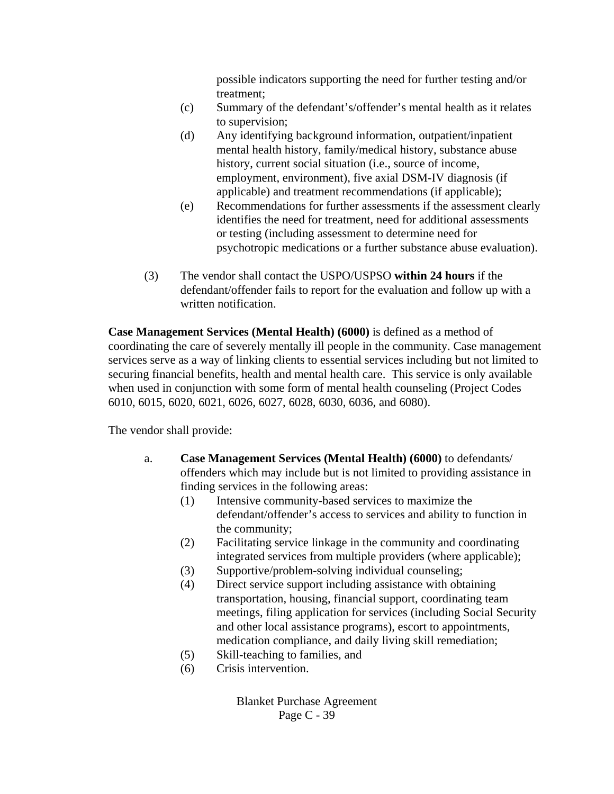possible indicators supporting the need for further testing and/or treatment;

- (c) Summary of the defendant's/offender's mental health as it relates to supervision;
- (d) Any identifying background information, outpatient/inpatient mental health history, family/medical history, substance abuse history, current social situation (i.e., source of income, employment, environment), five axial DSM-IV diagnosis (if applicable) and treatment recommendations (if applicable);
- (e) Recommendations for further assessments if the assessment clearly identifies the need for treatment, need for additional assessments or testing (including assessment to determine need for psychotropic medications or a further substance abuse evaluation).
- (3) The vendor shall contact the USPO/USPSO **within 24 hours** if the defendant/offender fails to report for the evaluation and follow up with a written notification.

**Case Management Services (Mental Health) (6000)** is defined as a method of coordinating the care of severely mentally ill people in the community. Case management services serve as a way of linking clients to essential services including but not limited to securing financial benefits, health and mental health care. This service is only available when used in conjunction with some form of mental health counseling (Project Codes 6010, 6015, 6020, 6021, 6026, 6027, 6028, 6030, 6036, and 6080).

The vendor shall provide:

- a. **Case Management Services (Mental Health) (6000)** to defendants/ offenders which may include but is not limited to providing assistance in finding services in the following areas:
	- (1) Intensive community-based services to maximize the defendant/offender's access to services and ability to function in the community;
	- (2) Facilitating service linkage in the community and coordinating integrated services from multiple providers (where applicable);
	- (3) Supportive/problem-solving individual counseling;
	- (4) Direct service support including assistance with obtaining transportation, housing, financial support, coordinating team meetings, filing application for services (including Social Security and other local assistance programs), escort to appointments, medication compliance, and daily living skill remediation;
	- (5) Skill-teaching to families, and
	- (6) Crisis intervention.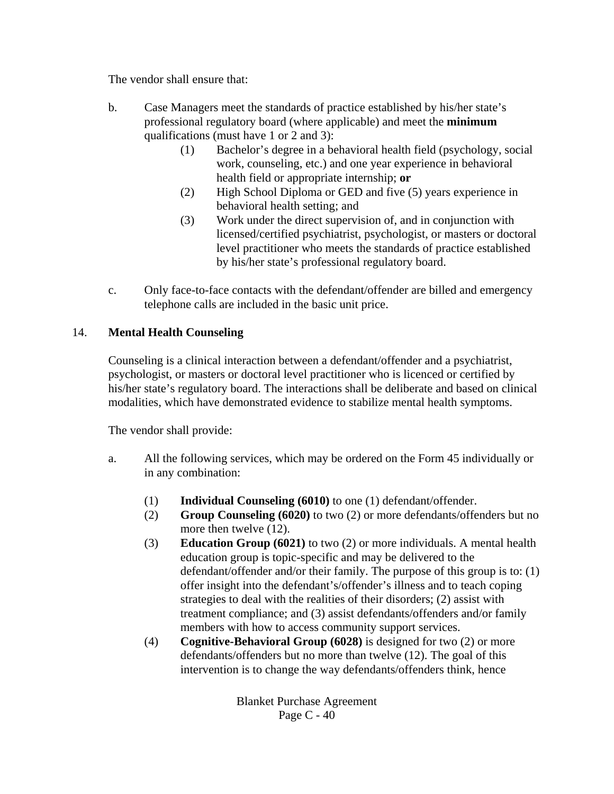The vendor shall ensure that:

- b. Case Managers meet the standards of practice established by his/her state's professional regulatory board (where applicable) and meet the **minimum** qualifications (must have 1 or 2 and 3):
	- (1) Bachelor's degree in a behavioral health field (psychology, social work, counseling, etc.) and one year experience in behavioral health field or appropriate internship; **or**
	- (2) High School Diploma or GED and five (5) years experience in behavioral health setting; and
	- (3) Work under the direct supervision of, and in conjunction with licensed/certified psychiatrist, psychologist, or masters or doctoral level practitioner who meets the standards of practice established by his/her state's professional regulatory board.
- c. Only face-to-face contacts with the defendant/offender are billed and emergency telephone calls are included in the basic unit price.

### 14. **Mental Health Counseling**

Counseling is a clinical interaction between a defendant/offender and a psychiatrist, psychologist, or masters or doctoral level practitioner who is licenced or certified by his/her state's regulatory board. The interactions shall be deliberate and based on clinical modalities, which have demonstrated evidence to stabilize mental health symptoms.

The vendor shall provide:

- a. All the following services, which may be ordered on the Form 45 individually or in any combination:
	- (1) **Individual Counseling (6010)** to one (1) defendant/offender.
	- (2) **Group Counseling (6020)** to two (2) or more defendants/offenders but no more then twelve (12).
	- (3) **Education Group (6021)** to two (2) or more individuals. A mental health education group is topic-specific and may be delivered to the defendant/offender and/or their family. The purpose of this group is to: (1) offer insight into the defendant's/offender's illness and to teach coping strategies to deal with the realities of their disorders; (2) assist with treatment compliance; and (3) assist defendants/offenders and/or family members with how to access community support services.
	- (4) **Cognitive-Behavioral Group (6028)** is designed for two (2) or more defendants/offenders but no more than twelve (12). The goal of this intervention is to change the way defendants/offenders think, hence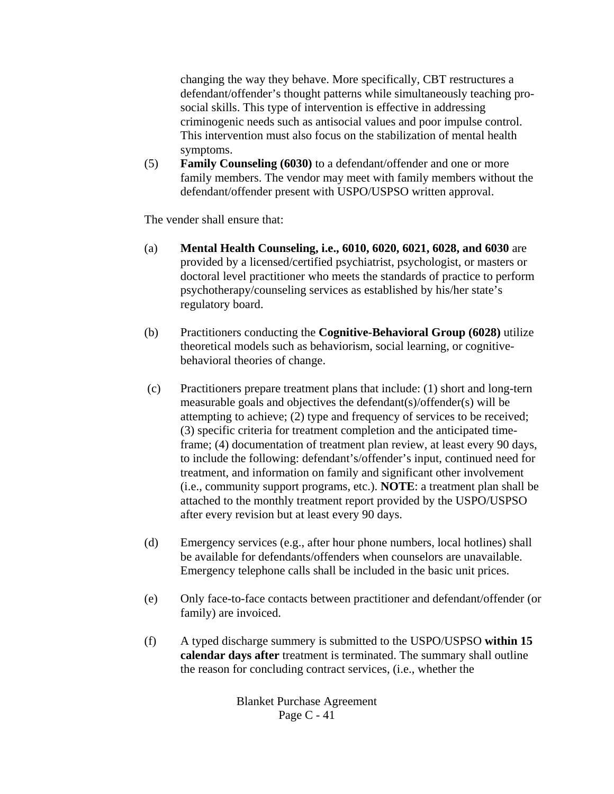changing the way they behave. More specifically, CBT restructures a defendant/offender's thought patterns while simultaneously teaching prosocial skills. This type of intervention is effective in addressing criminogenic needs such as antisocial values and poor impulse control. This intervention must also focus on the stabilization of mental health symptoms.

(5) **Family Counseling (6030)** to a defendant/offender and one or more family members. The vendor may meet with family members without the defendant/offender present with USPO/USPSO written approval.

The vender shall ensure that:

- (a) **Mental Health Counseling, i.e., 6010, 6020, 6021, 6028, and 6030** are provided by a licensed/certified psychiatrist, psychologist, or masters or doctoral level practitioner who meets the standards of practice to perform psychotherapy/counseling services as established by his/her state's regulatory board.
- (b) Practitioners conducting the **Cognitive-Behavioral Group (6028)** utilize theoretical models such as behaviorism, social learning, or cognitivebehavioral theories of change.
- (c) Practitioners prepare treatment plans that include: (1) short and long-tern measurable goals and objectives the defendant(s)/offender(s) will be attempting to achieve; (2) type and frequency of services to be received; (3) specific criteria for treatment completion and the anticipated timeframe; (4) documentation of treatment plan review, at least every 90 days, to include the following: defendant's/offender's input, continued need for treatment, and information on family and significant other involvement (i.e., community support programs, etc.). **NOTE**: a treatment plan shall be attached to the monthly treatment report provided by the USPO/USPSO after every revision but at least every 90 days.
- (d) Emergency services (e.g., after hour phone numbers, local hotlines) shall be available for defendants/offenders when counselors are unavailable. Emergency telephone calls shall be included in the basic unit prices.
- (e) Only face-to-face contacts between practitioner and defendant/offender (or family) are invoiced.
- (f) A typed discharge summery is submitted to the USPO/USPSO **within 15 calendar days after** treatment is terminated. The summary shall outline the reason for concluding contract services, (i.e., whether the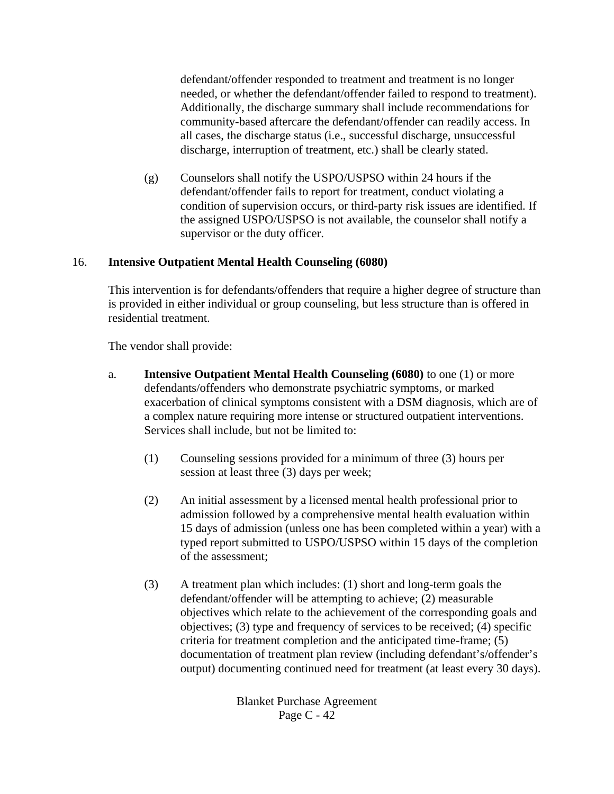defendant/offender responded to treatment and treatment is no longer needed, or whether the defendant/offender failed to respond to treatment). Additionally, the discharge summary shall include recommendations for community-based aftercare the defendant/offender can readily access. In all cases, the discharge status (i.e., successful discharge, unsuccessful discharge, interruption of treatment, etc.) shall be clearly stated.

(g) Counselors shall notify the USPO/USPSO within 24 hours if the defendant/offender fails to report for treatment, conduct violating a condition of supervision occurs, or third-party risk issues are identified. If the assigned USPO/USPSO is not available, the counselor shall notify a supervisor or the duty officer.

### 16. **Intensive Outpatient Mental Health Counseling (6080)**

This intervention is for defendants/offenders that require a higher degree of structure than is provided in either individual or group counseling, but less structure than is offered in residential treatment.

The vendor shall provide:

- a. **Intensive Outpatient Mental Health Counseling (6080)** to one (1) or more defendants/offenders who demonstrate psychiatric symptoms, or marked exacerbation of clinical symptoms consistent with a DSM diagnosis, which are of a complex nature requiring more intense or structured outpatient interventions. Services shall include, but not be limited to:
	- (1) Counseling sessions provided for a minimum of three (3) hours per session at least three (3) days per week;
	- (2) An initial assessment by a licensed mental health professional prior to admission followed by a comprehensive mental health evaluation within 15 days of admission (unless one has been completed within a year) with a typed report submitted to USPO/USPSO within 15 days of the completion of the assessment;
	- (3) A treatment plan which includes: (1) short and long-term goals the defendant/offender will be attempting to achieve; (2) measurable objectives which relate to the achievement of the corresponding goals and objectives; (3) type and frequency of services to be received; (4) specific criteria for treatment completion and the anticipated time-frame; (5) documentation of treatment plan review (including defendant's/offender's output) documenting continued need for treatment (at least every 30 days).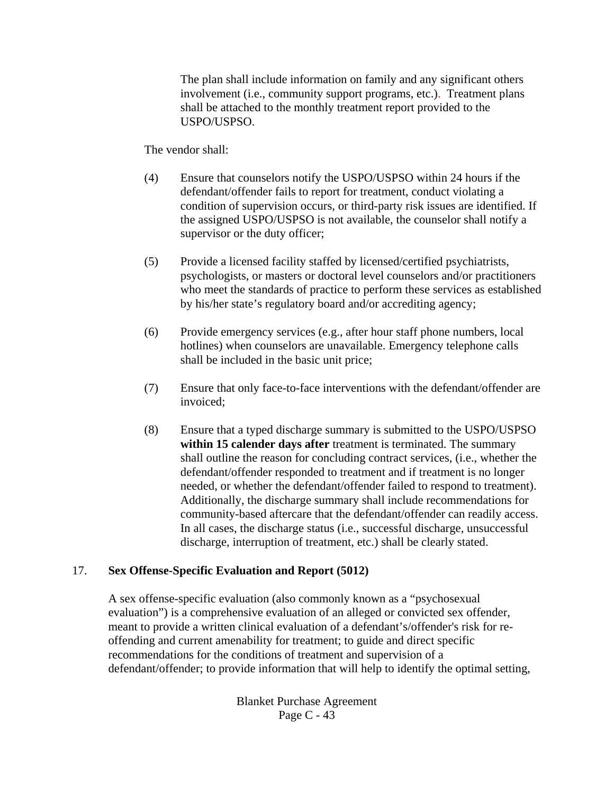The plan shall include information on family and any significant others involvement (i.e., community support programs, etc.). Treatment plans shall be attached to the monthly treatment report provided to the USPO/USPSO.

The vendor shall:

- (4) Ensure that counselors notify the USPO/USPSO within 24 hours if the defendant/offender fails to report for treatment, conduct violating a condition of supervision occurs, or third-party risk issues are identified. If the assigned USPO/USPSO is not available, the counselor shall notify a supervisor or the duty officer;
- (5) Provide a licensed facility staffed by licensed/certified psychiatrists, psychologists, or masters or doctoral level counselors and/or practitioners who meet the standards of practice to perform these services as established by his/her state's regulatory board and/or accrediting agency;
- (6) Provide emergency services (e.g., after hour staff phone numbers, local hotlines) when counselors are unavailable. Emergency telephone calls shall be included in the basic unit price;
- (7) Ensure that only face-to-face interventions with the defendant/offender are invoiced;
- (8) Ensure that a typed discharge summary is submitted to the USPO/USPSO **within 15 calender days after** treatment is terminated. The summary shall outline the reason for concluding contract services, (i.e., whether the defendant/offender responded to treatment and if treatment is no longer needed, or whether the defendant/offender failed to respond to treatment). Additionally, the discharge summary shall include recommendations for community-based aftercare that the defendant/offender can readily access. In all cases, the discharge status (i.e., successful discharge, unsuccessful discharge, interruption of treatment, etc.) shall be clearly stated.

### 17. **Sex Offense-Specific Evaluation and Report (5012)**

A sex offense-specific evaluation (also commonly known as a "psychosexual evaluation") is a comprehensive evaluation of an alleged or convicted sex offender, meant to provide a written clinical evaluation of a defendant's/offender's risk for reoffending and current amenability for treatment; to guide and direct specific recommendations for the conditions of treatment and supervision of a defendant/offender; to provide information that will help to identify the optimal setting,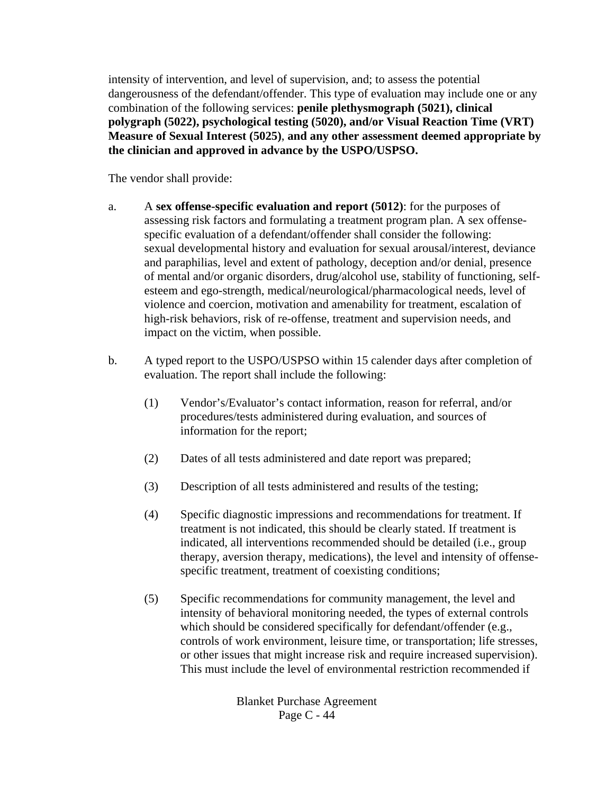intensity of intervention, and level of supervision, and; to assess the potential dangerousness of the defendant/offender. This type of evaluation may include one or any combination of the following services: **penile plethysmograph (5021), clinical polygraph (5022), psychological testing (5020), and/or Visual Reaction Time (VRT) Measure of Sexual Interest (5025)**, **and any other assessment deemed appropriate by the clinician and approved in advance by the USPO/USPSO.**

The vendor shall provide:

- a. A **sex offense-specific evaluation and report (5012)**: for the purposes of assessing risk factors and formulating a treatment program plan. A sex offensespecific evaluation of a defendant/offender shall consider the following: sexual developmental history and evaluation for sexual arousal/interest, deviance and paraphilias, level and extent of pathology, deception and/or denial, presence of mental and/or organic disorders, drug/alcohol use, stability of functioning, selfesteem and ego-strength, medical/neurological/pharmacological needs, level of violence and coercion, motivation and amenability for treatment, escalation of high-risk behaviors, risk of re-offense, treatment and supervision needs, and impact on the victim, when possible.
- b. A typed report to the USPO/USPSO within 15 calender days after completion of evaluation. The report shall include the following:
	- (1) Vendor's/Evaluator's contact information, reason for referral, and/or procedures/tests administered during evaluation, and sources of information for the report;
	- (2) Dates of all tests administered and date report was prepared;
	- (3) Description of all tests administered and results of the testing;
	- (4) Specific diagnostic impressions and recommendations for treatment. If treatment is not indicated, this should be clearly stated. If treatment is indicated, all interventions recommended should be detailed (i.e., group therapy, aversion therapy, medications), the level and intensity of offensespecific treatment, treatment of coexisting conditions;
	- (5) Specific recommendations for community management, the level and intensity of behavioral monitoring needed, the types of external controls which should be considered specifically for defendant/offender (e.g., controls of work environment, leisure time, or transportation; life stresses, or other issues that might increase risk and require increased supervision). This must include the level of environmental restriction recommended if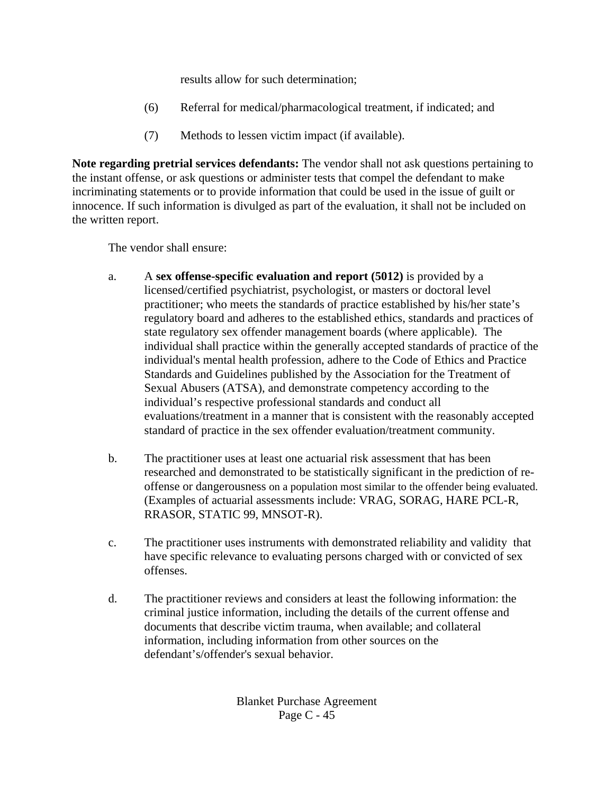results allow for such determination;

- (6) Referral for medical/pharmacological treatment, if indicated; and
- (7) Methods to lessen victim impact (if available).

**Note regarding pretrial services defendants:** The vendor shall not ask questions pertaining to the instant offense, or ask questions or administer tests that compel the defendant to make incriminating statements or to provide information that could be used in the issue of guilt or innocence. If such information is divulged as part of the evaluation, it shall not be included on the written report.

The vendor shall ensure:

- a. A **sex offense-specific evaluation and report (5012)** is provided by a licensed/certified psychiatrist, psychologist, or masters or doctoral level practitioner; who meets the standards of practice established by his/her state's regulatory board and adheres to the established ethics, standards and practices of state regulatory sex offender management boards (where applicable). The individual shall practice within the generally accepted standards of practice of the individual's mental health profession, adhere to the Code of Ethics and Practice Standards and Guidelines published by the Association for the Treatment of Sexual Abusers (ATSA), and demonstrate competency according to the individual's respective professional standards and conduct all evaluations/treatment in a manner that is consistent with the reasonably accepted standard of practice in the sex offender evaluation/treatment community.
- b. The practitioner uses at least one actuarial risk assessment that has been researched and demonstrated to be statistically significant in the prediction of reoffense or dangerousness on a population most similar to the offender being evaluated. (Examples of actuarial assessments include: VRAG, SORAG, HARE PCL-R, RRASOR, STATIC 99, MNSOT-R).
- c. The practitioner uses instruments with demonstrated reliability and validity that have specific relevance to evaluating persons charged with or convicted of sex offenses.
- d. The practitioner reviews and considers at least the following information: the criminal justice information, including the details of the current offense and documents that describe victim trauma, when available; and collateral information, including information from other sources on the defendant's/offender's sexual behavior.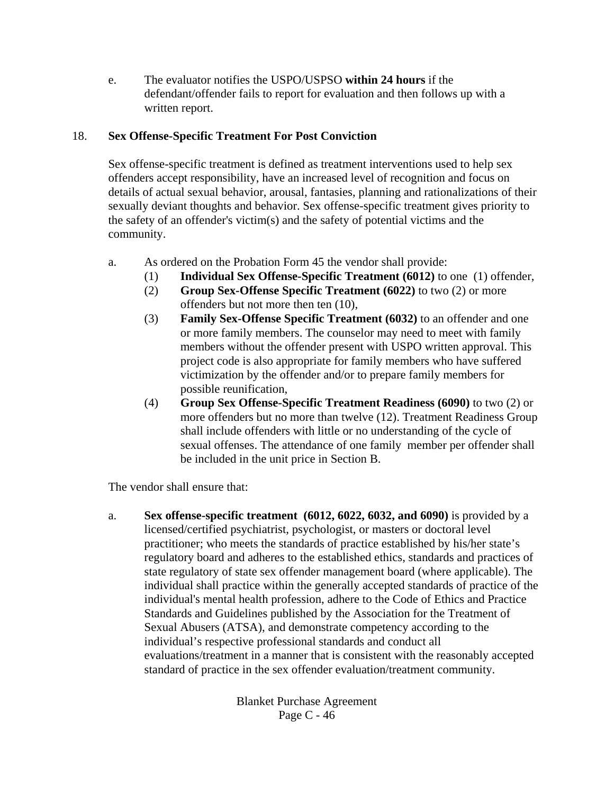e. The evaluator notifies the USPO/USPSO **within 24 hours** if the defendant/offender fails to report for evaluation and then follows up with a written report.

### 18. **Sex Offense-Specific Treatment For Post Conviction**

Sex offense-specific treatment is defined as treatment interventions used to help sex offenders accept responsibility, have an increased level of recognition and focus on details of actual sexual behavior, arousal, fantasies, planning and rationalizations of their sexually deviant thoughts and behavior. Sex offense-specific treatment gives priority to the safety of an offender's victim(s) and the safety of potential victims and the community.

- a. As ordered on the Probation Form 45 the vendor shall provide:
	- (1) **Individual Sex Offense-Specific Treatment (6012)** to one (1) offender,
	- (2) **Group Sex-Offense Specific Treatment (6022)** to two (2) or more offenders but not more then ten (10),
	- (3) **Family Sex-Offense Specific Treatment (6032)** to an offender and one or more family members. The counselor may need to meet with family members without the offender present with USPO written approval. This project code is also appropriate for family members who have suffered victimization by the offender and/or to prepare family members for possible reunification,
	- (4) **Group Sex Offense-Specific Treatment Readiness (6090)** to two (2) or more offenders but no more than twelve (12). Treatment Readiness Group shall include offenders with little or no understanding of the cycle of sexual offenses. The attendance of one family member per offender shall be included in the unit price in Section B.

The vendor shall ensure that:

a. **Sex offense-specific treatment (6012, 6022, 6032, and 6090)** is provided by a licensed/certified psychiatrist, psychologist, or masters or doctoral level practitioner; who meets the standards of practice established by his/her state's regulatory board and adheres to the established ethics, standards and practices of state regulatory of state sex offender management board (where applicable). The individual shall practice within the generally accepted standards of practice of the individual's mental health profession, adhere to the Code of Ethics and Practice Standards and Guidelines published by the Association for the Treatment of Sexual Abusers (ATSA), and demonstrate competency according to the individual's respective professional standards and conduct all evaluations/treatment in a manner that is consistent with the reasonably accepted standard of practice in the sex offender evaluation/treatment community.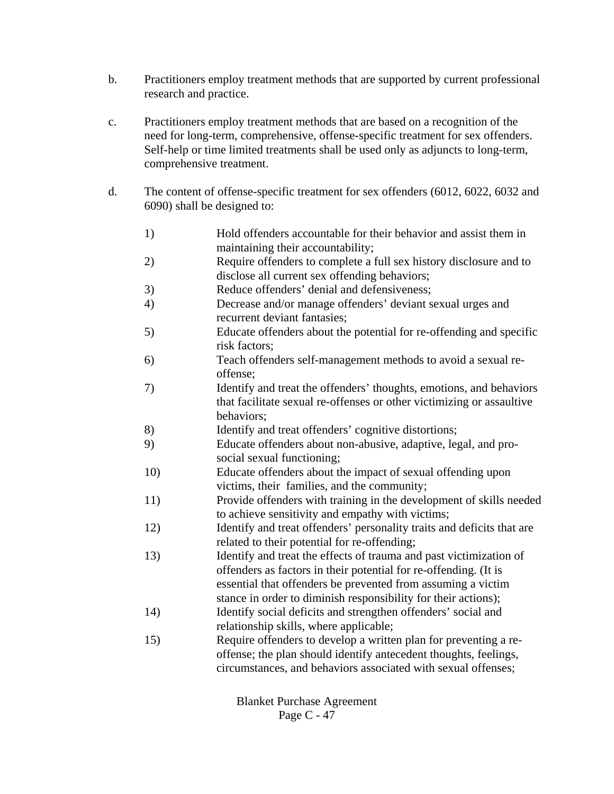- b. Practitioners employ treatment methods that are supported by current professional research and practice.
- c. Practitioners employ treatment methods that are based on a recognition of the need for long-term, comprehensive, offense-specific treatment for sex offenders. Self-help or time limited treatments shall be used only as adjuncts to long-term, comprehensive treatment.
- d. The content of offense-specific treatment for sex offenders (6012, 6022, 6032 and 6090) shall be designed to:
	- 1) Hold offenders accountable for their behavior and assist them in maintaining their accountability;
	- 2) Require offenders to complete a full sex history disclosure and to disclose all current sex offending behaviors;
	- 3) Reduce offenders' denial and defensiveness;
	- 4) Decrease and/or manage offenders' deviant sexual urges and recurrent deviant fantasies;
	- 5) Educate offenders about the potential for re-offending and specific risk factors;
	- 6) Teach offenders self-management methods to avoid a sexual reoffense;
	- 7) Identify and treat the offenders' thoughts, emotions, and behaviors that facilitate sexual re-offenses or other victimizing or assaultive behaviors;
	- 8) Identify and treat offenders' cognitive distortions;
	- 9) Educate offenders about non-abusive, adaptive, legal, and prosocial sexual functioning;
	- 10) Educate offenders about the impact of sexual offending upon victims, their families, and the community;
	- 11) Provide offenders with training in the development of skills needed to achieve sensitivity and empathy with victims;
	- 12) Identify and treat offenders' personality traits and deficits that are related to their potential for re-offending;
	- 13) Identify and treat the effects of trauma and past victimization of offenders as factors in their potential for re-offending. (It is essential that offenders be prevented from assuming a victim stance in order to diminish responsibility for their actions);
	- 14) Identify social deficits and strengthen offenders' social and relationship skills, where applicable;
	- 15) Require offenders to develop a written plan for preventing a reoffense; the plan should identify antecedent thoughts, feelings, circumstances, and behaviors associated with sexual offenses;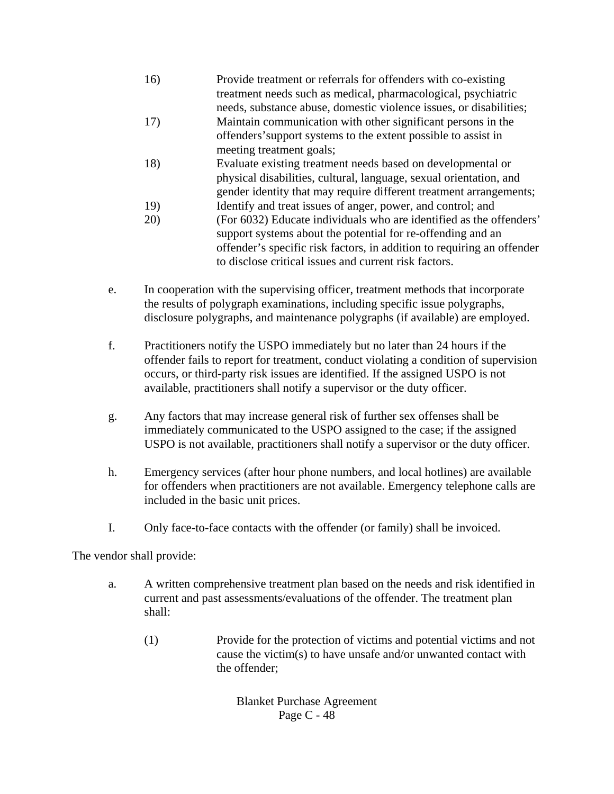- 16) Provide treatment or referrals for offenders with co-existing treatment needs such as medical, pharmacological, psychiatric needs, substance abuse, domestic violence issues, or disabilities;
- 17) Maintain communication with other significant persons in the offenders'support systems to the extent possible to assist in meeting treatment goals;
- 18) Evaluate existing treatment needs based on developmental or physical disabilities, cultural, language, sexual orientation, and gender identity that may require different treatment arrangements;
- 19) Identify and treat issues of anger, power, and control; and
- 20) (For 6032) Educate individuals who are identified as the offenders' support systems about the potential for re-offending and an offender's specific risk factors, in addition to requiring an offender to disclose critical issues and current risk factors.
- e. In cooperation with the supervising officer, treatment methods that incorporate the results of polygraph examinations, including specific issue polygraphs, disclosure polygraphs, and maintenance polygraphs (if available) are employed.
- f. Practitioners notify the USPO immediately but no later than 24 hours if the offender fails to report for treatment, conduct violating a condition of supervision occurs, or third-party risk issues are identified. If the assigned USPO is not available, practitioners shall notify a supervisor or the duty officer.
- g. Any factors that may increase general risk of further sex offenses shall be immediately communicated to the USPO assigned to the case; if the assigned USPO is not available, practitioners shall notify a supervisor or the duty officer.
- h. Emergency services (after hour phone numbers, and local hotlines) are available for offenders when practitioners are not available. Emergency telephone calls are included in the basic unit prices.
- I. Only face-to-face contacts with the offender (or family) shall be invoiced.

The vendor shall provide:

- a. A written comprehensive treatment plan based on the needs and risk identified in current and past assessments/evaluations of the offender. The treatment plan shall:
	- (1) Provide for the protection of victims and potential victims and not cause the victim(s) to have unsafe and/or unwanted contact with the offender;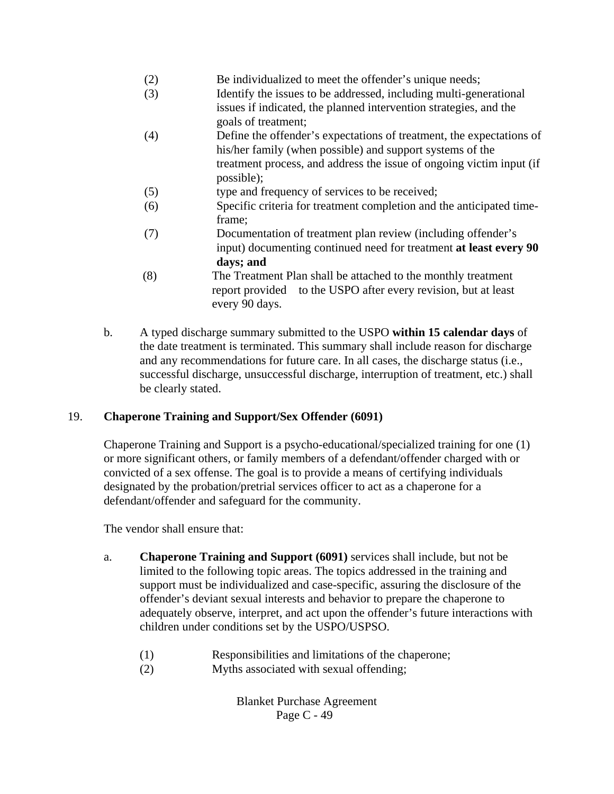- (2) Be individualized to meet the offender's unique needs;
- (3) Identify the issues to be addressed, including multi-generational issues if indicated, the planned intervention strategies, and the goals of treatment;
- (4) Define the offender's expectations of treatment, the expectations of his/her family (when possible) and support systems of the treatment process, and address the issue of ongoing victim input (if possible);
- (5) type and frequency of services to be received;
- (6) Specific criteria for treatment completion and the anticipated timeframe;
- (7) Documentation of treatment plan review (including offender's input) documenting continued need for treatment **at least every 90 days; and**
- (8) The Treatment Plan shall be attached to the monthly treatment report provided to the USPO after every revision, but at least every 90 days.
- b. A typed discharge summary submitted to the USPO **within 15 calendar days** of the date treatment is terminated. This summary shall include reason for discharge and any recommendations for future care. In all cases, the discharge status (i.e., successful discharge, unsuccessful discharge, interruption of treatment, etc.) shall be clearly stated.

# 19. **Chaperone Training and Support/Sex Offender (6091)**

Chaperone Training and Support is a psycho-educational/specialized training for one (1) or more significant others, or family members of a defendant/offender charged with or convicted of a sex offense. The goal is to provide a means of certifying individuals designated by the probation/pretrial services officer to act as a chaperone for a defendant/offender and safeguard for the community.

The vendor shall ensure that:

- a. **Chaperone Training and Support (6091)** services shall include, but not be limited to the following topic areas. The topics addressed in the training and support must be individualized and case-specific, assuring the disclosure of the offender's deviant sexual interests and behavior to prepare the chaperone to adequately observe, interpret, and act upon the offender's future interactions with children under conditions set by the USPO/USPSO.
	- (1) Responsibilities and limitations of the chaperone;
	- (2) Myths associated with sexual offending;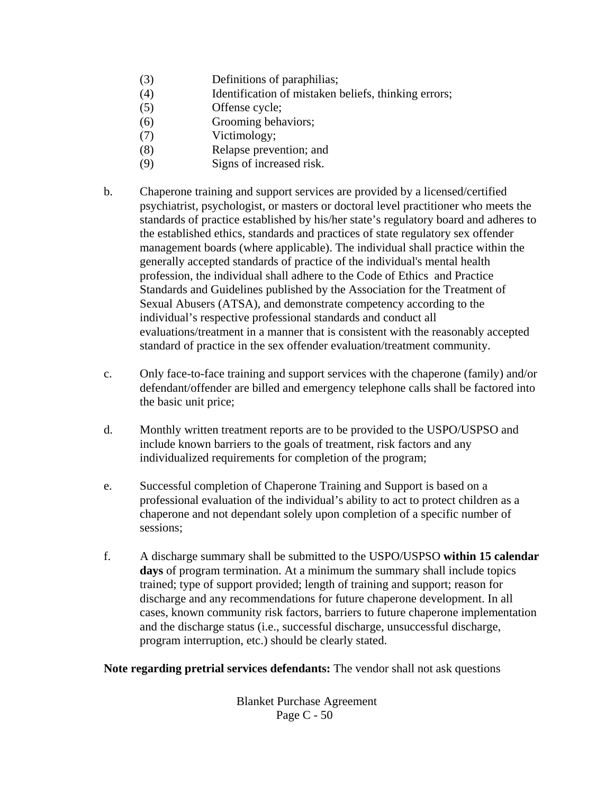- (3) Definitions of paraphilias;
- (4) Identification of mistaken beliefs, thinking errors;
- (5) Offense cycle;
- (6) Grooming behaviors;
- (7) Victimology;
- (8) Relapse prevention; and
- (9) Signs of increased risk.
- b. Chaperone training and support services are provided by a licensed/certified psychiatrist, psychologist, or masters or doctoral level practitioner who meets the standards of practice established by his/her state's regulatory board and adheres to the established ethics, standards and practices of state regulatory sex offender management boards (where applicable). The individual shall practice within the generally accepted standards of practice of the individual's mental health profession, the individual shall adhere to the Code of Ethics and Practice Standards and Guidelines published by the Association for the Treatment of Sexual Abusers (ATSA), and demonstrate competency according to the individual's respective professional standards and conduct all evaluations/treatment in a manner that is consistent with the reasonably accepted standard of practice in the sex offender evaluation/treatment community.
- c. Only face-to-face training and support services with the chaperone (family) and/or defendant/offender are billed and emergency telephone calls shall be factored into the basic unit price;
- d. Monthly written treatment reports are to be provided to the USPO/USPSO and include known barriers to the goals of treatment, risk factors and any individualized requirements for completion of the program;
- e. Successful completion of Chaperone Training and Support is based on a professional evaluation of the individual's ability to act to protect children as a chaperone and not dependant solely upon completion of a specific number of sessions;
- f. A discharge summary shall be submitted to the USPO/USPSO **within 15 calendar days** of program termination. At a minimum the summary shall include topics trained; type of support provided; length of training and support; reason for discharge and any recommendations for future chaperone development. In all cases, known community risk factors, barriers to future chaperone implementation and the discharge status (i.e., successful discharge, unsuccessful discharge, program interruption, etc.) should be clearly stated.

**Note regarding pretrial services defendants:** The vendor shall not ask questions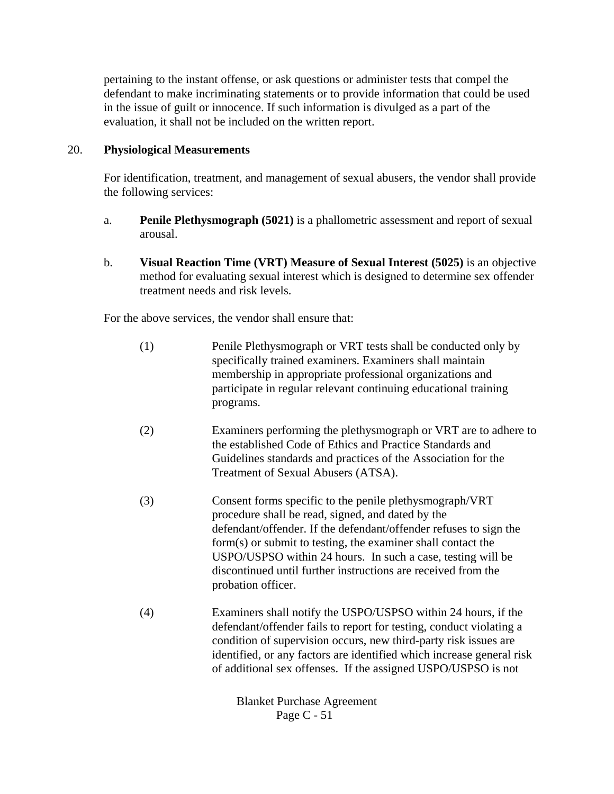pertaining to the instant offense, or ask questions or administer tests that compel the defendant to make incriminating statements or to provide information that could be used in the issue of guilt or innocence. If such information is divulged as a part of the evaluation, it shall not be included on the written report.

#### 20. **Physiological Measurements**

For identification, treatment, and management of sexual abusers, the vendor shall provide the following services:

- a. **Penile Plethysmograph (5021)** is a phallometric assessment and report of sexual arousal.
- b. **Visual Reaction Time (VRT) Measure of Sexual Interest (5025)** is an objective method for evaluating sexual interest which is designed to determine sex offender treatment needs and risk levels.

For the above services, the vendor shall ensure that:

- (1) Penile Plethysmograph or VRT tests shall be conducted only by specifically trained examiners. Examiners shall maintain membership in appropriate professional organizations and participate in regular relevant continuing educational training programs.
- (2) Examiners performing the plethysmograph or VRT are to adhere to the established Code of Ethics and Practice Standards and Guidelines standards and practices of the Association for the Treatment of Sexual Abusers (ATSA).
- (3) Consent forms specific to the penile plethysmograph/VRT procedure shall be read, signed, and dated by the defendant/offender. If the defendant/offender refuses to sign the form(s) or submit to testing, the examiner shall contact the USPO/USPSO within 24 hours. In such a case, testing will be discontinued until further instructions are received from the probation officer.
- (4) Examiners shall notify the USPO/USPSO within 24 hours, if the defendant/offender fails to report for testing, conduct violating a condition of supervision occurs, new third-party risk issues are identified, or any factors are identified which increase general risk of additional sex offenses. If the assigned USPO/USPSO is not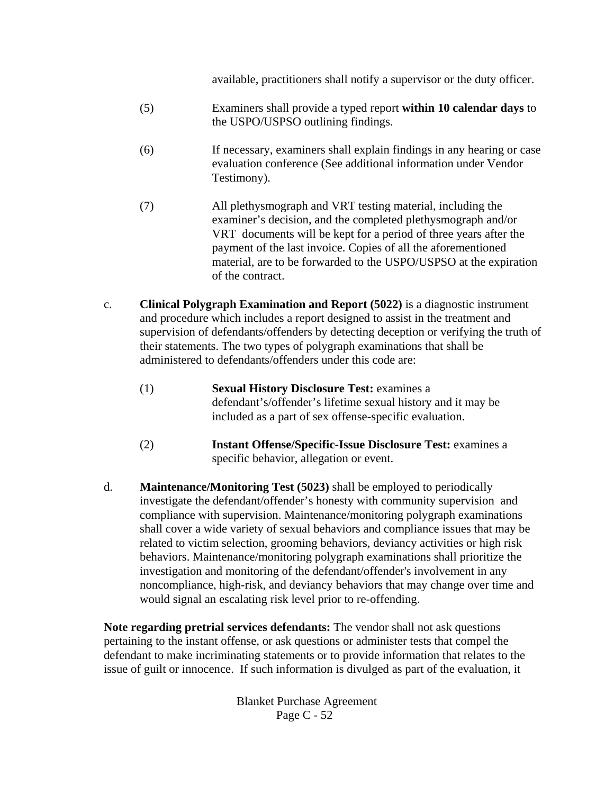available, practitioners shall notify a supervisor or the duty officer.

- (5) Examiners shall provide a typed report **within 10 calendar days** to the USPO/USPSO outlining findings.
- (6) If necessary, examiners shall explain findings in any hearing or case evaluation conference (See additional information under Vendor Testimony).
- (7) All plethysmograph and VRT testing material, including the examiner's decision, and the completed plethysmograph and/or VRT documents will be kept for a period of three years after the payment of the last invoice. Copies of all the aforementioned material, are to be forwarded to the USPO/USPSO at the expiration of the contract.
- c. **Clinical Polygraph Examination and Report (5022)** is a diagnostic instrument and procedure which includes a report designed to assist in the treatment and supervision of defendants/offenders by detecting deception or verifying the truth of their statements. The two types of polygraph examinations that shall be administered to defendants/offenders under this code are:
	- (1) **Sexual History Disclosure Test:** examines a defendant's/offender's lifetime sexual history and it may be included as a part of sex offense-specific evaluation.
	- (2) **Instant Offense/Specific-Issue Disclosure Test:** examines a specific behavior, allegation or event.
- d. **Maintenance/Monitoring Test (5023)** shall be employed to periodically investigate the defendant/offender's honesty with community supervision and compliance with supervision. Maintenance/monitoring polygraph examinations shall cover a wide variety of sexual behaviors and compliance issues that may be related to victim selection, grooming behaviors, deviancy activities or high risk behaviors. Maintenance/monitoring polygraph examinations shall prioritize the investigation and monitoring of the defendant/offender's involvement in any noncompliance, high-risk, and deviancy behaviors that may change over time and would signal an escalating risk level prior to re-offending.

**Note regarding pretrial services defendants:** The vendor shall not ask questions pertaining to the instant offense, or ask questions or administer tests that compel the defendant to make incriminating statements or to provide information that relates to the issue of guilt or innocence. If such information is divulged as part of the evaluation, it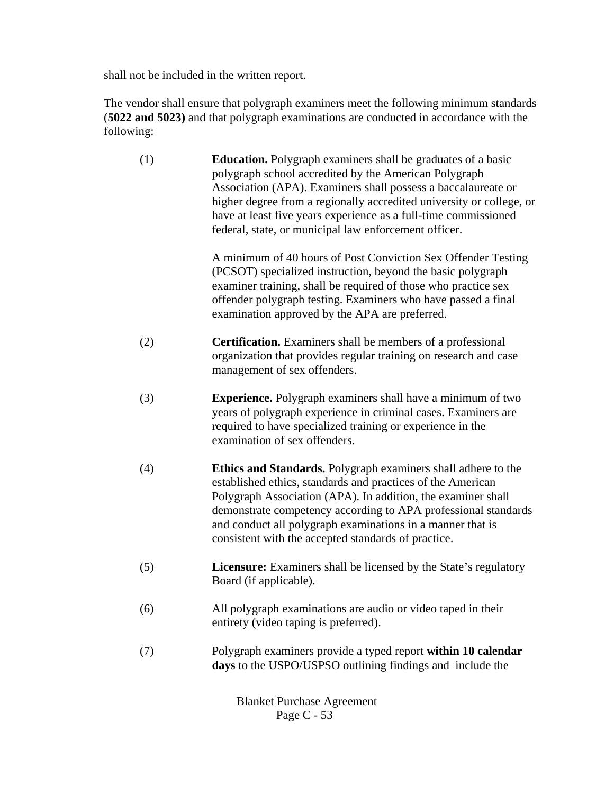shall not be included in the written report.

The vendor shall ensure that polygraph examiners meet the following minimum standards (**5022 and 5023)** and that polygraph examinations are conducted in accordance with the following:

| (1) | <b>Education.</b> Polygraph examiners shall be graduates of a basic<br>polygraph school accredited by the American Polygraph<br>Association (APA). Examiners shall possess a baccalaureate or<br>higher degree from a regionally accredited university or college, or<br>have at least five years experience as a full-time commissioned<br>federal, state, or municipal law enforcement officer. |
|-----|---------------------------------------------------------------------------------------------------------------------------------------------------------------------------------------------------------------------------------------------------------------------------------------------------------------------------------------------------------------------------------------------------|
|     | A minimum of 40 hours of Post Conviction Sex Offender Testing<br>(PCSOT) specialized instruction, beyond the basic polygraph<br>examiner training, shall be required of those who practice sex<br>offender polygraph testing. Examiners who have passed a final<br>examination approved by the APA are preferred.                                                                                 |
| (2) | <b>Certification.</b> Examiners shall be members of a professional<br>organization that provides regular training on research and case<br>management of sex offenders.                                                                                                                                                                                                                            |
| (3) | <b>Experience.</b> Polygraph examiners shall have a minimum of two<br>years of polygraph experience in criminal cases. Examiners are<br>required to have specialized training or experience in the<br>examination of sex offenders.                                                                                                                                                               |
| (4) | <b>Ethics and Standards.</b> Polygraph examiners shall adhere to the<br>established ethics, standards and practices of the American<br>Polygraph Association (APA). In addition, the examiner shall<br>demonstrate competency according to APA professional standards<br>and conduct all polygraph examinations in a manner that is<br>consistent with the accepted standards of practice.        |
| (5) | <b>Licensure:</b> Examiners shall be licensed by the State's regulatory<br>Board (if applicable).                                                                                                                                                                                                                                                                                                 |
| (6) | All polygraph examinations are audio or video taped in their<br>entirety (video taping is preferred).                                                                                                                                                                                                                                                                                             |
| (7) | Polygraph examiners provide a typed report within 10 calendar<br>days to the USPO/USPSO outlining findings and include the                                                                                                                                                                                                                                                                        |
|     |                                                                                                                                                                                                                                                                                                                                                                                                   |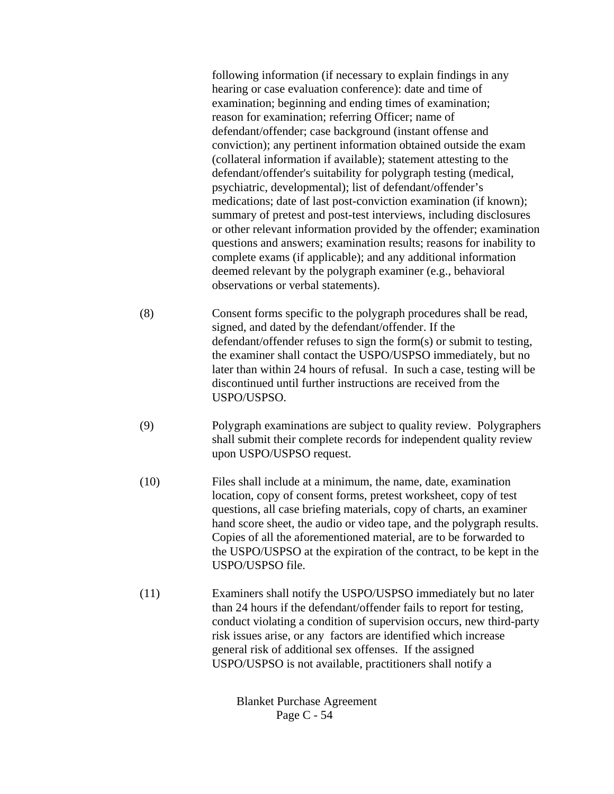following information (if necessary to explain findings in any hearing or case evaluation conference): date and time of examination; beginning and ending times of examination; reason for examination; referring Officer; name of defendant/offender; case background (instant offense and conviction); any pertinent information obtained outside the exam (collateral information if available); statement attesting to the defendant/offender's suitability for polygraph testing (medical, psychiatric, developmental); list of defendant/offender's medications; date of last post-conviction examination (if known); summary of pretest and post-test interviews, including disclosures or other relevant information provided by the offender; examination questions and answers; examination results; reasons for inability to complete exams (if applicable); and any additional information deemed relevant by the polygraph examiner (e.g., behavioral observations or verbal statements).

- (8) Consent forms specific to the polygraph procedures shall be read, signed, and dated by the defendant/offender. If the defendant/offender refuses to sign the form(s) or submit to testing, the examiner shall contact the USPO/USPSO immediately, but no later than within 24 hours of refusal. In such a case, testing will be discontinued until further instructions are received from the USPO/USPSO.
- (9) Polygraph examinations are subject to quality review. Polygraphers shall submit their complete records for independent quality review upon USPO/USPSO request.
- (10) Files shall include at a minimum, the name, date, examination location, copy of consent forms, pretest worksheet, copy of test questions, all case briefing materials, copy of charts, an examiner hand score sheet, the audio or video tape, and the polygraph results. Copies of all the aforementioned material, are to be forwarded to the USPO/USPSO at the expiration of the contract, to be kept in the USPO/USPSO file.
- (11) Examiners shall notify the USPO/USPSO immediately but no later than 24 hours if the defendant/offender fails to report for testing, conduct violating a condition of supervision occurs, new third-party risk issues arise, or any factors are identified which increase general risk of additional sex offenses. If the assigned USPO/USPSO is not available, practitioners shall notify a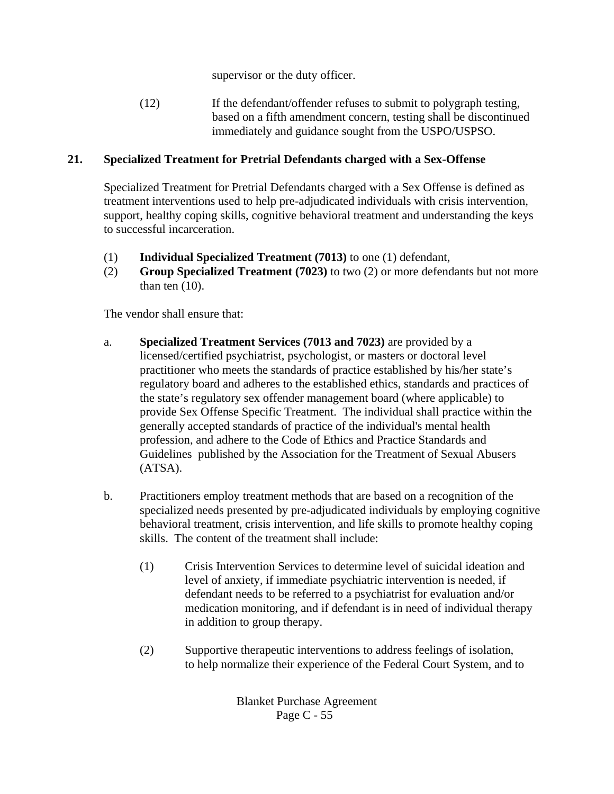supervisor or the duty officer.

(12) If the defendant/offender refuses to submit to polygraph testing, based on a fifth amendment concern, testing shall be discontinued immediately and guidance sought from the USPO/USPSO.

## **21. Specialized Treatment for Pretrial Defendants charged with a Sex-Offense**

Specialized Treatment for Pretrial Defendants charged with a Sex Offense is defined as treatment interventions used to help pre-adjudicated individuals with crisis intervention, support, healthy coping skills, cognitive behavioral treatment and understanding the keys to successful incarceration.

- (1) **Individual Specialized Treatment (7013)** to one (1) defendant,
- (2) **Group Specialized Treatment (7023)** to two (2) or more defendants but not more than ten  $(10)$ .

The vendor shall ensure that:

- a. **Specialized Treatment Services (7013 and 7023)** are provided by a licensed/certified psychiatrist, psychologist, or masters or doctoral level practitioner who meets the standards of practice established by his/her state's regulatory board and adheres to the established ethics, standards and practices of the state's regulatory sex offender management board (where applicable) to provide Sex Offense Specific Treatment. The individual shall practice within the generally accepted standards of practice of the individual's mental health profession, and adhere to the Code of Ethics and Practice Standards and Guidelines published by the Association for the Treatment of Sexual Abusers (ATSA).
- b. Practitioners employ treatment methods that are based on a recognition of the specialized needs presented by pre-adjudicated individuals by employing cognitive behavioral treatment, crisis intervention, and life skills to promote healthy coping skills. The content of the treatment shall include:
	- (1) Crisis Intervention Services to determine level of suicidal ideation and level of anxiety, if immediate psychiatric intervention is needed, if defendant needs to be referred to a psychiatrist for evaluation and/or medication monitoring, and if defendant is in need of individual therapy in addition to group therapy.
	- (2) Supportive therapeutic interventions to address feelings of isolation, to help normalize their experience of the Federal Court System, and to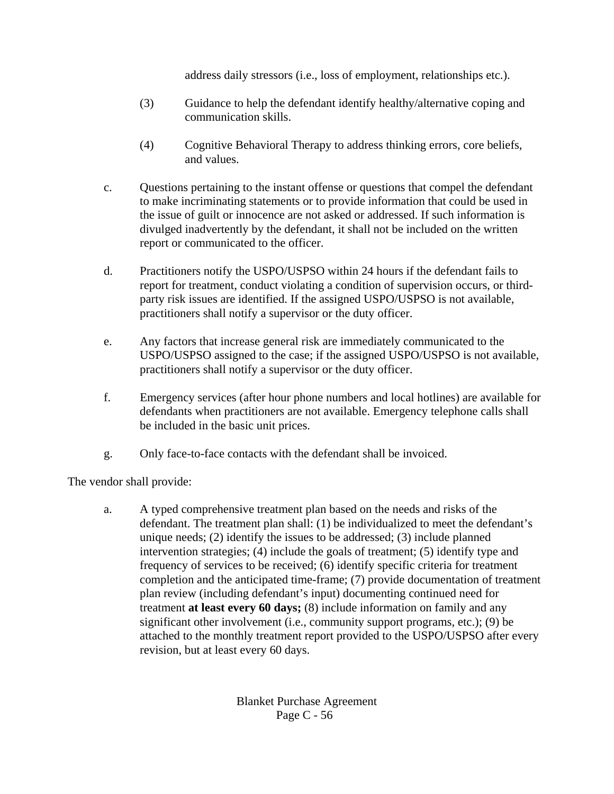address daily stressors (i.e., loss of employment, relationships etc.).

- (3) Guidance to help the defendant identify healthy/alternative coping and communication skills.
- (4) Cognitive Behavioral Therapy to address thinking errors, core beliefs, and values.
- c. Questions pertaining to the instant offense or questions that compel the defendant to make incriminating statements or to provide information that could be used in the issue of guilt or innocence are not asked or addressed. If such information is divulged inadvertently by the defendant, it shall not be included on the written report or communicated to the officer.
- d. Practitioners notify the USPO/USPSO within 24 hours if the defendant fails to report for treatment, conduct violating a condition of supervision occurs, or thirdparty risk issues are identified. If the assigned USPO/USPSO is not available, practitioners shall notify a supervisor or the duty officer.
- e. Any factors that increase general risk are immediately communicated to the USPO/USPSO assigned to the case; if the assigned USPO/USPSO is not available, practitioners shall notify a supervisor or the duty officer.
- f. Emergency services (after hour phone numbers and local hotlines) are available for defendants when practitioners are not available. Emergency telephone calls shall be included in the basic unit prices.
- g. Only face-to-face contacts with the defendant shall be invoiced.

The vendor shall provide:

a. A typed comprehensive treatment plan based on the needs and risks of the defendant. The treatment plan shall: (1) be individualized to meet the defendant's unique needs; (2) identify the issues to be addressed; (3) include planned intervention strategies; (4) include the goals of treatment; (5) identify type and frequency of services to be received; (6) identify specific criteria for treatment completion and the anticipated time-frame; (7) provide documentation of treatment plan review (including defendant's input) documenting continued need for treatment **at least every 60 days;** (8) include information on family and any significant other involvement (i.e., community support programs, etc.); (9) be attached to the monthly treatment report provided to the USPO/USPSO after every revision, but at least every 60 days.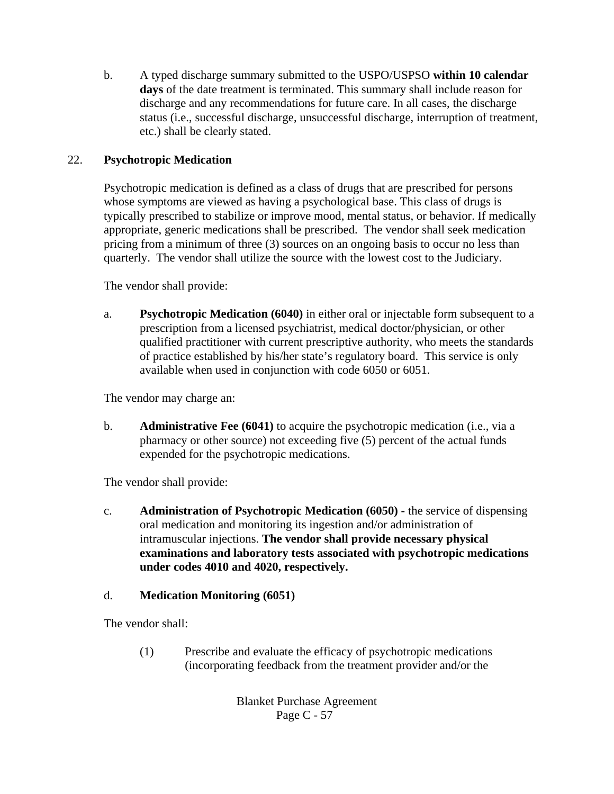b. A typed discharge summary submitted to the USPO/USPSO **within 10 calendar days** of the date treatment is terminated. This summary shall include reason for discharge and any recommendations for future care. In all cases, the discharge status (i.e., successful discharge, unsuccessful discharge, interruption of treatment, etc.) shall be clearly stated.

## 22. **Psychotropic Medication**

Psychotropic medication is defined as a class of drugs that are prescribed for persons whose symptoms are viewed as having a psychological base. This class of drugs is typically prescribed to stabilize or improve mood, mental status, or behavior. If medically appropriate, generic medications shall be prescribed. The vendor shall seek medication pricing from a minimum of three (3) sources on an ongoing basis to occur no less than quarterly. The vendor shall utilize the source with the lowest cost to the Judiciary.

The vendor shall provide:

a. **Psychotropic Medication (6040)** in either oral or injectable form subsequent to a prescription from a licensed psychiatrist, medical doctor/physician, or other qualified practitioner with current prescriptive authority, who meets the standards of practice established by his/her state's regulatory board. This service is only available when used in conjunction with code 6050 or 6051.

The vendor may charge an:

b. **Administrative Fee (6041)** to acquire the psychotropic medication (i.e., via a pharmacy or other source) not exceeding five (5) percent of the actual funds expended for the psychotropic medications.

The vendor shall provide:

c. **Administration of Psychotropic Medication (6050) -** the service of dispensing oral medication and monitoring its ingestion and/or administration of intramuscular injections. **The vendor shall provide necessary physical examinations and laboratory tests associated with psychotropic medications under codes 4010 and 4020, respectively.**

# d. **Medication Monitoring (6051)**

The vendor shall:

(1) Prescribe and evaluate the efficacy of psychotropic medications (incorporating feedback from the treatment provider and/or the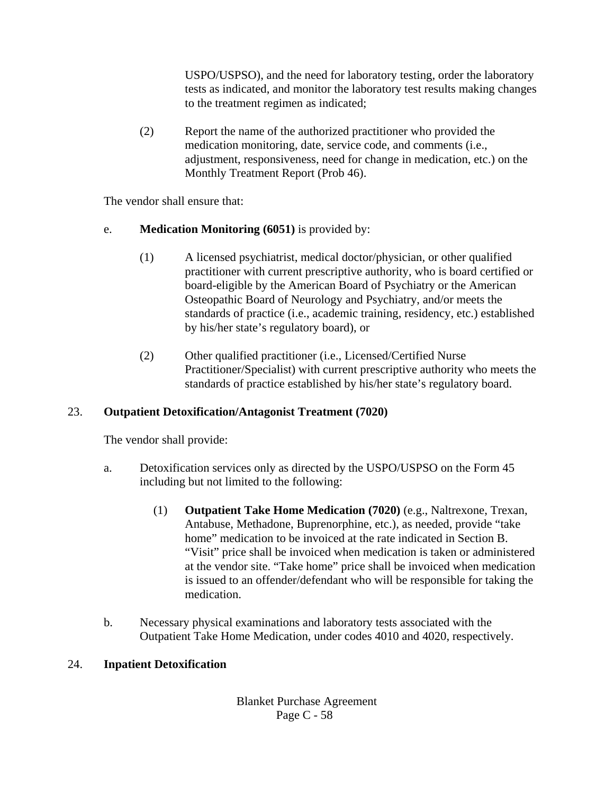USPO/USPSO), and the need for laboratory testing, order the laboratory tests as indicated, and monitor the laboratory test results making changes to the treatment regimen as indicated;

(2) Report the name of the authorized practitioner who provided the medication monitoring, date, service code, and comments (i.e., adjustment, responsiveness, need for change in medication, etc.) on the Monthly Treatment Report (Prob 46).

The vendor shall ensure that:

- e. **Medication Monitoring (6051)** is provided by:
	- (1) A licensed psychiatrist, medical doctor/physician, or other qualified practitioner with current prescriptive authority, who is board certified or board-eligible by the American Board of Psychiatry or the American Osteopathic Board of Neurology and Psychiatry, and/or meets the standards of practice (i.e., academic training, residency, etc.) established by his/her state's regulatory board), or
	- (2) Other qualified practitioner (i.e., Licensed/Certified Nurse Practitioner/Specialist) with current prescriptive authority who meets the standards of practice established by his/her state's regulatory board.

# 23. **Outpatient Detoxification/Antagonist Treatment (7020)**

The vendor shall provide:

- a. Detoxification services only as directed by the USPO/USPSO on the Form 45 including but not limited to the following:
	- (1) **Outpatient Take Home Medication (7020)** (e.g., Naltrexone, Trexan, Antabuse, Methadone, Buprenorphine, etc.), as needed, provide "take home" medication to be invoiced at the rate indicated in Section B. "Visit" price shall be invoiced when medication is taken or administered at the vendor site. "Take home" price shall be invoiced when medication is issued to an offender/defendant who will be responsible for taking the medication.
- b. Necessary physical examinations and laboratory tests associated with the Outpatient Take Home Medication, under codes 4010 and 4020, respectively.

# 24. **Inpatient Detoxification**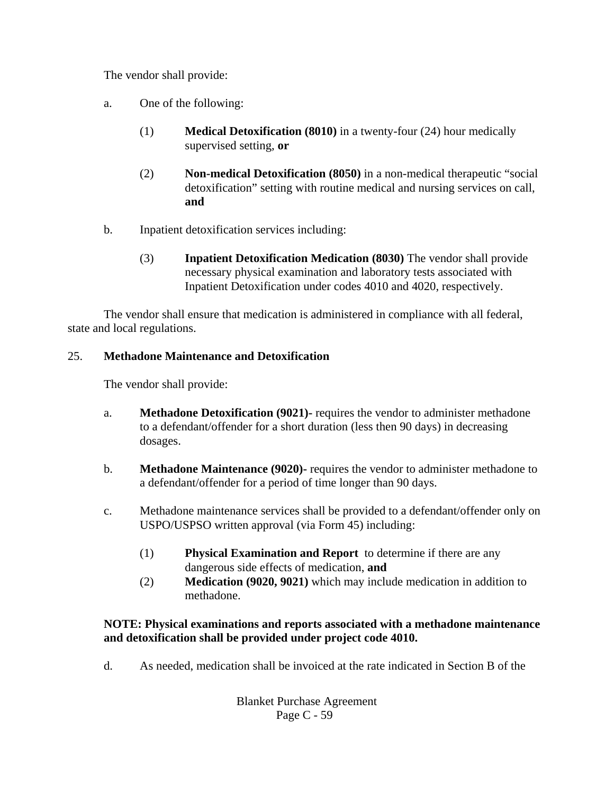The vendor shall provide:

- a. One of the following:
	- (1) **Medical Detoxification (8010)** in a twenty-four (24) hour medically supervised setting, **or**
	- (2) **Non-medical Detoxification (8050)** in a non-medical therapeutic "social detoxification" setting with routine medical and nursing services on call, **and**
- b. Inpatient detoxification services including:
	- (3) **Inpatient Detoxification Medication (8030)** The vendor shall provide necessary physical examination and laboratory tests associated with Inpatient Detoxification under codes 4010 and 4020, respectively.

The vendor shall ensure that medication is administered in compliance with all federal, state and local regulations.

## 25. **Methadone Maintenance and Detoxification**

The vendor shall provide:

- a. **Methadone Detoxification (9021)-** requires the vendor to administer methadone to a defendant/offender for a short duration (less then 90 days) in decreasing dosages.
- b. **Methadone Maintenance (9020)-** requires the vendor to administer methadone to a defendant/offender for a period of time longer than 90 days.
- c. Methadone maintenance services shall be provided to a defendant/offender only on USPO/USPSO written approval (via Form 45) including:
	- (1) **Physical Examination and Report** to determine if there are any dangerous side effects of medication, **and**
	- (2) **Medication (9020, 9021)** which may include medication in addition to methadone.

### **NOTE: Physical examinations and reports associated with a methadone maintenance and detoxification shall be provided under project code 4010.**

d. As needed, medication shall be invoiced at the rate indicated in Section B of the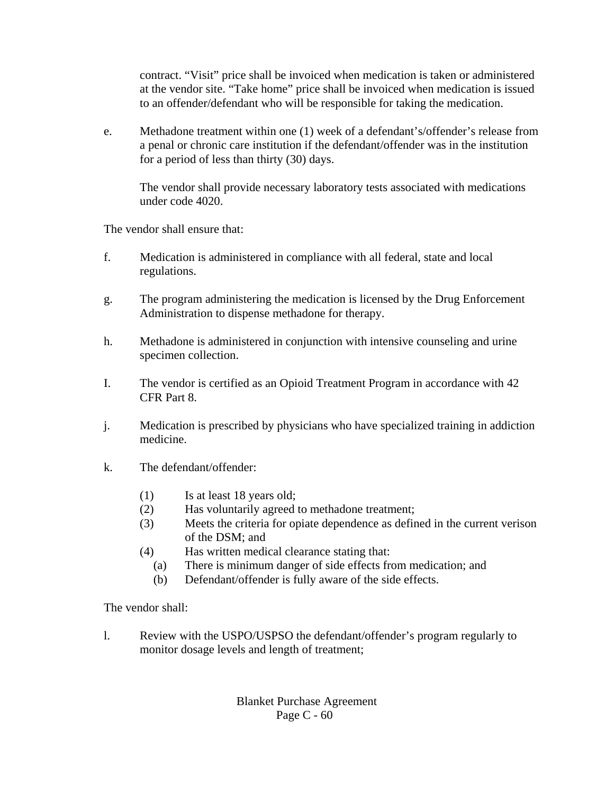contract. "Visit" price shall be invoiced when medication is taken or administered at the vendor site. "Take home" price shall be invoiced when medication is issued to an offender/defendant who will be responsible for taking the medication.

e. Methadone treatment within one (1) week of a defendant's/offender's release from a penal or chronic care institution if the defendant/offender was in the institution for a period of less than thirty (30) days.

The vendor shall provide necessary laboratory tests associated with medications under code 4020.

The vendor shall ensure that:

- f. Medication is administered in compliance with all federal, state and local regulations.
- g. The program administering the medication is licensed by the Drug Enforcement Administration to dispense methadone for therapy.
- h. Methadone is administered in conjunction with intensive counseling and urine specimen collection.
- I. The vendor is certified as an Opioid Treatment Program in accordance with 42 CFR Part 8.
- j. Medication is prescribed by physicians who have specialized training in addiction medicine.
- k. The defendant/offender:
	- (1) Is at least 18 years old;
	- (2) Has voluntarily agreed to methadone treatment;
	- (3) Meets the criteria for opiate dependence as defined in the current verison of the DSM; and
	- (4) Has written medical clearance stating that:
		- (a) There is minimum danger of side effects from medication; and
		- (b) Defendant/offender is fully aware of the side effects.

The vendor shall:

l. Review with the USPO/USPSO the defendant/offender's program regularly to monitor dosage levels and length of treatment;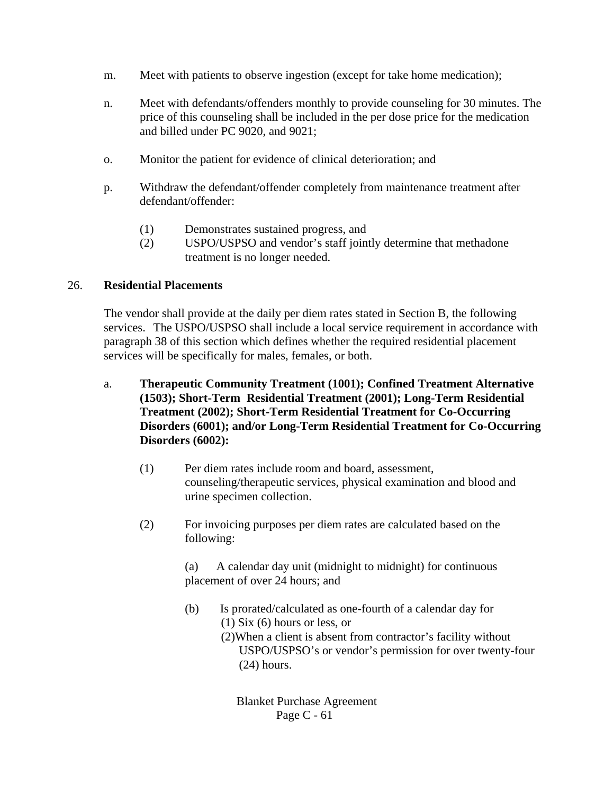- m. Meet with patients to observe ingestion (except for take home medication);
- n. Meet with defendants/offenders monthly to provide counseling for 30 minutes. The price of this counseling shall be included in the per dose price for the medication and billed under PC 9020, and 9021;
- o. Monitor the patient for evidence of clinical deterioration; and
- p. Withdraw the defendant/offender completely from maintenance treatment after defendant/offender:
	- (1) Demonstrates sustained progress, and
	- (2) USPO/USPSO and vendor's staff jointly determine that methadone treatment is no longer needed.

#### 26. **Residential Placements**

The vendor shall provide at the daily per diem rates stated in Section B, the following services. The USPO/USPSO shall include a local service requirement in accordance with paragraph 38 of this section which defines whether the required residential placement services will be specifically for males, females, or both.

- a. **Therapeutic Community Treatment (1001); Confined Treatment Alternative (1503); Short-Term Residential Treatment (2001); Long-Term Residential Treatment (2002); Short-Term Residential Treatment for Co-Occurring Disorders (6001); and/or Long-Term Residential Treatment for Co-Occurring Disorders (6002):**
	- (1) Per diem rates include room and board, assessment, counseling/therapeutic services, physical examination and blood and urine specimen collection.
	- (2) For invoicing purposes per diem rates are calculated based on the following:

(a) A calendar day unit (midnight to midnight) for continuous placement of over 24 hours; and

- (b) Is prorated/calculated as one-fourth of a calendar day for (1) Six (6) hours or less, or
	- (2)When a client is absent from contractor's facility without USPO/USPSO's or vendor's permission for over twenty-four (24) hours.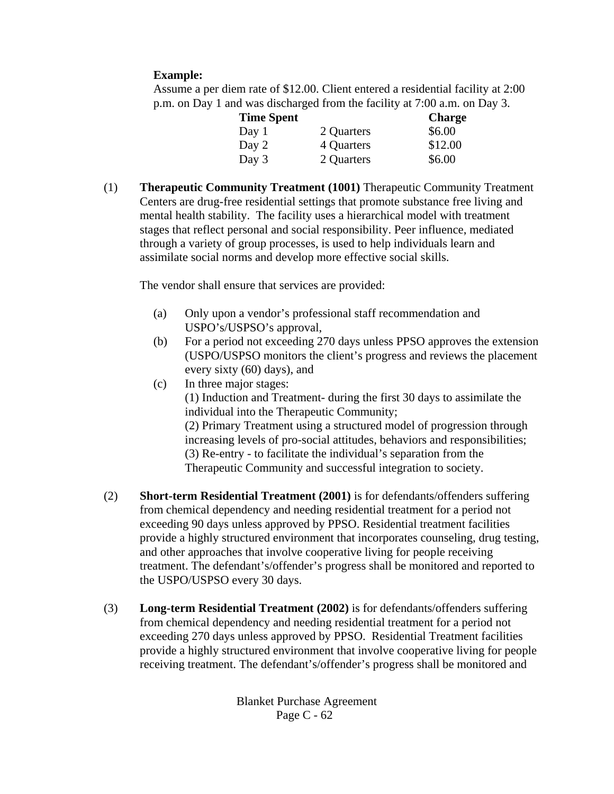### **Example:**

Assume a per diem rate of \$12.00. Client entered a residential facility at 2:00 p.m. on Day 1 and was discharged from the facility at 7:00 a.m. on Day 3.

| <b>Time Spent</b> |            | <b>Charge</b> |
|-------------------|------------|---------------|
| Day 1             | 2 Quarters | \$6.00        |
| Day 2             | 4 Quarters | \$12.00       |
| Day 3             | 2 Quarters | \$6.00        |

(1) **Therapeutic Community Treatment (1001)** Therapeutic Community Treatment Centers are drug-free residential settings that promote substance free living and mental health stability. The facility uses a hierarchical model with treatment stages that reflect personal and social responsibility. Peer influence, mediated through a variety of group processes, is used to help individuals learn and assimilate social norms and develop more effective social skills.

The vendor shall ensure that services are provided:

- (a) Only upon a vendor's professional staff recommendation and USPO's/USPSO's approval,
- (b) For a period not exceeding 270 days unless PPSO approves the extension (USPO/USPSO monitors the client's progress and reviews the placement every sixty (60) days), and
- (c) In three major stages:

(1) Induction and Treatment- during the first 30 days to assimilate the individual into the Therapeutic Community;

(2) Primary Treatment using a structured model of progression through increasing levels of pro-social attitudes, behaviors and responsibilities; (3) Re-entry - to facilitate the individual's separation from the Therapeutic Community and successful integration to society.

- (2) **Short-term Residential Treatment (2001)** is for defendants/offenders suffering from chemical dependency and needing residential treatment for a period not exceeding 90 days unless approved by PPSO. Residential treatment facilities provide a highly structured environment that incorporates counseling, drug testing, and other approaches that involve cooperative living for people receiving treatment. The defendant's/offender's progress shall be monitored and reported to the USPO/USPSO every 30 days.
- (3) **Long-term Residential Treatment (2002)** is for defendants/offenders suffering from chemical dependency and needing residential treatment for a period not exceeding 270 days unless approved by PPSO. Residential Treatment facilities provide a highly structured environment that involve cooperative living for people receiving treatment. The defendant's/offender's progress shall be monitored and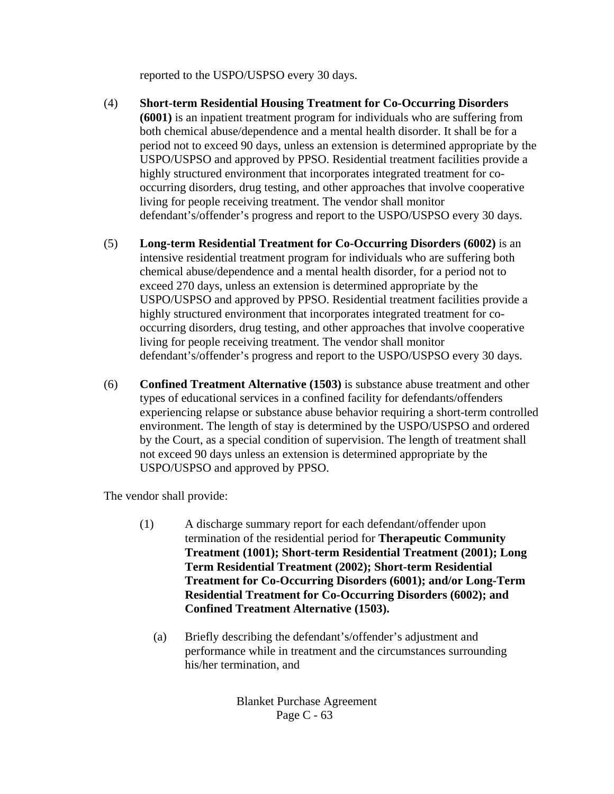reported to the USPO/USPSO every 30 days.

- (4) **Short-term Residential Housing Treatment for Co-Occurring Disorders (6001)** is an inpatient treatment program for individuals who are suffering from both chemical abuse/dependence and a mental health disorder. It shall be for a period not to exceed 90 days, unless an extension is determined appropriate by the USPO/USPSO and approved by PPSO. Residential treatment facilities provide a highly structured environment that incorporates integrated treatment for cooccurring disorders, drug testing, and other approaches that involve cooperative living for people receiving treatment. The vendor shall monitor defendant's/offender's progress and report to the USPO/USPSO every 30 days.
- (5) **Long-term Residential Treatment for Co-Occurring Disorders (6002)** is an intensive residential treatment program for individuals who are suffering both chemical abuse/dependence and a mental health disorder, for a period not to exceed 270 days, unless an extension is determined appropriate by the USPO/USPSO and approved by PPSO. Residential treatment facilities provide a highly structured environment that incorporates integrated treatment for cooccurring disorders, drug testing, and other approaches that involve cooperative living for people receiving treatment. The vendor shall monitor defendant's/offender's progress and report to the USPO/USPSO every 30 days.
- (6) **Confined Treatment Alternative (1503)** is substance abuse treatment and other types of educational services in a confined facility for defendants/offenders experiencing relapse or substance abuse behavior requiring a short-term controlled environment. The length of stay is determined by the USPO/USPSO and ordered by the Court, as a special condition of supervision. The length of treatment shall not exceed 90 days unless an extension is determined appropriate by the USPO/USPSO and approved by PPSO.

The vendor shall provide:

- (1) A discharge summary report for each defendant/offender upon termination of the residential period for **Therapeutic Community Treatment (1001); Short-term Residential Treatment (2001); Long Term Residential Treatment (2002); Short-term Residential Treatment for Co-Occurring Disorders (6001); and/or Long-Term Residential Treatment for Co-Occurring Disorders (6002); and Confined Treatment Alternative (1503).**
	- (a) Briefly describing the defendant's/offender's adjustment and performance while in treatment and the circumstances surrounding his/her termination, and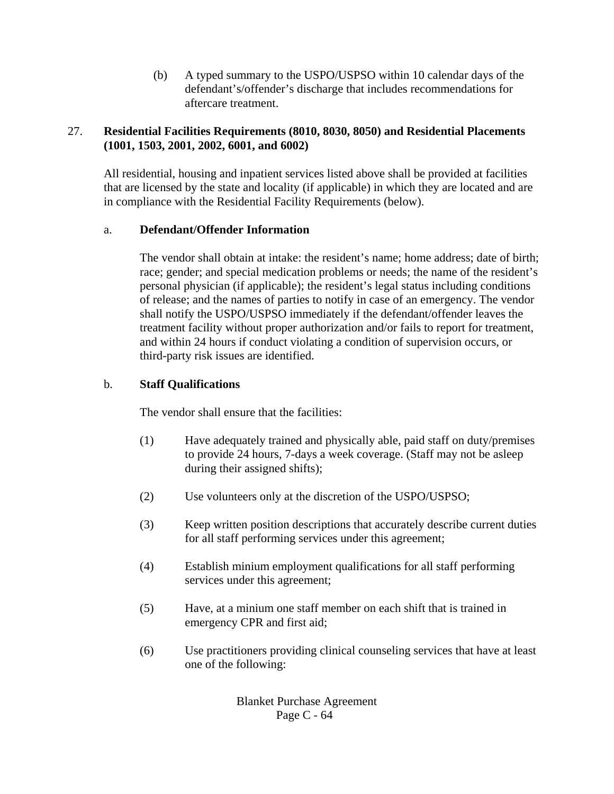(b) A typed summary to the USPO/USPSO within 10 calendar days of the defendant's/offender's discharge that includes recommendations for aftercare treatment.

### 27. **Residential Facilities Requirements (8010, 8030, 8050) and Residential Placements (1001, 1503, 2001, 2002, 6001, and 6002)**

All residential, housing and inpatient services listed above shall be provided at facilities that are licensed by the state and locality (if applicable) in which they are located and are in compliance with the Residential Facility Requirements (below).

#### a. **Defendant/Offender Information**

The vendor shall obtain at intake: the resident's name; home address; date of birth; race; gender; and special medication problems or needs; the name of the resident's personal physician (if applicable); the resident's legal status including conditions of release; and the names of parties to notify in case of an emergency. The vendor shall notify the USPO/USPSO immediately if the defendant/offender leaves the treatment facility without proper authorization and/or fails to report for treatment, and within 24 hours if conduct violating a condition of supervision occurs, or third-party risk issues are identified.

#### b. **Staff Qualifications**

The vendor shall ensure that the facilities:

- (1) Have adequately trained and physically able, paid staff on duty/premises to provide 24 hours, 7-days a week coverage. (Staff may not be asleep during their assigned shifts);
- (2) Use volunteers only at the discretion of the USPO/USPSO;
- (3) Keep written position descriptions that accurately describe current duties for all staff performing services under this agreement;
- (4) Establish minium employment qualifications for all staff performing services under this agreement;
- (5) Have, at a minium one staff member on each shift that is trained in emergency CPR and first aid;
- (6) Use practitioners providing clinical counseling services that have at least one of the following: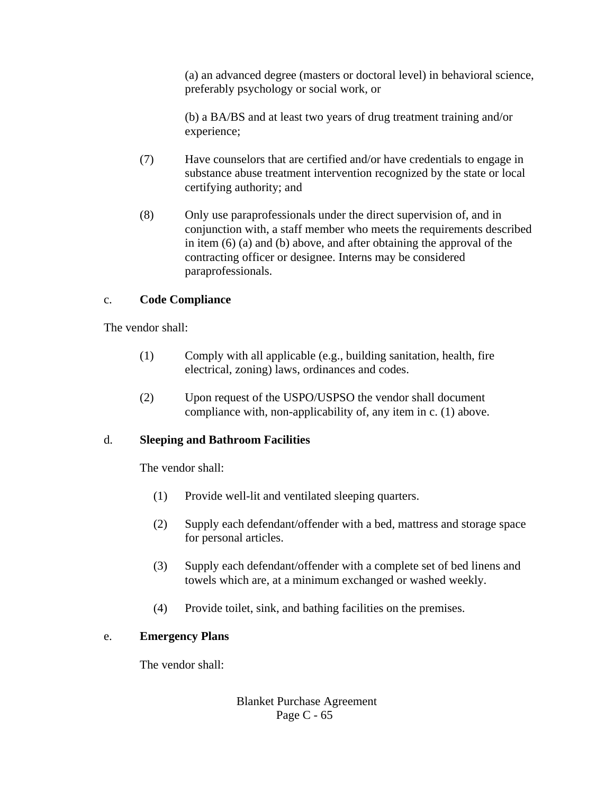(a) an advanced degree (masters or doctoral level) in behavioral science, preferably psychology or social work, or

(b) a BA/BS and at least two years of drug treatment training and/or experience;

- (7) Have counselors that are certified and/or have credentials to engage in substance abuse treatment intervention recognized by the state or local certifying authority; and
- (8) Only use paraprofessionals under the direct supervision of, and in conjunction with, a staff member who meets the requirements described in item (6) (a) and (b) above, and after obtaining the approval of the contracting officer or designee. Interns may be considered paraprofessionals.

### c. **Code Compliance**

The vendor shall:

- (1) Comply with all applicable (e.g., building sanitation, health, fire electrical, zoning) laws, ordinances and codes.
- (2) Upon request of the USPO/USPSO the vendor shall document compliance with, non-applicability of, any item in c. (1) above.

### d. **Sleeping and Bathroom Facilities**

The vendor shall:

- (1) Provide well-lit and ventilated sleeping quarters.
- (2) Supply each defendant/offender with a bed, mattress and storage space for personal articles.
- (3) Supply each defendant/offender with a complete set of bed linens and towels which are, at a minimum exchanged or washed weekly.
- (4) Provide toilet, sink, and bathing facilities on the premises.

### e. **Emergency Plans**

The vendor shall: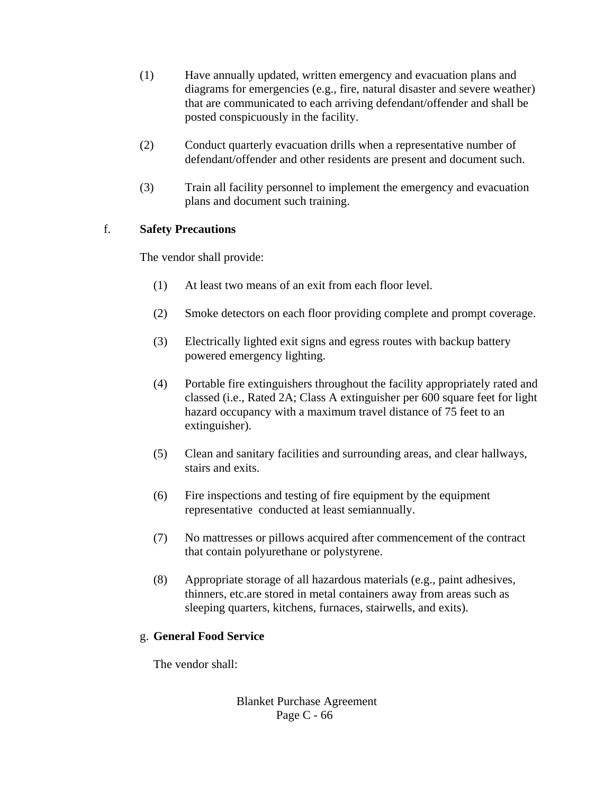- (1) Have annually updated, written emergency and evacuation plans and diagrams for emergencies (e.g., fire, natural disaster and severe weather) that are communicated to each arriving defendant/offender and shall be posted conspicuously in the facility.
- (2) Conduct quarterly evacuation drills when a representative number of defendant/offender and other residents are present and document such.
- (3) Train all facility personnel to implement the emergency and evacuation plans and document such training.

## f. **Safety Precautions**

The vendor shall provide:

- (1) At least two means of an exit from each floor level.
- (2) Smoke detectors on each floor providing complete and prompt coverage.
- (3) Electrically lighted exit signs and egress routes with backup battery powered emergency lighting.
- (4) Portable fire extinguishers throughout the facility appropriately rated and classed (i.e., Rated 2A; Class A extinguisher per 600 square feet for light hazard occupancy with a maximum travel distance of 75 feet to an extinguisher).
- (5) Clean and sanitary facilities and surrounding areas, and clear hallways, stairs and exits.
- (6) Fire inspections and testing of fire equipment by the equipment representative conducted at least semiannually.
- (7) No mattresses or pillows acquired after commencement of the contract that contain polyurethane or polystyrene.
- (8) Appropriate storage of all hazardous materials (e.g., paint adhesives, thinners, etc.are stored in metal containers away from areas such as sleeping quarters, kitchens, furnaces, stairwells, and exits).

### g. **General Food Service**

The vendor shall: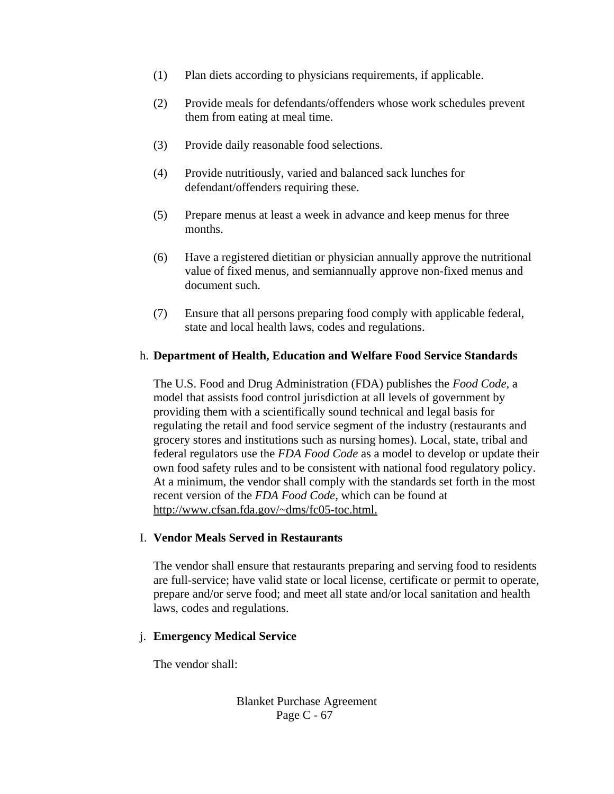- (1) Plan diets according to physicians requirements, if applicable.
- (2) Provide meals for defendants/offenders whose work schedules prevent them from eating at meal time.
- (3) Provide daily reasonable food selections.
- (4) Provide nutritiously, varied and balanced sack lunches for defendant/offenders requiring these.
- (5) Prepare menus at least a week in advance and keep menus for three months.
- (6) Have a registered dietitian or physician annually approve the nutritional value of fixed menus, and semiannually approve non-fixed menus and document such.
- (7) Ensure that all persons preparing food comply with applicable federal, state and local health laws, codes and regulations.

### h. **Department of Health, Education and Welfare Food Service Standards**

The U.S. Food and Drug Administration (FDA) publishes the *Food Code,* a model that assists food control jurisdiction at all levels of government by providing them with a scientifically sound technical and legal basis for regulating the retail and food service segment of the industry (restaurants and grocery stores and institutions such as nursing homes). Local, state, tribal and federal regulators use the *FDA Food Code* as a model to develop or update their own food safety rules and to be consistent with national food regulatory policy. At a minimum, the vendor shall comply with the standards set forth in the most recent version of the *FDA Food Code,* which can be found at http://www.cfsan.fda.gov/~dms/fc05-toc.html.

### I. **Vendor Meals Served in Restaurants**

The vendor shall ensure that restaurants preparing and serving food to residents are full-service; have valid state or local license, certificate or permit to operate, prepare and/or serve food; and meet all state and/or local sanitation and health laws, codes and regulations.

### j. **Emergency Medical Service**

The vendor shall: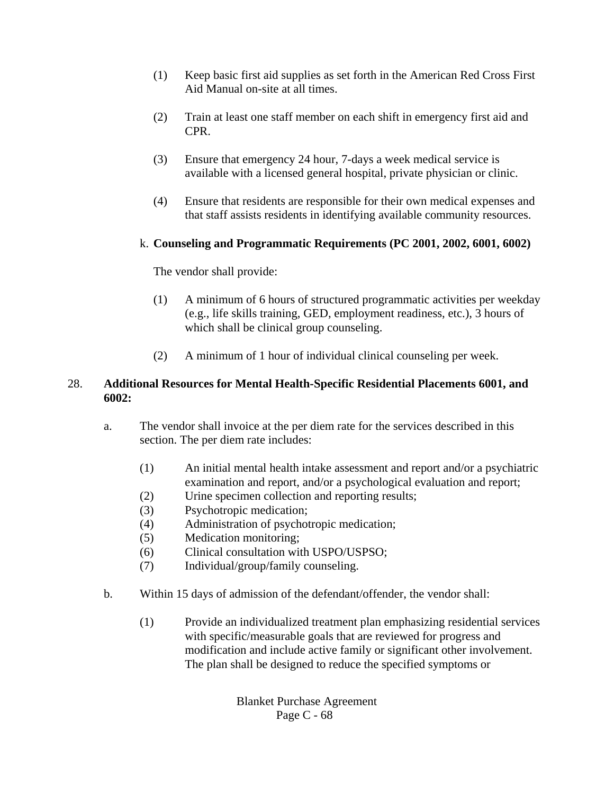- (1) Keep basic first aid supplies as set forth in the American Red Cross First Aid Manual on-site at all times.
- (2) Train at least one staff member on each shift in emergency first aid and CPR.
- (3) Ensure that emergency 24 hour, 7-days a week medical service is available with a licensed general hospital, private physician or clinic.
- (4) Ensure that residents are responsible for their own medical expenses and that staff assists residents in identifying available community resources.

### k. **Counseling and Programmatic Requirements (PC 2001, 2002, 6001, 6002)**

The vendor shall provide:

- (1) A minimum of 6 hours of structured programmatic activities per weekday (e.g., life skills training, GED, employment readiness, etc.), 3 hours of which shall be clinical group counseling.
- (2) A minimum of 1 hour of individual clinical counseling per week.

## 28. **Additional Resources for Mental Health-Specific Residential Placements 6001, and 6002:**

- a. The vendor shall invoice at the per diem rate for the services described in this section. The per diem rate includes:
	- (1) An initial mental health intake assessment and report and/or a psychiatric examination and report, and/or a psychological evaluation and report;
	- (2) Urine specimen collection and reporting results;
	- (3) Psychotropic medication;
	- (4) Administration of psychotropic medication;
	- (5) Medication monitoring;
	- (6) Clinical consultation with USPO/USPSO;
	- (7) Individual/group/family counseling.
- b. Within 15 days of admission of the defendant/offender, the vendor shall:
	- (1) Provide an individualized treatment plan emphasizing residential services with specific/measurable goals that are reviewed for progress and modification and include active family or significant other involvement. The plan shall be designed to reduce the specified symptoms or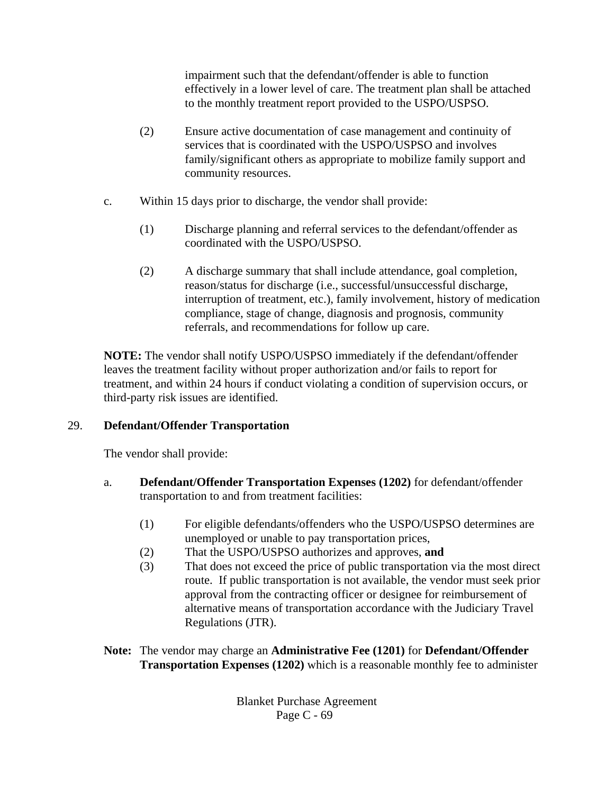impairment such that the defendant/offender is able to function effectively in a lower level of care. The treatment plan shall be attached to the monthly treatment report provided to the USPO/USPSO.

- (2) Ensure active documentation of case management and continuity of services that is coordinated with the USPO/USPSO and involves family/significant others as appropriate to mobilize family support and community resources.
- c. Within 15 days prior to discharge, the vendor shall provide:
	- (1) Discharge planning and referral services to the defendant/offender as coordinated with the USPO/USPSO.
	- (2) A discharge summary that shall include attendance, goal completion, reason/status for discharge (i.e., successful/unsuccessful discharge, interruption of treatment, etc.), family involvement, history of medication compliance, stage of change, diagnosis and prognosis, community referrals, and recommendations for follow up care.

**NOTE:** The vendor shall notify USPO/USPSO immediately if the defendant/offender leaves the treatment facility without proper authorization and/or fails to report for treatment, and within 24 hours if conduct violating a condition of supervision occurs, or third-party risk issues are identified.

# 29. **Defendant/Offender Transportation**

The vendor shall provide:

- a. **Defendant/Offender Transportation Expenses (1202)** for defendant/offender transportation to and from treatment facilities:
	- (1) For eligible defendants/offenders who the USPO/USPSO determines are unemployed or unable to pay transportation prices,
	- (2) That the USPO/USPSO authorizes and approves, **and**
	- (3) That does not exceed the price of public transportation via the most direct route. If public transportation is not available, the vendor must seek prior approval from the contracting officer or designee for reimbursement of alternative means of transportation accordance with the Judiciary Travel Regulations (JTR).
- **Note:** The vendor may charge an **Administrative Fee (1201)** for **Defendant/Offender Transportation Expenses (1202)** which is a reasonable monthly fee to administer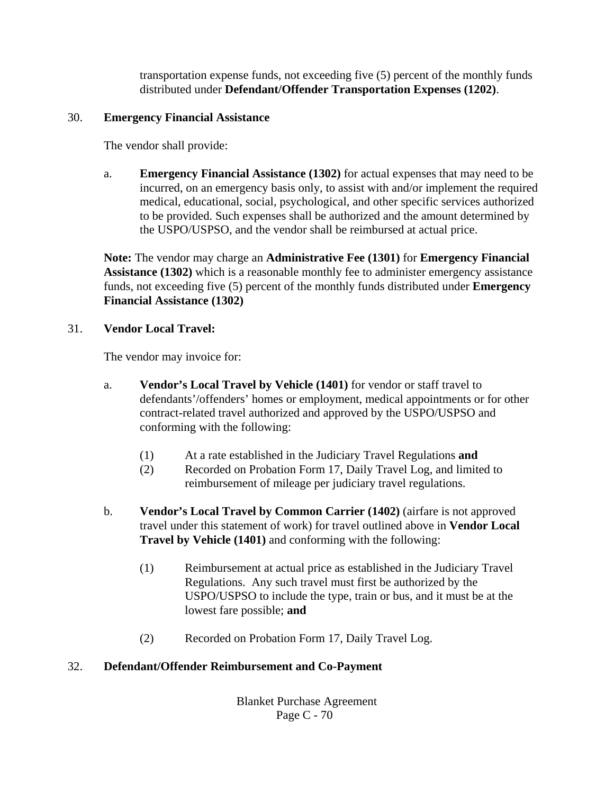transportation expense funds, not exceeding five (5) percent of the monthly funds distributed under **Defendant/Offender Transportation Expenses (1202)**.

#### 30. **Emergency Financial Assistance**

The vendor shall provide:

a. **Emergency Financial Assistance (1302)** for actual expenses that may need to be incurred, on an emergency basis only, to assist with and/or implement the required medical, educational, social, psychological, and other specific services authorized to be provided. Such expenses shall be authorized and the amount determined by the USPO/USPSO, and the vendor shall be reimbursed at actual price.

**Note:** The vendor may charge an **Administrative Fee (1301)** for **Emergency Financial Assistance (1302)** which is a reasonable monthly fee to administer emergency assistance funds, not exceeding five (5) percent of the monthly funds distributed under **Emergency Financial Assistance (1302)**

### 31. **Vendor Local Travel:**

The vendor may invoice for:

- a. **Vendor's Local Travel by Vehicle (1401)** for vendor or staff travel to defendants'/offenders' homes or employment, medical appointments or for other contract-related travel authorized and approved by the USPO/USPSO and conforming with the following:
	- (1) At a rate established in the Judiciary Travel Regulations **and**
	- (2) Recorded on Probation Form 17, Daily Travel Log, and limited to reimbursement of mileage per judiciary travel regulations.
- b. **Vendor's Local Travel by Common Carrier (1402)** (airfare is not approved travel under this statement of work) for travel outlined above in **Vendor Local Travel by Vehicle (1401)** and conforming with the following:
	- (1) Reimbursement at actual price as established in the Judiciary Travel Regulations. Any such travel must first be authorized by the USPO/USPSO to include the type, train or bus, and it must be at the lowest fare possible; **and**
	- (2) Recorded on Probation Form 17, Daily Travel Log.

### 32. **Defendant/Offender Reimbursement and Co-Payment**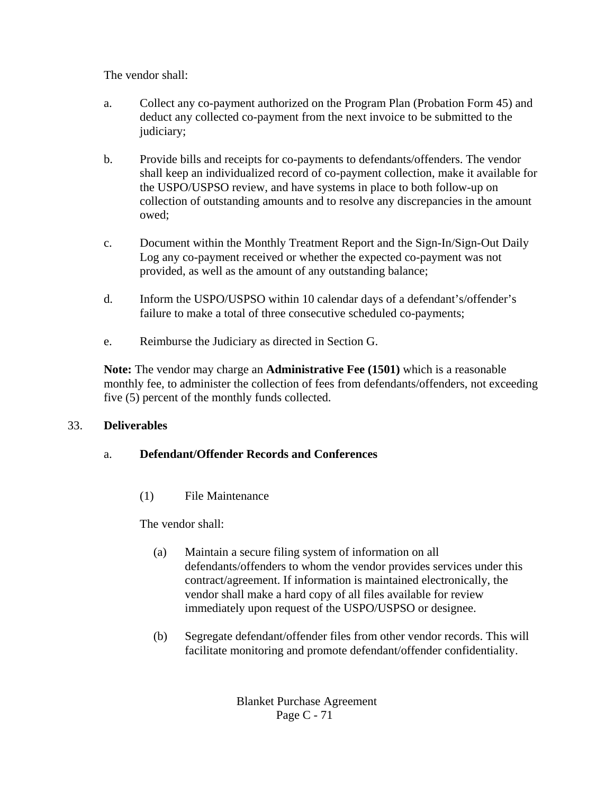The vendor shall:

- a. Collect any co-payment authorized on the Program Plan (Probation Form 45) and deduct any collected co-payment from the next invoice to be submitted to the judiciary;
- b. Provide bills and receipts for co-payments to defendants/offenders. The vendor shall keep an individualized record of co-payment collection, make it available for the USPO/USPSO review, and have systems in place to both follow-up on collection of outstanding amounts and to resolve any discrepancies in the amount owed;
- c. Document within the Monthly Treatment Report and the Sign-In/Sign-Out Daily Log any co-payment received or whether the expected co-payment was not provided, as well as the amount of any outstanding balance;
- d. Inform the USPO/USPSO within 10 calendar days of a defendant's/offender's failure to make a total of three consecutive scheduled co-payments;
- e. Reimburse the Judiciary as directed in Section G.

**Note:** The vendor may charge an **Administrative Fee (1501)** which is a reasonable monthly fee, to administer the collection of fees from defendants/offenders, not exceeding five (5) percent of the monthly funds collected.

### 33. **Deliverables**

# a. **Defendant/Offender Records and Conferences**

(1) File Maintenance

The vendor shall:

- (a) Maintain a secure filing system of information on all defendants/offenders to whom the vendor provides services under this contract/agreement. If information is maintained electronically, the vendor shall make a hard copy of all files available for review immediately upon request of the USPO/USPSO or designee.
- (b) Segregate defendant/offender files from other vendor records. This will facilitate monitoring and promote defendant/offender confidentiality.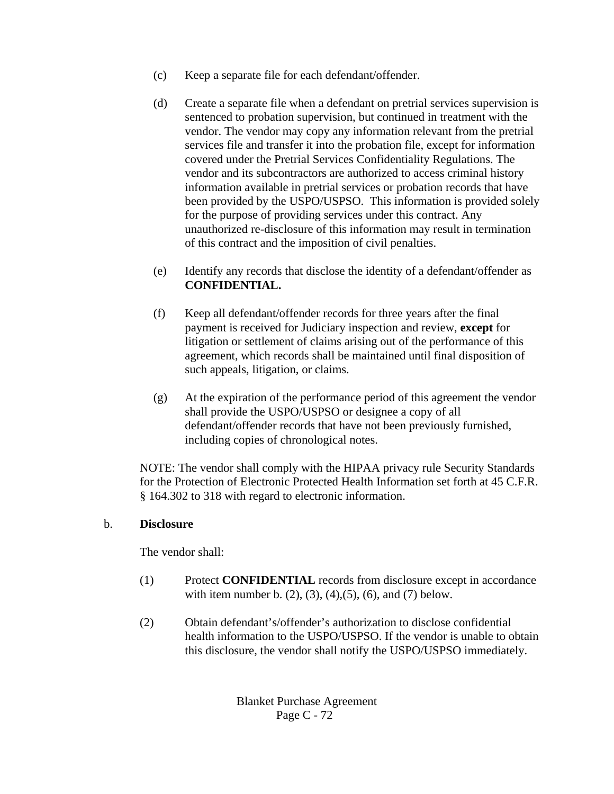- (c) Keep a separate file for each defendant/offender.
- (d) Create a separate file when a defendant on pretrial services supervision is sentenced to probation supervision, but continued in treatment with the vendor. The vendor may copy any information relevant from the pretrial services file and transfer it into the probation file, except for information covered under the Pretrial Services Confidentiality Regulations. The vendor and its subcontractors are authorized to access criminal history information available in pretrial services or probation records that have been provided by the USPO/USPSO. This information is provided solely for the purpose of providing services under this contract. Any unauthorized re-disclosure of this information may result in termination of this contract and the imposition of civil penalties.
- (e) Identify any records that disclose the identity of a defendant/offender as **CONFIDENTIAL.**
- (f) Keep all defendant/offender records for three years after the final payment is received for Judiciary inspection and review, **except** for litigation or settlement of claims arising out of the performance of this agreement, which records shall be maintained until final disposition of such appeals, litigation, or claims.
- (g) At the expiration of the performance period of this agreement the vendor shall provide the USPO/USPSO or designee a copy of all defendant/offender records that have not been previously furnished, including copies of chronological notes.

NOTE: The vendor shall comply with the HIPAA privacy rule Security Standards for the Protection of Electronic Protected Health Information set forth at 45 C.F.R. § 164.302 to 318 with regard to electronic information.

# b. **Disclosure**

The vendor shall:

- (1) Protect **CONFIDENTIAL** records from disclosure except in accordance with item number b.  $(2)$ ,  $(3)$ ,  $(4)$ ,  $(5)$ ,  $(6)$ , and  $(7)$  below.
- (2) Obtain defendant's/offender's authorization to disclose confidential health information to the USPO/USPSO. If the vendor is unable to obtain this disclosure, the vendor shall notify the USPO/USPSO immediately.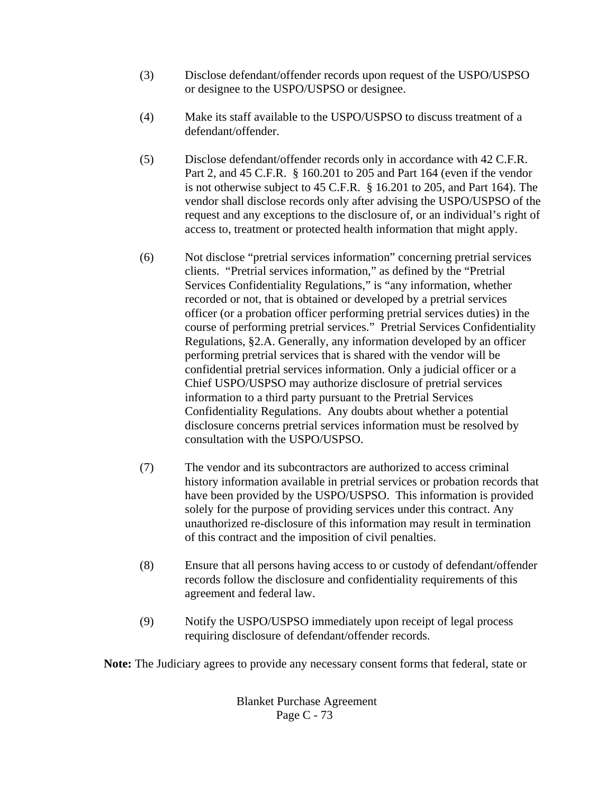- (3) Disclose defendant/offender records upon request of the USPO/USPSO or designee to the USPO/USPSO or designee.
- (4) Make its staff available to the USPO/USPSO to discuss treatment of a defendant/offender.
- (5) Disclose defendant/offender records only in accordance with 42 C.F.R. Part 2, and 45 C.F.R. § 160.201 to 205 and Part 164 (even if the vendor is not otherwise subject to 45 C.F.R. § 16.201 to 205, and Part 164). The vendor shall disclose records only after advising the USPO/USPSO of the request and any exceptions to the disclosure of, or an individual's right of access to, treatment or protected health information that might apply.
- (6) Not disclose "pretrial services information" concerning pretrial services clients. "Pretrial services information," as defined by the "Pretrial Services Confidentiality Regulations," is "any information, whether recorded or not, that is obtained or developed by a pretrial services officer (or a probation officer performing pretrial services duties) in the course of performing pretrial services." Pretrial Services Confidentiality Regulations, §2.A. Generally, any information developed by an officer performing pretrial services that is shared with the vendor will be confidential pretrial services information. Only a judicial officer or a Chief USPO/USPSO may authorize disclosure of pretrial services information to a third party pursuant to the Pretrial Services Confidentiality Regulations. Any doubts about whether a potential disclosure concerns pretrial services information must be resolved by consultation with the USPO/USPSO.
- (7) The vendor and its subcontractors are authorized to access criminal history information available in pretrial services or probation records that have been provided by the USPO/USPSO. This information is provided solely for the purpose of providing services under this contract. Any unauthorized re-disclosure of this information may result in termination of this contract and the imposition of civil penalties.
- (8) Ensure that all persons having access to or custody of defendant/offender records follow the disclosure and confidentiality requirements of this agreement and federal law.
- (9) Notify the USPO/USPSO immediately upon receipt of legal process requiring disclosure of defendant/offender records.

**Note:** The Judiciary agrees to provide any necessary consent forms that federal, state or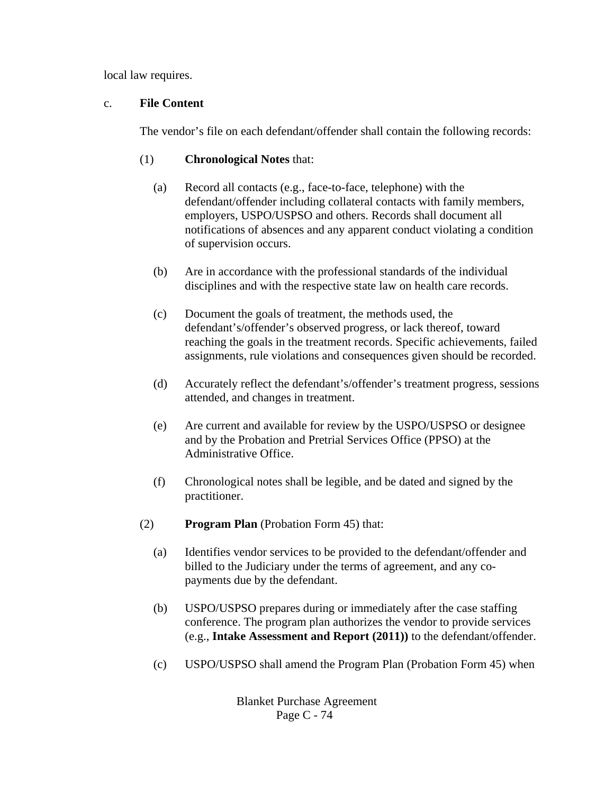local law requires.

## c. **File Content**

The vendor's file on each defendant/offender shall contain the following records:

- (1) **Chronological Notes** that:
	- (a) Record all contacts (e.g., face-to-face, telephone) with the defendant/offender including collateral contacts with family members, employers, USPO/USPSO and others. Records shall document all notifications of absences and any apparent conduct violating a condition of supervision occurs.
	- (b) Are in accordance with the professional standards of the individual disciplines and with the respective state law on health care records.
	- (c) Document the goals of treatment, the methods used, the defendant's/offender's observed progress, or lack thereof, toward reaching the goals in the treatment records. Specific achievements, failed assignments, rule violations and consequences given should be recorded.
	- (d) Accurately reflect the defendant's/offender's treatment progress, sessions attended, and changes in treatment.
	- (e) Are current and available for review by the USPO/USPSO or designee and by the Probation and Pretrial Services Office (PPSO) at the Administrative Office.
	- (f) Chronological notes shall be legible, and be dated and signed by the practitioner.
- (2) **Program Plan** (Probation Form 45) that:
	- (a) Identifies vendor services to be provided to the defendant/offender and billed to the Judiciary under the terms of agreement, and any copayments due by the defendant.
	- (b) USPO/USPSO prepares during or immediately after the case staffing conference. The program plan authorizes the vendor to provide services (e.g., **Intake Assessment and Report (2011))** to the defendant/offender.
	- (c) USPO/USPSO shall amend the Program Plan (Probation Form 45) when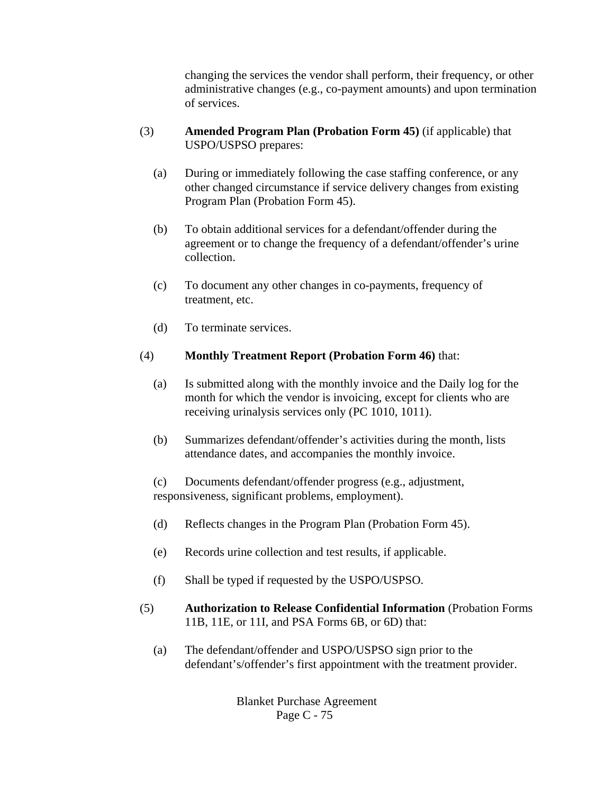changing the services the vendor shall perform, their frequency, or other administrative changes (e.g., co-payment amounts) and upon termination of services.

- (3) **Amended Program Plan (Probation Form 45)** (if applicable) that USPO/USPSO prepares:
	- (a) During or immediately following the case staffing conference, or any other changed circumstance if service delivery changes from existing Program Plan (Probation Form 45).
	- (b) To obtain additional services for a defendant/offender during the agreement or to change the frequency of a defendant/offender's urine collection.
	- (c) To document any other changes in co-payments, frequency of treatment, etc.
	- (d) To terminate services.

### (4) **Monthly Treatment Report (Probation Form 46)** that:

- (a) Is submitted along with the monthly invoice and the Daily log for the month for which the vendor is invoicing, except for clients who are receiving urinalysis services only (PC 1010, 1011).
- (b) Summarizes defendant/offender's activities during the month, lists attendance dates, and accompanies the monthly invoice.

(c) Documents defendant/offender progress (e.g., adjustment, responsiveness, significant problems, employment).

- (d) Reflects changes in the Program Plan (Probation Form 45).
- (e) Records urine collection and test results, if applicable.
- (f) Shall be typed if requested by the USPO/USPSO.
- (5) **Authorization to Release Confidential Information** (Probation Forms 11B, 11E, or 11I, and PSA Forms 6B, or 6D) that:
	- (a) The defendant/offender and USPO/USPSO sign prior to the defendant's/offender's first appointment with the treatment provider.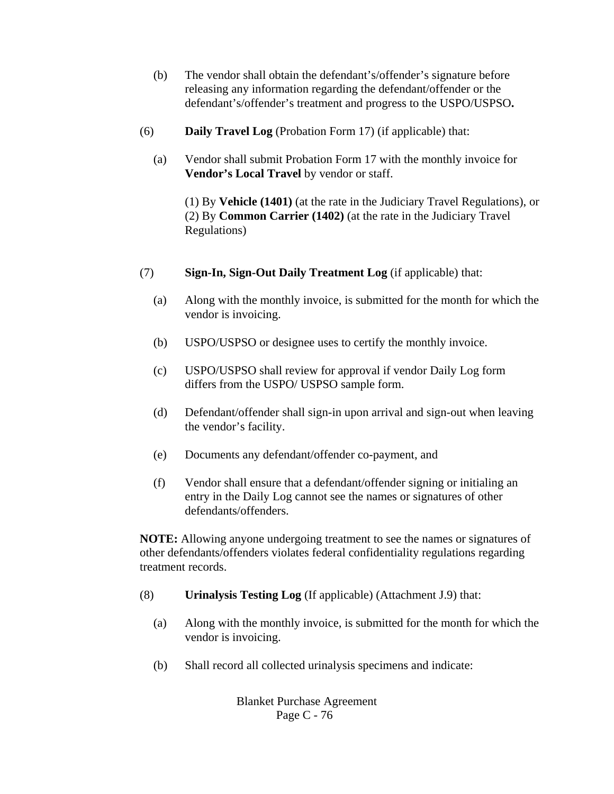- (b) The vendor shall obtain the defendant's/offender's signature before releasing any information regarding the defendant/offender or the defendant's/offender's treatment and progress to the USPO/USPSO**.**
- (6) **Daily Travel Log** (Probation Form 17) (if applicable) that:
	- (a) Vendor shall submit Probation Form 17 with the monthly invoice for **Vendor's Local Travel** by vendor or staff.

(1) By **Vehicle (1401)** (at the rate in the Judiciary Travel Regulations), or (2) By **Common Carrier (1402)** (at the rate in the Judiciary Travel Regulations)

- (7) **Sign-In, Sign-Out Daily Treatment Log** (if applicable) that:
	- (a) Along with the monthly invoice, is submitted for the month for which the vendor is invoicing.
	- (b) USPO/USPSO or designee uses to certify the monthly invoice.
	- (c) USPO/USPSO shall review for approval if vendor Daily Log form differs from the USPO/ USPSO sample form.
	- (d) Defendant/offender shall sign-in upon arrival and sign-out when leaving the vendor's facility.
	- (e) Documents any defendant/offender co-payment, and
	- (f) Vendor shall ensure that a defendant/offender signing or initialing an entry in the Daily Log cannot see the names or signatures of other defendants/offenders.

**NOTE:** Allowing anyone undergoing treatment to see the names or signatures of other defendants/offenders violates federal confidentiality regulations regarding treatment records.

- (8) **Urinalysis Testing Log** (If applicable) (Attachment J.9) that:
	- (a) Along with the monthly invoice, is submitted for the month for which the vendor is invoicing.
	- (b) Shall record all collected urinalysis specimens and indicate: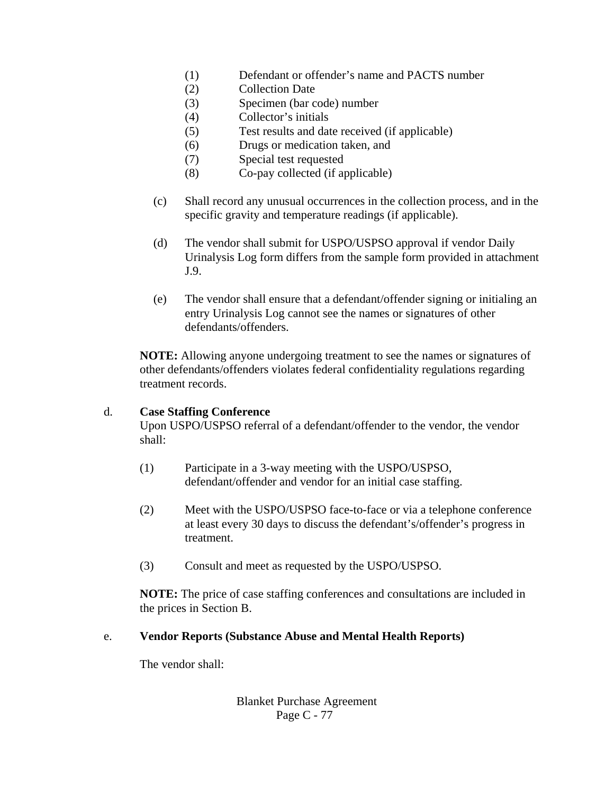- (1) Defendant or offender's name and PACTS number
- (2) Collection Date
- (3) Specimen (bar code) number
- (4) Collector's initials
- (5) Test results and date received (if applicable)
- (6) Drugs or medication taken, and
- (7) Special test requested
- (8) Co-pay collected (if applicable)
- (c) Shall record any unusual occurrences in the collection process, and in the specific gravity and temperature readings (if applicable).
- (d) The vendor shall submit for USPO/USPSO approval if vendor Daily Urinalysis Log form differs from the sample form provided in attachment J.9.
- (e) The vendor shall ensure that a defendant/offender signing or initialing an entry Urinalysis Log cannot see the names or signatures of other defendants/offenders.

**NOTE:** Allowing anyone undergoing treatment to see the names or signatures of other defendants/offenders violates federal confidentiality regulations regarding treatment records.

#### d. **Case Staffing Conference**

Upon USPO/USPSO referral of a defendant/offender to the vendor, the vendor shall:

- (1) Participate in a 3-way meeting with the USPO/USPSO, defendant/offender and vendor for an initial case staffing.
- (2) Meet with the USPO/USPSO face-to-face or via a telephone conference at least every 30 days to discuss the defendant's/offender's progress in treatment.
- (3) Consult and meet as requested by the USPO/USPSO.

**NOTE:** The price of case staffing conferences and consultations are included in the prices in Section B.

#### e. **Vendor Reports (Substance Abuse and Mental Health Reports)**

The vendor shall: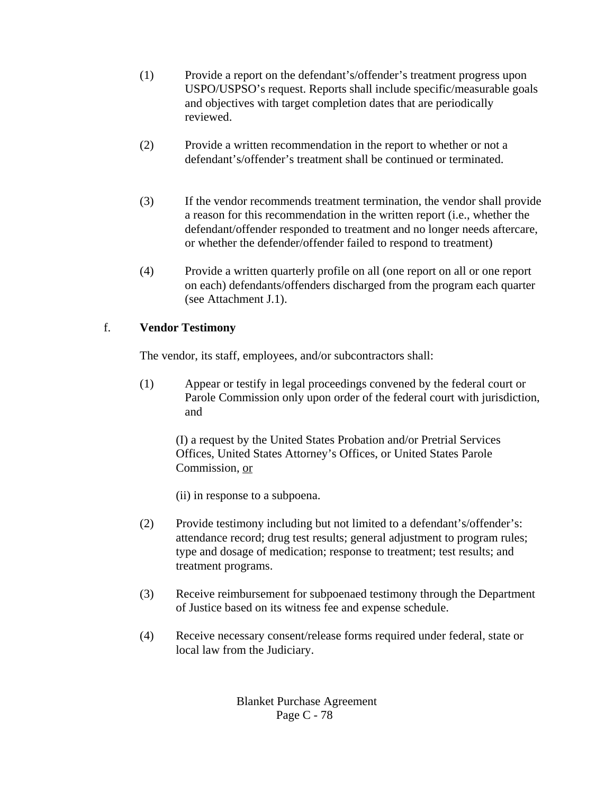- (1) Provide a report on the defendant's/offender's treatment progress upon USPO/USPSO's request. Reports shall include specific/measurable goals and objectives with target completion dates that are periodically reviewed.
- (2) Provide a written recommendation in the report to whether or not a defendant's/offender's treatment shall be continued or terminated.
- (3) If the vendor recommends treatment termination, the vendor shall provide a reason for this recommendation in the written report (i.e., whether the defendant/offender responded to treatment and no longer needs aftercare, or whether the defender/offender failed to respond to treatment)
- (4) Provide a written quarterly profile on all (one report on all or one report on each) defendants/offenders discharged from the program each quarter (see Attachment J.1).

# f. **Vendor Testimony**

The vendor, its staff, employees, and/or subcontractors shall:

(1) Appear or testify in legal proceedings convened by the federal court or Parole Commission only upon order of the federal court with jurisdiction, and

(I) a request by the United States Probation and/or Pretrial Services Offices, United States Attorney's Offices, or United States Parole Commission, or

(ii) in response to a subpoena.

- (2) Provide testimony including but not limited to a defendant's/offender's: attendance record; drug test results; general adjustment to program rules; type and dosage of medication; response to treatment; test results; and treatment programs.
- (3) Receive reimbursement for subpoenaed testimony through the Department of Justice based on its witness fee and expense schedule.
- (4) Receive necessary consent/release forms required under federal, state or local law from the Judiciary.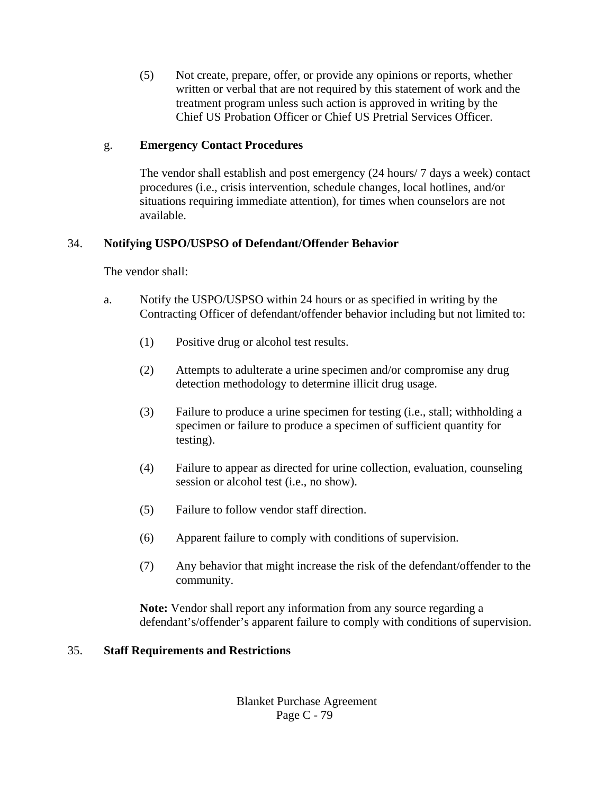(5) Not create, prepare, offer, or provide any opinions or reports, whether written or verbal that are not required by this statement of work and the treatment program unless such action is approved in writing by the Chief US Probation Officer or Chief US Pretrial Services Officer.

### g. **Emergency Contact Procedures**

The vendor shall establish and post emergency (24 hours/ 7 days a week) contact procedures (i.e., crisis intervention, schedule changes, local hotlines, and/or situations requiring immediate attention), for times when counselors are not available.

## 34. **Notifying USPO/USPSO of Defendant/Offender Behavior**

The vendor shall:

- a. Notify the USPO/USPSO within 24 hours or as specified in writing by the Contracting Officer of defendant/offender behavior including but not limited to:
	- (1) Positive drug or alcohol test results.
	- (2) Attempts to adulterate a urine specimen and/or compromise any drug detection methodology to determine illicit drug usage.
	- (3) Failure to produce a urine specimen for testing (i.e., stall; withholding a specimen or failure to produce a specimen of sufficient quantity for testing).
	- (4) Failure to appear as directed for urine collection, evaluation, counseling session or alcohol test (i.e., no show).
	- (5) Failure to follow vendor staff direction.
	- (6) Apparent failure to comply with conditions of supervision.
	- (7) Any behavior that might increase the risk of the defendant/offender to the community.

**Note:** Vendor shall report any information from any source regarding a defendant's/offender's apparent failure to comply with conditions of supervision.

## 35. **Staff Requirements and Restrictions**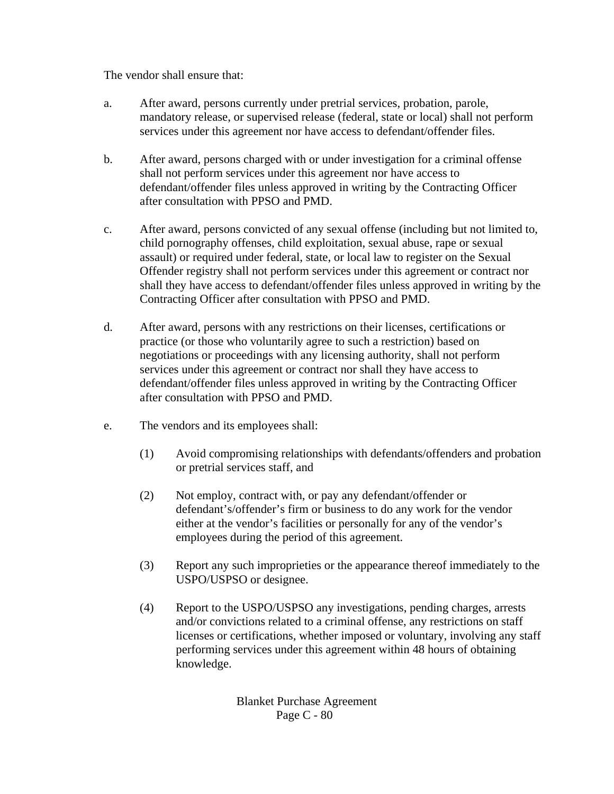The vendor shall ensure that:

- a. After award, persons currently under pretrial services, probation, parole, mandatory release, or supervised release (federal, state or local) shall not perform services under this agreement nor have access to defendant/offender files.
- b. After award, persons charged with or under investigation for a criminal offense shall not perform services under this agreement nor have access to defendant/offender files unless approved in writing by the Contracting Officer after consultation with PPSO and PMD.
- c. After award, persons convicted of any sexual offense (including but not limited to, child pornography offenses, child exploitation, sexual abuse, rape or sexual assault) or required under federal, state, or local law to register on the Sexual Offender registry shall not perform services under this agreement or contract nor shall they have access to defendant/offender files unless approved in writing by the Contracting Officer after consultation with PPSO and PMD.
- d. After award, persons with any restrictions on their licenses, certifications or practice (or those who voluntarily agree to such a restriction) based on negotiations or proceedings with any licensing authority, shall not perform services under this agreement or contract nor shall they have access to defendant/offender files unless approved in writing by the Contracting Officer after consultation with PPSO and PMD.
- e. The vendors and its employees shall:
	- (1) Avoid compromising relationships with defendants/offenders and probation or pretrial services staff, and
	- (2) Not employ, contract with, or pay any defendant/offender or defendant's/offender's firm or business to do any work for the vendor either at the vendor's facilities or personally for any of the vendor's employees during the period of this agreement.
	- (3) Report any such improprieties or the appearance thereof immediately to the USPO/USPSO or designee.
	- (4) Report to the USPO/USPSO any investigations, pending charges, arrests and/or convictions related to a criminal offense, any restrictions on staff licenses or certifications, whether imposed or voluntary, involving any staff performing services under this agreement within 48 hours of obtaining knowledge.